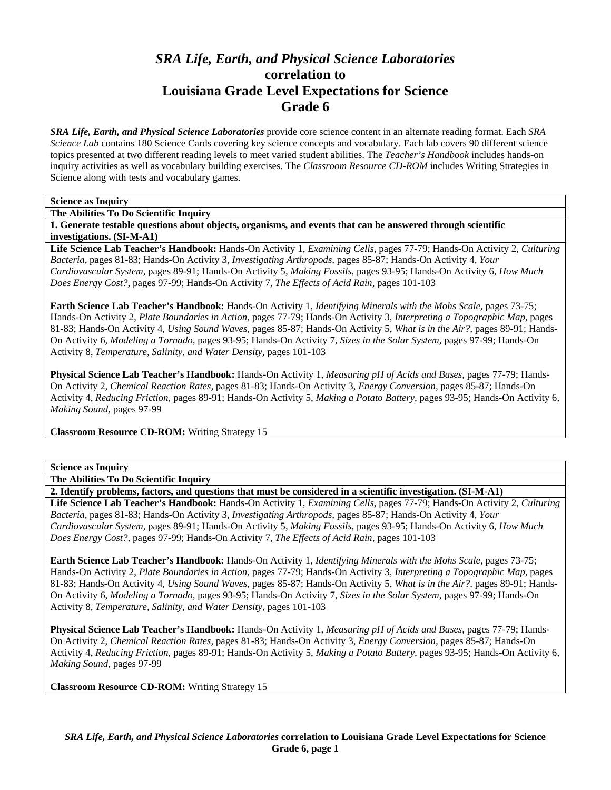# *SRA Life, Earth, and Physical Science Laboratories*  **correlation to Louisiana Grade Level Expectations for Science Grade 6**

*SRA Life, Earth, and Physical Science Laboratories* provide core science content in an alternate reading format. Each *SRA Science Lab* contains 180 Science Cards covering key science concepts and vocabulary. Each lab covers 90 different science topics presented at two different reading levels to meet varied student abilities. The *Teacher's Handbook* includes hands-on inquiry activities as well as vocabulary building exercises. The *Classroom Resource CD-ROM* includes Writing Strategies in Science along with tests and vocabulary games.

# **Science as Inquiry**

**The Abilities To Do Scientific Inquiry** 

**1. Generate testable questions about objects, organisms, and events that can be answered through scientific investigations. (SI-M-A1)** 

**Life Science Lab Teacher's Handbook:** Hands-On Activity 1, *Examining Cells,* pages 77-79; Hands-On Activity 2, *Culturing Bacteria,* pages 81-83; Hands-On Activity 3, *Investigating Arthropods,* pages 85-87; Hands-On Activity 4, *Your Cardiovascular System,* pages 89-91; Hands-On Activity 5, *Making Fossils,* pages 93-95; Hands-On Activity 6, *How Much Does Energy Cost?,* pages 97-99; Hands-On Activity 7, *The Effects of Acid Rain,* pages 101-103

**Earth Science Lab Teacher's Handbook:** Hands-On Activity 1, *Identifying Minerals with the Mohs Scale,* pages 73-75; Hands-On Activity 2, *Plate Boundaries in Action,* pages 77-79; Hands-On Activity 3, *Interpreting a Topographic Map,* pages 81-83; Hands-On Activity 4, *Using Sound Waves,* pages 85-87; Hands-On Activity 5, *What is in the Air?,* pages 89-91; Hands-On Activity 6, *Modeling a Tornado,* pages 93-95; Hands-On Activity 7, *Sizes in the Solar System,* pages 97-99; Hands-On Activity 8, *Temperature, Salinity, and Water Density,* pages 101-103

**Physical Science Lab Teacher's Handbook:** Hands-On Activity 1, *Measuring pH of Acids and Bases,* pages 77-79; Hands-On Activity 2, *Chemical Reaction Rates,* pages 81-83; Hands-On Activity 3, *Energy Conversion,* pages 85-87; Hands-On Activity 4, *Reducing Friction,* pages 89-91; Hands-On Activity 5, *Making a Potato Battery,* pages 93-95; Hands-On Activity 6, *Making Sound,* pages 97-99

**Classroom Resource CD-ROM:** Writing Strategy 15

#### **Science as Inquiry**

**The Abilities To Do Scientific Inquiry** 

**2. Identify problems, factors, and questions that must be considered in a scientific investigation. (SI-M-A1)** 

**Life Science Lab Teacher's Handbook:** Hands-On Activity 1, *Examining Cells,* pages 77-79; Hands-On Activity 2, *Culturing Bacteria,* pages 81-83; Hands-On Activity 3, *Investigating Arthropods,* pages 85-87; Hands-On Activity 4, *Your Cardiovascular System,* pages 89-91; Hands-On Activity 5, *Making Fossils,* pages 93-95; Hands-On Activity 6, *How Much Does Energy Cost?,* pages 97-99; Hands-On Activity 7, *The Effects of Acid Rain,* pages 101-103

**Earth Science Lab Teacher's Handbook:** Hands-On Activity 1, *Identifying Minerals with the Mohs Scale,* pages 73-75; Hands-On Activity 2, *Plate Boundaries in Action,* pages 77-79; Hands-On Activity 3, *Interpreting a Topographic Map,* pages 81-83; Hands-On Activity 4, *Using Sound Waves,* pages 85-87; Hands-On Activity 5, *What is in the Air?,* pages 89-91; Hands-On Activity 6, *Modeling a Tornado,* pages 93-95; Hands-On Activity 7, *Sizes in the Solar System,* pages 97-99; Hands-On Activity 8, *Temperature, Salinity, and Water Density,* pages 101-103

**Physical Science Lab Teacher's Handbook:** Hands-On Activity 1, *Measuring pH of Acids and Bases,* pages 77-79; Hands-On Activity 2, *Chemical Reaction Rates,* pages 81-83; Hands-On Activity 3, *Energy Conversion,* pages 85-87; Hands-On Activity 4, *Reducing Friction,* pages 89-91; Hands-On Activity 5, *Making a Potato Battery,* pages 93-95; Hands-On Activity 6, *Making Sound,* pages 97-99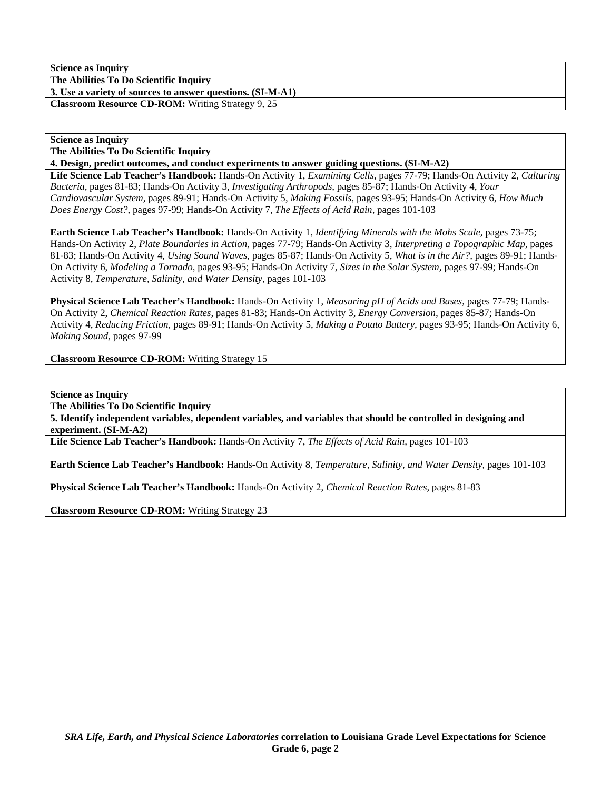**The Abilities To Do Scientific Inquiry 3. Use a variety of sources to answer questions. (SI-M-A1)** 

**Classroom Resource CD-ROM:** Writing Strategy 9, 25

## **Science as Inquiry**

**The Abilities To Do Scientific Inquiry** 

**4. Design, predict outcomes, and conduct experiments to answer guiding questions. (SI-M-A2)** 

**Life Science Lab Teacher's Handbook:** Hands-On Activity 1, *Examining Cells,* pages 77-79; Hands-On Activity 2, *Culturing Bacteria,* pages 81-83; Hands-On Activity 3, *Investigating Arthropods,* pages 85-87; Hands-On Activity 4, *Your Cardiovascular System,* pages 89-91; Hands-On Activity 5, *Making Fossils,* pages 93-95; Hands-On Activity 6, *How Much Does Energy Cost?,* pages 97-99; Hands-On Activity 7, *The Effects of Acid Rain,* pages 101-103

**Earth Science Lab Teacher's Handbook:** Hands-On Activity 1, *Identifying Minerals with the Mohs Scale,* pages 73-75; Hands-On Activity 2, *Plate Boundaries in Action,* pages 77-79; Hands-On Activity 3, *Interpreting a Topographic Map,* pages 81-83; Hands-On Activity 4, *Using Sound Waves,* pages 85-87; Hands-On Activity 5, *What is in the Air?,* pages 89-91; Hands-On Activity 6, *Modeling a Tornado,* pages 93-95; Hands-On Activity 7, *Sizes in the Solar System,* pages 97-99; Hands-On Activity 8, *Temperature, Salinity, and Water Density,* pages 101-103

**Physical Science Lab Teacher's Handbook:** Hands-On Activity 1, *Measuring pH of Acids and Bases,* pages 77-79; Hands-On Activity 2, *Chemical Reaction Rates,* pages 81-83; Hands-On Activity 3, *Energy Conversion,* pages 85-87; Hands-On Activity 4, *Reducing Friction,* pages 89-91; Hands-On Activity 5, *Making a Potato Battery,* pages 93-95; Hands-On Activity 6, *Making Sound,* pages 97-99

**Classroom Resource CD-ROM:** Writing Strategy 15

**Science as Inquiry** 

**The Abilities To Do Scientific Inquiry** 

**5. Identify independent variables, dependent variables, and variables that should be controlled in designing and experiment. (SI-M-A2)** 

**Life Science Lab Teacher's Handbook:** Hands-On Activity 7, *The Effects of Acid Rain,* pages 101-103

**Earth Science Lab Teacher's Handbook:** Hands-On Activity 8, *Temperature, Salinity, and Water Density,* pages 101-103

**Physical Science Lab Teacher's Handbook:** Hands-On Activity 2, *Chemical Reaction Rates,* pages 81-83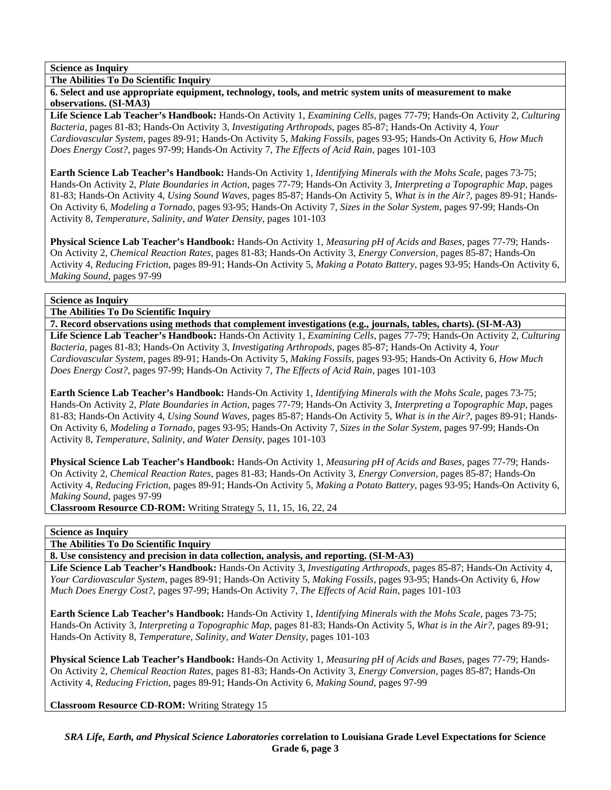**The Abilities To Do Scientific Inquiry** 

**6. Select and use appropriate equipment, technology, tools, and metric system units of measurement to make observations. (SI-MA3)** 

**Life Science Lab Teacher's Handbook:** Hands-On Activity 1, *Examining Cells,* pages 77-79; Hands-On Activity 2, *Culturing Bacteria,* pages 81-83; Hands-On Activity 3, *Investigating Arthropods,* pages 85-87; Hands-On Activity 4, *Your Cardiovascular System,* pages 89-91; Hands-On Activity 5, *Making Fossils,* pages 93-95; Hands-On Activity 6, *How Much Does Energy Cost?,* pages 97-99; Hands-On Activity 7, *The Effects of Acid Rain,* pages 101-103

**Earth Science Lab Teacher's Handbook:** Hands-On Activity 1, *Identifying Minerals with the Mohs Scale,* pages 73-75; Hands-On Activity 2, *Plate Boundaries in Action,* pages 77-79; Hands-On Activity 3, *Interpreting a Topographic Map,* pages 81-83; Hands-On Activity 4, *Using Sound Waves,* pages 85-87; Hands-On Activity 5, *What is in the Air?,* pages 89-91; Hands-On Activity 6, *Modeling a Tornado,* pages 93-95; Hands-On Activity 7, *Sizes in the Solar System,* pages 97-99; Hands-On Activity 8, *Temperature, Salinity, and Water Density,* pages 101-103

**Physical Science Lab Teacher's Handbook:** Hands-On Activity 1, *Measuring pH of Acids and Bases,* pages 77-79; Hands-On Activity 2, *Chemical Reaction Rates,* pages 81-83; Hands-On Activity 3, *Energy Conversion,* pages 85-87; Hands-On Activity 4, *Reducing Friction,* pages 89-91; Hands-On Activity 5, *Making a Potato Battery,* pages 93-95; Hands-On Activity 6, *Making Sound,* pages 97-99

# **Science as Inquiry**

**The Abilities To Do Scientific Inquiry** 

**7. Record observations using methods that complement investigations (e.g., journals, tables, charts). (SI-M-A3) Life Science Lab Teacher's Handbook:** Hands-On Activity 1, *Examining Cells,* pages 77-79; Hands-On Activity 2, *Culturing Bacteria,* pages 81-83; Hands-On Activity 3, *Investigating Arthropods,* pages 85-87; Hands-On Activity 4, *Your Cardiovascular System,* pages 89-91; Hands-On Activity 5, *Making Fossils,* pages 93-95; Hands-On Activity 6, *How Much Does Energy Cost?,* pages 97-99; Hands-On Activity 7, *The Effects of Acid Rain,* pages 101-103

**Earth Science Lab Teacher's Handbook:** Hands-On Activity 1, *Identifying Minerals with the Mohs Scale,* pages 73-75; Hands-On Activity 2, *Plate Boundaries in Action,* pages 77-79; Hands-On Activity 3, *Interpreting a Topographic Map,* pages 81-83; Hands-On Activity 4, *Using Sound Waves,* pages 85-87; Hands-On Activity 5, *What is in the Air?,* pages 89-91; Hands-On Activity 6, *Modeling a Tornado,* pages 93-95; Hands-On Activity 7, *Sizes in the Solar System,* pages 97-99; Hands-On Activity 8, *Temperature, Salinity, and Water Density,* pages 101-103

**Physical Science Lab Teacher's Handbook:** Hands-On Activity 1, *Measuring pH of Acids and Bases,* pages 77-79; Hands-On Activity 2, *Chemical Reaction Rates,* pages 81-83; Hands-On Activity 3, *Energy Conversion,* pages 85-87; Hands-On Activity 4, *Reducing Friction,* pages 89-91; Hands-On Activity 5, *Making a Potato Battery,* pages 93-95; Hands-On Activity 6, *Making Sound,* pages 97-99

**Classroom Resource CD-ROM:** Writing Strategy 5, 11, 15, 16, 22, 24

# **Science as Inquiry**

**The Abilities To Do Scientific Inquiry** 

**8. Use consistency and precision in data collection, analysis, and reporting. (SI-M-A3)** 

**Life Science Lab Teacher's Handbook:** Hands-On Activity 3, *Investigating Arthropods,* pages 85-87; Hands-On Activity 4, *Your Cardiovascular System,* pages 89-91; Hands-On Activity 5, *Making Fossils,* pages 93-95; Hands-On Activity 6, *How Much Does Energy Cost?,* pages 97-99; Hands-On Activity 7, *The Effects of Acid Rain,* pages 101-103

**Earth Science Lab Teacher's Handbook:** Hands-On Activity 1, *Identifying Minerals with the Mohs Scale,* pages 73-75; Hands-On Activity 3, *Interpreting a Topographic Map,* pages 81-83; Hands-On Activity 5, *What is in the Air?,* pages 89-91; Hands-On Activity 8, *Temperature, Salinity, and Water Density,* pages 101-103

**Physical Science Lab Teacher's Handbook:** Hands-On Activity 1, *Measuring pH of Acids and Bases,* pages 77-79; Hands-On Activity 2, *Chemical Reaction Rates,* pages 81-83; Hands-On Activity 3, *Energy Conversion,* pages 85-87; Hands-On Activity 4, *Reducing Friction,* pages 89-91; Hands-On Activity 6, *Making Sound,* pages 97-99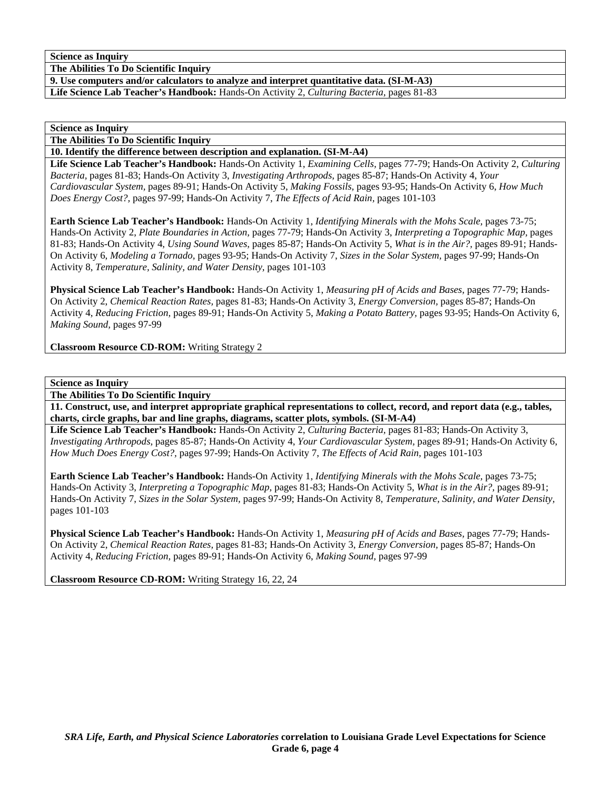**The Abilities To Do Scientific Inquiry** 

**9. Use computers and/or calculators to analyze and interpret quantitative data. (SI-M-A3)** 

**Life Science Lab Teacher's Handbook:** Hands-On Activity 2, *Culturing Bacteria,* pages 81-83

**Science as Inquiry** 

**The Abilities To Do Scientific Inquiry** 

**10. Identify the difference between description and explanation. (SI-M-A4)** 

**Life Science Lab Teacher's Handbook:** Hands-On Activity 1, *Examining Cells,* pages 77-79; Hands-On Activity 2, *Culturing Bacteria,* pages 81-83; Hands-On Activity 3, *Investigating Arthropods,* pages 85-87; Hands-On Activity 4, *Your Cardiovascular System,* pages 89-91; Hands-On Activity 5, *Making Fossils,* pages 93-95; Hands-On Activity 6, *How Much Does Energy Cost?,* pages 97-99; Hands-On Activity 7, *The Effects of Acid Rain,* pages 101-103

**Earth Science Lab Teacher's Handbook:** Hands-On Activity 1, *Identifying Minerals with the Mohs Scale,* pages 73-75; Hands-On Activity 2, *Plate Boundaries in Action,* pages 77-79; Hands-On Activity 3, *Interpreting a Topographic Map,* pages 81-83; Hands-On Activity 4, *Using Sound Waves,* pages 85-87; Hands-On Activity 5, *What is in the Air?,* pages 89-91; Hands-On Activity 6, *Modeling a Tornado,* pages 93-95; Hands-On Activity 7, *Sizes in the Solar System,* pages 97-99; Hands-On Activity 8, *Temperature, Salinity, and Water Density,* pages 101-103

**Physical Science Lab Teacher's Handbook:** Hands-On Activity 1, *Measuring pH of Acids and Bases,* pages 77-79; Hands-On Activity 2, *Chemical Reaction Rates,* pages 81-83; Hands-On Activity 3, *Energy Conversion,* pages 85-87; Hands-On Activity 4, *Reducing Friction,* pages 89-91; Hands-On Activity 5, *Making a Potato Battery,* pages 93-95; Hands-On Activity 6, *Making Sound,* pages 97-99

**Classroom Resource CD-ROM:** Writing Strategy 2

**Science as Inquiry** 

**The Abilities To Do Scientific Inquiry** 

**11. Construct, use, and interpret appropriate graphical representations to collect, record, and report data (e.g., tables, charts, circle graphs, bar and line graphs, diagrams, scatter plots, symbols. (SI-M-A4)** 

**Life Science Lab Teacher's Handbook:** Hands-On Activity 2, *Culturing Bacteria,* pages 81-83; Hands-On Activity 3, *Investigating Arthropods,* pages 85-87; Hands-On Activity 4, *Your Cardiovascular System,* pages 89-91; Hands-On Activity 6, *How Much Does Energy Cost?,* pages 97-99; Hands-On Activity 7, *The Effects of Acid Rain,* pages 101-103

**Earth Science Lab Teacher's Handbook:** Hands-On Activity 1, *Identifying Minerals with the Mohs Scale,* pages 73-75; Hands-On Activity 3, *Interpreting a Topographic Map,* pages 81-83; Hands-On Activity 5, *What is in the Air?,* pages 89-91; Hands-On Activity 7, *Sizes in the Solar System,* pages 97-99; Hands-On Activity 8, *Temperature, Salinity, and Water Density,* pages 101-103

**Physical Science Lab Teacher's Handbook:** Hands-On Activity 1, *Measuring pH of Acids and Bases,* pages 77-79; Hands-On Activity 2, *Chemical Reaction Rates,* pages 81-83; Hands-On Activity 3, *Energy Conversion,* pages 85-87; Hands-On Activity 4, *Reducing Friction,* pages 89-91; Hands-On Activity 6, *Making Sound,* pages 97-99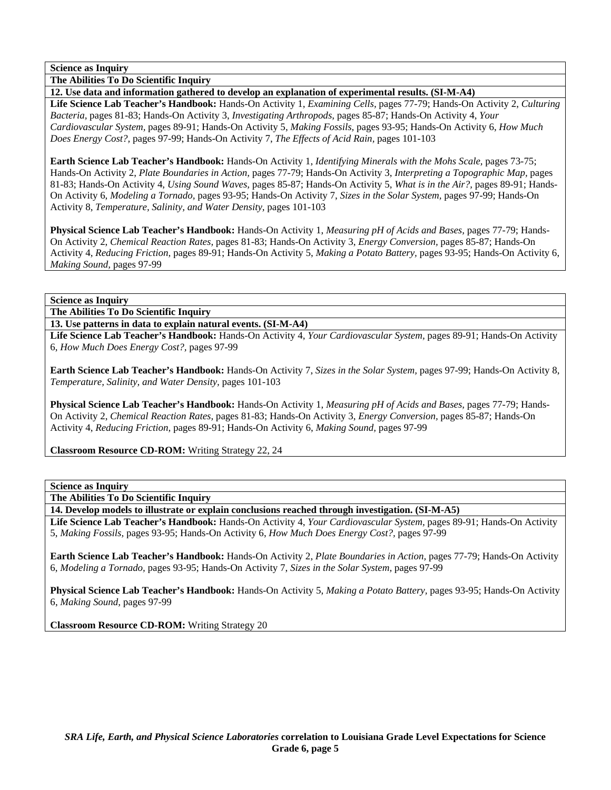**The Abilities To Do Scientific Inquiry** 

**12. Use data and information gathered to develop an explanation of experimental results. (SI-M-A4)** 

**Life Science Lab Teacher's Handbook:** Hands-On Activity 1, *Examining Cells,* pages 77-79; Hands-On Activity 2, *Culturing Bacteria,* pages 81-83; Hands-On Activity 3, *Investigating Arthropods,* pages 85-87; Hands-On Activity 4, *Your Cardiovascular System,* pages 89-91; Hands-On Activity 5, *Making Fossils,* pages 93-95; Hands-On Activity 6, *How Much Does Energy Cost?,* pages 97-99; Hands-On Activity 7, *The Effects of Acid Rain,* pages 101-103

**Earth Science Lab Teacher's Handbook:** Hands-On Activity 1, *Identifying Minerals with the Mohs Scale,* pages 73-75; Hands-On Activity 2, *Plate Boundaries in Action,* pages 77-79; Hands-On Activity 3, *Interpreting a Topographic Map,* pages 81-83; Hands-On Activity 4, *Using Sound Waves,* pages 85-87; Hands-On Activity 5, *What is in the Air?,* pages 89-91; Hands-On Activity 6, *Modeling a Tornado,* pages 93-95; Hands-On Activity 7, *Sizes in the Solar System,* pages 97-99; Hands-On Activity 8, *Temperature, Salinity, and Water Density,* pages 101-103

**Physical Science Lab Teacher's Handbook:** Hands-On Activity 1, *Measuring pH of Acids and Bases,* pages 77-79; Hands-On Activity 2, *Chemical Reaction Rates,* pages 81-83; Hands-On Activity 3, *Energy Conversion,* pages 85-87; Hands-On Activity 4, *Reducing Friction,* pages 89-91; Hands-On Activity 5, *Making a Potato Battery,* pages 93-95; Hands-On Activity 6, *Making Sound,* pages 97-99

### **Science as Inquiry**

**The Abilities To Do Scientific Inquiry** 

**13. Use patterns in data to explain natural events. (SI-M-A4)** 

**Life Science Lab Teacher's Handbook:** Hands-On Activity 4, *Your Cardiovascular System,* pages 89-91; Hands-On Activity 6, *How Much Does Energy Cost?,* pages 97-99

**Earth Science Lab Teacher's Handbook:** Hands-On Activity 7, *Sizes in the Solar System,* pages 97-99; Hands-On Activity 8, *Temperature, Salinity, and Water Density,* pages 101-103

**Physical Science Lab Teacher's Handbook:** Hands-On Activity 1, *Measuring pH of Acids and Bases,* pages 77-79; Hands-On Activity 2, *Chemical Reaction Rates,* pages 81-83; Hands-On Activity 3, *Energy Conversion,* pages 85-87; Hands-On Activity 4, *Reducing Friction,* pages 89-91; Hands-On Activity 6, *Making Sound,* pages 97-99

**Classroom Resource CD-ROM:** Writing Strategy 22, 24

## **Science as Inquiry**

**The Abilities To Do Scientific Inquiry** 

**14. Develop models to illustrate or explain conclusions reached through investigation. (SI-M-A5)** 

**Life Science Lab Teacher's Handbook:** Hands-On Activity 4, *Your Cardiovascular System,* pages 89-91; Hands-On Activity 5, *Making Fossils,* pages 93-95; Hands-On Activity 6, *How Much Does Energy Cost?,* pages 97-99

**Earth Science Lab Teacher's Handbook:** Hands-On Activity 2, *Plate Boundaries in Action,* pages 77-79; Hands-On Activity 6, *Modeling a Tornado,* pages 93-95; Hands-On Activity 7, *Sizes in the Solar System,* pages 97-99

**Physical Science Lab Teacher's Handbook:** Hands-On Activity 5, *Making a Potato Battery,* pages 93-95; Hands-On Activity 6, *Making Sound,* pages 97-99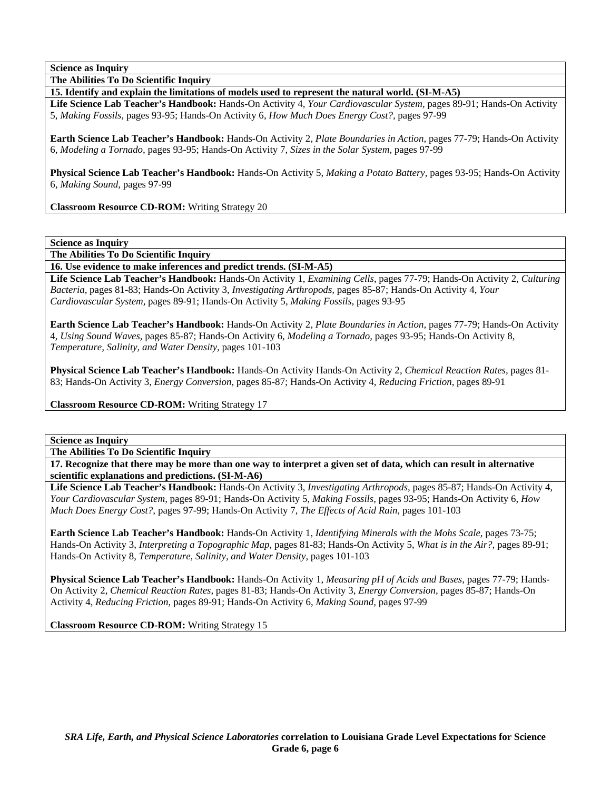**The Abilities To Do Scientific Inquiry** 

**15. Identify and explain the limitations of models used to represent the natural world. (SI-M-A5)** 

**Life Science Lab Teacher's Handbook:** Hands-On Activity 4, *Your Cardiovascular System,* pages 89-91; Hands-On Activity 5, *Making Fossils,* pages 93-95; Hands-On Activity 6, *How Much Does Energy Cost?,* pages 97-99

**Earth Science Lab Teacher's Handbook:** Hands-On Activity 2, *Plate Boundaries in Action,* pages 77-79; Hands-On Activity 6, *Modeling a Tornado,* pages 93-95; Hands-On Activity 7, *Sizes in the Solar System,* pages 97-99

**Physical Science Lab Teacher's Handbook:** Hands-On Activity 5, *Making a Potato Battery,* pages 93-95; Hands-On Activity 6, *Making Sound,* pages 97-99

**Classroom Resource CD-ROM:** Writing Strategy 20

**Science as Inquiry** 

**The Abilities To Do Scientific Inquiry** 

**16. Use evidence to make inferences and predict trends. (SI-M-A5)** 

**Life Science Lab Teacher's Handbook:** Hands-On Activity 1, *Examining Cells,* pages 77-79; Hands-On Activity 2, *Culturing Bacteria,* pages 81-83; Hands-On Activity 3, *Investigating Arthropods,* pages 85-87; Hands-On Activity 4, *Your Cardiovascular System,* pages 89-91; Hands-On Activity 5, *Making Fossils,* pages 93-95

**Earth Science Lab Teacher's Handbook:** Hands-On Activity 2, *Plate Boundaries in Action,* pages 77-79; Hands-On Activity 4, *Using Sound Waves,* pages 85-87; Hands-On Activity 6, *Modeling a Tornado,* pages 93-95; Hands-On Activity 8, *Temperature, Salinity, and Water Density,* pages 101-103

**Physical Science Lab Teacher's Handbook:** Hands-On Activity Hands-On Activity 2, *Chemical Reaction Rates,* pages 81- 83; Hands-On Activity 3, *Energy Conversion,* pages 85-87; Hands-On Activity 4, *Reducing Friction,* pages 89-91

**Classroom Resource CD-ROM:** Writing Strategy 17

**Science as Inquiry** 

**The Abilities To Do Scientific Inquiry** 

**17. Recognize that there may be more than one way to interpret a given set of data, which can result in alternative scientific explanations and predictions. (SI-M-A6)** 

**Life Science Lab Teacher's Handbook:** Hands-On Activity 3, *Investigating Arthropods,* pages 85-87; Hands-On Activity 4, *Your Cardiovascular System,* pages 89-91; Hands-On Activity 5, *Making Fossils,* pages 93-95; Hands-On Activity 6, *How Much Does Energy Cost?,* pages 97-99; Hands-On Activity 7, *The Effects of Acid Rain,* pages 101-103

**Earth Science Lab Teacher's Handbook:** Hands-On Activity 1, *Identifying Minerals with the Mohs Scale,* pages 73-75; Hands-On Activity 3, *Interpreting a Topographic Map,* pages 81-83; Hands-On Activity 5, *What is in the Air?,* pages 89-91; Hands-On Activity 8, *Temperature, Salinity, and Water Density,* pages 101-103

**Physical Science Lab Teacher's Handbook:** Hands-On Activity 1, *Measuring pH of Acids and Bases,* pages 77-79; Hands-On Activity 2, *Chemical Reaction Rates,* pages 81-83; Hands-On Activity 3, *Energy Conversion,* pages 85-87; Hands-On Activity 4, *Reducing Friction,* pages 89-91; Hands-On Activity 6, *Making Sound,* pages 97-99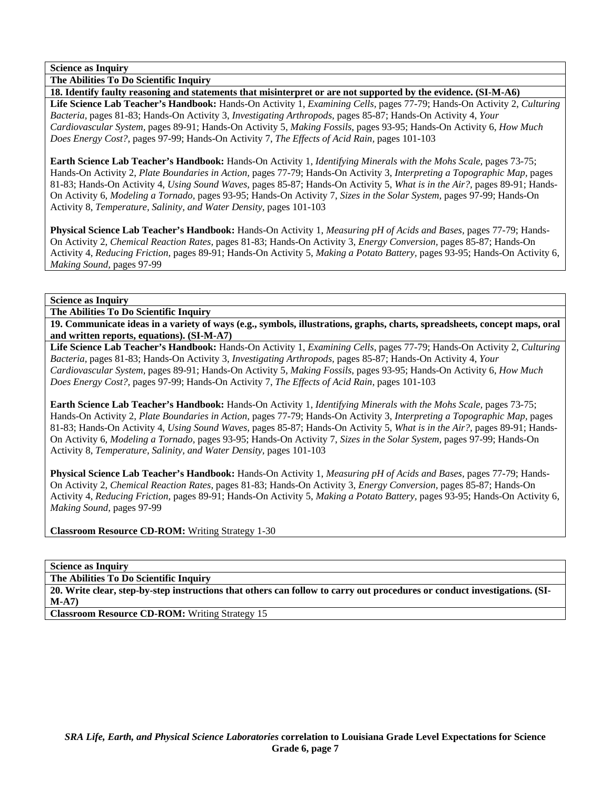**The Abilities To Do Scientific Inquiry** 

**18. Identify faulty reasoning and statements that misinterpret or are not supported by the evidence. (SI-M-A6) Life Science Lab Teacher's Handbook:** Hands-On Activity 1, *Examining Cells,* pages 77-79; Hands-On Activity 2, *Culturing Bacteria,* pages 81-83; Hands-On Activity 3, *Investigating Arthropods,* pages 85-87; Hands-On Activity 4, *Your Cardiovascular System,* pages 89-91; Hands-On Activity 5, *Making Fossils,* pages 93-95; Hands-On Activity 6, *How Much Does Energy Cost?,* pages 97-99; Hands-On Activity 7, *The Effects of Acid Rain,* pages 101-103

**Earth Science Lab Teacher's Handbook:** Hands-On Activity 1, *Identifying Minerals with the Mohs Scale,* pages 73-75; Hands-On Activity 2, *Plate Boundaries in Action,* pages 77-79; Hands-On Activity 3, *Interpreting a Topographic Map,* pages 81-83; Hands-On Activity 4, *Using Sound Waves,* pages 85-87; Hands-On Activity 5, *What is in the Air?,* pages 89-91; Hands-On Activity 6, *Modeling a Tornado,* pages 93-95; Hands-On Activity 7, *Sizes in the Solar System,* pages 97-99; Hands-On Activity 8, *Temperature, Salinity, and Water Density,* pages 101-103

**Physical Science Lab Teacher's Handbook:** Hands-On Activity 1, *Measuring pH of Acids and Bases,* pages 77-79; Hands-On Activity 2, *Chemical Reaction Rates,* pages 81-83; Hands-On Activity 3, *Energy Conversion,* pages 85-87; Hands-On Activity 4, *Reducing Friction,* pages 89-91; Hands-On Activity 5, *Making a Potato Battery,* pages 93-95; Hands-On Activity 6, *Making Sound,* pages 97-99

**Science as Inquiry** 

**The Abilities To Do Scientific Inquiry** 

**19. Communicate ideas in a variety of ways (e.g., symbols, illustrations, graphs, charts, spreadsheets, concept maps, oral and written reports, equations). (SI-M-A7)** 

**Life Science Lab Teacher's Handbook:** Hands-On Activity 1, *Examining Cells,* pages 77-79; Hands-On Activity 2, *Culturing Bacteria,* pages 81-83; Hands-On Activity 3, *Investigating Arthropods,* pages 85-87; Hands-On Activity 4, *Your Cardiovascular System,* pages 89-91; Hands-On Activity 5, *Making Fossils,* pages 93-95; Hands-On Activity 6, *How Much Does Energy Cost?,* pages 97-99; Hands-On Activity 7, *The Effects of Acid Rain,* pages 101-103

**Earth Science Lab Teacher's Handbook:** Hands-On Activity 1, *Identifying Minerals with the Mohs Scale,* pages 73-75; Hands-On Activity 2, *Plate Boundaries in Action,* pages 77-79; Hands-On Activity 3, *Interpreting a Topographic Map,* pages 81-83; Hands-On Activity 4, *Using Sound Waves,* pages 85-87; Hands-On Activity 5, *What is in the Air?,* pages 89-91; Hands-On Activity 6, *Modeling a Tornado,* pages 93-95; Hands-On Activity 7, *Sizes in the Solar System,* pages 97-99; Hands-On Activity 8, *Temperature, Salinity, and Water Density,* pages 101-103

**Physical Science Lab Teacher's Handbook:** Hands-On Activity 1, *Measuring pH of Acids and Bases,* pages 77-79; Hands-On Activity 2, *Chemical Reaction Rates,* pages 81-83; Hands-On Activity 3, *Energy Conversion,* pages 85-87; Hands-On Activity 4, *Reducing Friction,* pages 89-91; Hands-On Activity 5, *Making a Potato Battery,* pages 93-95; Hands-On Activity 6, *Making Sound,* pages 97-99

**Classroom Resource CD-ROM:** Writing Strategy 1-30

**Science as Inquiry** 

**The Abilities To Do Scientific Inquiry** 

**20. Write clear, step-by-step instructions that others can follow to carry out procedures or conduct investigations. (SI-M-A7)**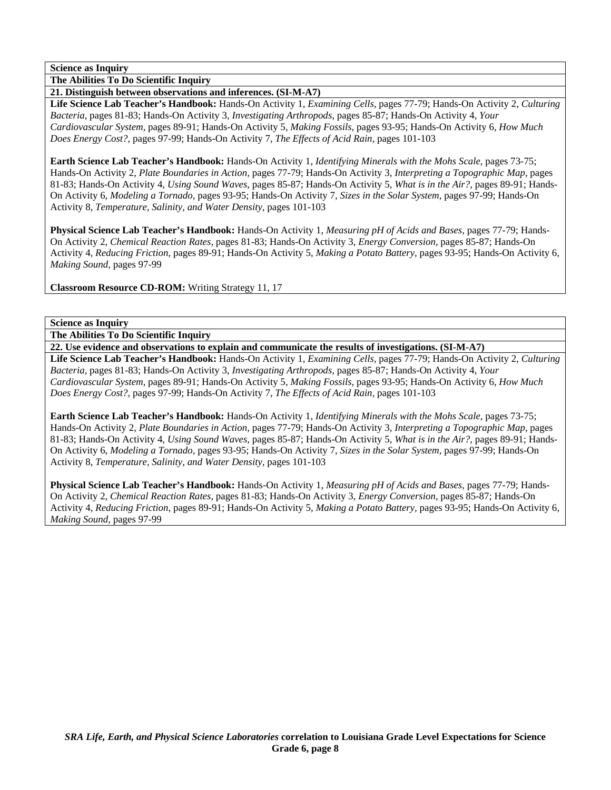**The Abilities To Do Scientific Inquiry** 

**21. Distinguish between observations and inferences. (SI-M-A7)** 

**Life Science Lab Teacher's Handbook:** Hands-On Activity 1, *Examining Cells,* pages 77-79; Hands-On Activity 2, *Culturing Bacteria,* pages 81-83; Hands-On Activity 3, *Investigating Arthropods,* pages 85-87; Hands-On Activity 4, *Your Cardiovascular System,* pages 89-91; Hands-On Activity 5, *Making Fossils,* pages 93-95; Hands-On Activity 6, *How Much Does Energy Cost?,* pages 97-99; Hands-On Activity 7, *The Effects of Acid Rain,* pages 101-103

**Earth Science Lab Teacher's Handbook:** Hands-On Activity 1, *Identifying Minerals with the Mohs Scale,* pages 73-75; Hands-On Activity 2, *Plate Boundaries in Action,* pages 77-79; Hands-On Activity 3, *Interpreting a Topographic Map,* pages 81-83; Hands-On Activity 4, *Using Sound Waves,* pages 85-87; Hands-On Activity 5, *What is in the Air?,* pages 89-91; Hands-On Activity 6, *Modeling a Tornado,* pages 93-95; Hands-On Activity 7, *Sizes in the Solar System,* pages 97-99; Hands-On Activity 8, *Temperature, Salinity, and Water Density,* pages 101-103

**Physical Science Lab Teacher's Handbook:** Hands-On Activity 1, *Measuring pH of Acids and Bases,* pages 77-79; Hands-On Activity 2, *Chemical Reaction Rates,* pages 81-83; Hands-On Activity 3, *Energy Conversion,* pages 85-87; Hands-On Activity 4, *Reducing Friction,* pages 89-91; Hands-On Activity 5, *Making a Potato Battery,* pages 93-95; Hands-On Activity 6, *Making Sound,* pages 97-99

**Classroom Resource CD-ROM:** Writing Strategy 11, 17

### **Science as Inquiry**

**The Abilities To Do Scientific Inquiry** 

**22. Use evidence and observations to explain and communicate the results of investigations. (SI-M-A7)** 

**Life Science Lab Teacher's Handbook:** Hands-On Activity 1, *Examining Cells,* pages 77-79; Hands-On Activity 2, *Culturing Bacteria,* pages 81-83; Hands-On Activity 3, *Investigating Arthropods,* pages 85-87; Hands-On Activity 4, *Your Cardiovascular System,* pages 89-91; Hands-On Activity 5, *Making Fossils,* pages 93-95; Hands-On Activity 6, *How Much Does Energy Cost?,* pages 97-99; Hands-On Activity 7, *The Effects of Acid Rain,* pages 101-103

**Earth Science Lab Teacher's Handbook:** Hands-On Activity 1, *Identifying Minerals with the Mohs Scale,* pages 73-75; Hands-On Activity 2, *Plate Boundaries in Action,* pages 77-79; Hands-On Activity 3, *Interpreting a Topographic Map,* pages 81-83; Hands-On Activity 4, *Using Sound Waves,* pages 85-87; Hands-On Activity 5, *What is in the Air?,* pages 89-91; Hands-On Activity 6, *Modeling a Tornado,* pages 93-95; Hands-On Activity 7, *Sizes in the Solar System,* pages 97-99; Hands-On Activity 8, *Temperature, Salinity, and Water Density,* pages 101-103

**Physical Science Lab Teacher's Handbook:** Hands-On Activity 1, *Measuring pH of Acids and Bases,* pages 77-79; Hands-On Activity 2, *Chemical Reaction Rates,* pages 81-83; Hands-On Activity 3, *Energy Conversion,* pages 85-87; Hands-On Activity 4, *Reducing Friction,* pages 89-91; Hands-On Activity 5, *Making a Potato Battery,* pages 93-95; Hands-On Activity 6, *Making Sound,* pages 97-99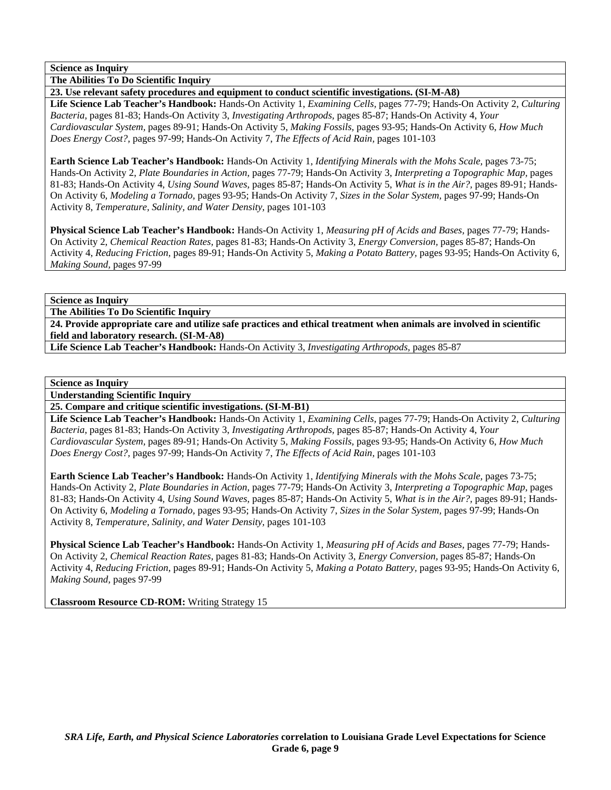**The Abilities To Do Scientific Inquiry** 

**23. Use relevant safety procedures and equipment to conduct scientific investigations. (SI-M-A8)** 

**Life Science Lab Teacher's Handbook:** Hands-On Activity 1, *Examining Cells,* pages 77-79; Hands-On Activity 2, *Culturing Bacteria,* pages 81-83; Hands-On Activity 3, *Investigating Arthropods,* pages 85-87; Hands-On Activity 4, *Your Cardiovascular System,* pages 89-91; Hands-On Activity 5, *Making Fossils,* pages 93-95; Hands-On Activity 6, *How Much Does Energy Cost?,* pages 97-99; Hands-On Activity 7, *The Effects of Acid Rain,* pages 101-103

**Earth Science Lab Teacher's Handbook:** Hands-On Activity 1, *Identifying Minerals with the Mohs Scale,* pages 73-75; Hands-On Activity 2, *Plate Boundaries in Action,* pages 77-79; Hands-On Activity 3, *Interpreting a Topographic Map,* pages 81-83; Hands-On Activity 4, *Using Sound Waves,* pages 85-87; Hands-On Activity 5, *What is in the Air?,* pages 89-91; Hands-On Activity 6, *Modeling a Tornado,* pages 93-95; Hands-On Activity 7, *Sizes in the Solar System,* pages 97-99; Hands-On Activity 8, *Temperature, Salinity, and Water Density,* pages 101-103

**Physical Science Lab Teacher's Handbook:** Hands-On Activity 1, *Measuring pH of Acids and Bases,* pages 77-79; Hands-On Activity 2, *Chemical Reaction Rates,* pages 81-83; Hands-On Activity 3, *Energy Conversion,* pages 85-87; Hands-On Activity 4, *Reducing Friction,* pages 89-91; Hands-On Activity 5, *Making a Potato Battery,* pages 93-95; Hands-On Activity 6, *Making Sound,* pages 97-99

**Science as Inquiry** 

**The Abilities To Do Scientific Inquiry** 

**24. Provide appropriate care and utilize safe practices and ethical treatment when animals are involved in scientific field and laboratory research. (SI-M-A8)** 

**Life Science Lab Teacher's Handbook:** Hands-On Activity 3, *Investigating Arthropods,* pages 85-87

### **Science as Inquiry**

**Understanding Scientific Inquiry** 

**25. Compare and critique scientific investigations. (SI-M-B1)** 

**Life Science Lab Teacher's Handbook:** Hands-On Activity 1, *Examining Cells,* pages 77-79; Hands-On Activity 2, *Culturing Bacteria,* pages 81-83; Hands-On Activity 3, *Investigating Arthropods,* pages 85-87; Hands-On Activity 4, *Your Cardiovascular System,* pages 89-91; Hands-On Activity 5, *Making Fossils,* pages 93-95; Hands-On Activity 6, *How Much Does Energy Cost?,* pages 97-99; Hands-On Activity 7, *The Effects of Acid Rain,* pages 101-103

**Earth Science Lab Teacher's Handbook:** Hands-On Activity 1, *Identifying Minerals with the Mohs Scale,* pages 73-75; Hands-On Activity 2, *Plate Boundaries in Action,* pages 77-79; Hands-On Activity 3, *Interpreting a Topographic Map,* pages 81-83; Hands-On Activity 4, *Using Sound Waves,* pages 85-87; Hands-On Activity 5, *What is in the Air?,* pages 89-91; Hands-On Activity 6, *Modeling a Tornado,* pages 93-95; Hands-On Activity 7, *Sizes in the Solar System,* pages 97-99; Hands-On Activity 8, *Temperature, Salinity, and Water Density,* pages 101-103

**Physical Science Lab Teacher's Handbook:** Hands-On Activity 1, *Measuring pH of Acids and Bases,* pages 77-79; Hands-On Activity 2, *Chemical Reaction Rates,* pages 81-83; Hands-On Activity 3, *Energy Conversion,* pages 85-87; Hands-On Activity 4, *Reducing Friction,* pages 89-91; Hands-On Activity 5, *Making a Potato Battery,* pages 93-95; Hands-On Activity 6, *Making Sound,* pages 97-99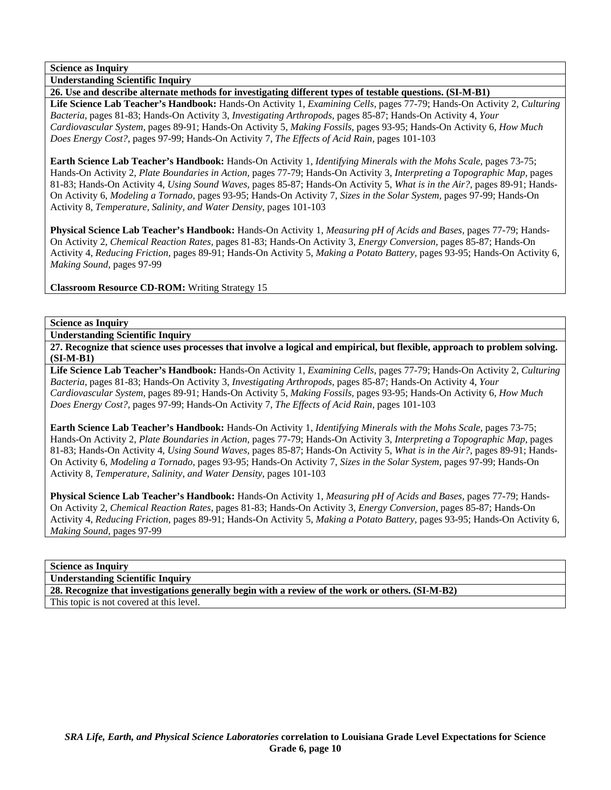**Understanding Scientific Inquiry** 

**26. Use and describe alternate methods for investigating different types of testable questions. (SI-M-B1) Life Science Lab Teacher's Handbook:** Hands-On Activity 1, *Examining Cells,* pages 77-79; Hands-On Activity 2, *Culturing Bacteria,* pages 81-83; Hands-On Activity 3, *Investigating Arthropods,* pages 85-87; Hands-On Activity 4, *Your Cardiovascular System,* pages 89-91; Hands-On Activity 5, *Making Fossils,* pages 93-95; Hands-On Activity 6, *How Much Does Energy Cost?,* pages 97-99; Hands-On Activity 7, *The Effects of Acid Rain,* pages 101-103

**Earth Science Lab Teacher's Handbook:** Hands-On Activity 1, *Identifying Minerals with the Mohs Scale,* pages 73-75; Hands-On Activity 2, *Plate Boundaries in Action,* pages 77-79; Hands-On Activity 3, *Interpreting a Topographic Map,* pages 81-83; Hands-On Activity 4, *Using Sound Waves,* pages 85-87; Hands-On Activity 5, *What is in the Air?,* pages 89-91; Hands-On Activity 6, *Modeling a Tornado,* pages 93-95; Hands-On Activity 7, *Sizes in the Solar System,* pages 97-99; Hands-On Activity 8, *Temperature, Salinity, and Water Density,* pages 101-103

**Physical Science Lab Teacher's Handbook:** Hands-On Activity 1, *Measuring pH of Acids and Bases,* pages 77-79; Hands-On Activity 2, *Chemical Reaction Rates,* pages 81-83; Hands-On Activity 3, *Energy Conversion,* pages 85-87; Hands-On Activity 4, *Reducing Friction,* pages 89-91; Hands-On Activity 5, *Making a Potato Battery,* pages 93-95; Hands-On Activity 6, *Making Sound,* pages 97-99

**Classroom Resource CD-ROM:** Writing Strategy 15

## **Science as Inquiry**

**Understanding Scientific Inquiry** 

**27. Recognize that science uses processes that involve a logical and empirical, but flexible, approach to problem solving. (SI-M-B1)** 

**Life Science Lab Teacher's Handbook:** Hands-On Activity 1, *Examining Cells,* pages 77-79; Hands-On Activity 2, *Culturing Bacteria,* pages 81-83; Hands-On Activity 3, *Investigating Arthropods,* pages 85-87; Hands-On Activity 4, *Your Cardiovascular System,* pages 89-91; Hands-On Activity 5, *Making Fossils,* pages 93-95; Hands-On Activity 6, *How Much Does Energy Cost?,* pages 97-99; Hands-On Activity 7, *The Effects of Acid Rain,* pages 101-103

**Earth Science Lab Teacher's Handbook:** Hands-On Activity 1, *Identifying Minerals with the Mohs Scale,* pages 73-75; Hands-On Activity 2, *Plate Boundaries in Action,* pages 77-79; Hands-On Activity 3, *Interpreting a Topographic Map,* pages 81-83; Hands-On Activity 4, *Using Sound Waves,* pages 85-87; Hands-On Activity 5, *What is in the Air?,* pages 89-91; Hands-On Activity 6, *Modeling a Tornado,* pages 93-95; Hands-On Activity 7, *Sizes in the Solar System,* pages 97-99; Hands-On Activity 8, *Temperature, Salinity, and Water Density,* pages 101-103

**Physical Science Lab Teacher's Handbook:** Hands-On Activity 1, *Measuring pH of Acids and Bases,* pages 77-79; Hands-On Activity 2, *Chemical Reaction Rates,* pages 81-83; Hands-On Activity 3, *Energy Conversion,* pages 85-87; Hands-On Activity 4, *Reducing Friction,* pages 89-91; Hands-On Activity 5, *Making a Potato Battery,* pages 93-95; Hands-On Activity 6, *Making Sound,* pages 97-99

## **Science as Inquiry**

**Understanding Scientific Inquiry** 

**28. Recognize that investigations generally begin with a review of the work or others. (SI-M-B2)**  This topic is not covered at this level.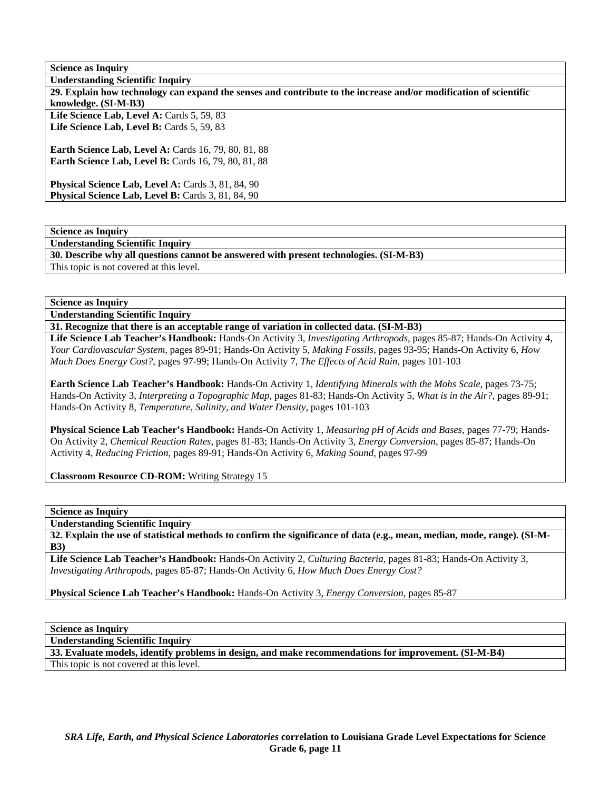| <b>Science as Inquiry</b>                                                                                         |
|-------------------------------------------------------------------------------------------------------------------|
| <b>Understanding Scientific Inquiry</b>                                                                           |
| 29. Explain how technology can expand the senses and contribute to the increase and/or modification of scientific |
| knowledge. (SI-M-B3)                                                                                              |
| Life Science Lab, Level A: Cards 5, 59, 83                                                                        |
| Life Science Lab, Level B: Cards 5, 59, 83                                                                        |
|                                                                                                                   |
| <b>Earth Science Lab, Level A: Cards 16, 79, 80, 81, 88</b>                                                       |
| <b>Earth Science Lab, Level B:</b> Cards 16, 79, 80, 81, 88                                                       |
|                                                                                                                   |
| <b>Physical Science Lab, Level A: Cards 3, 81, 84, 90</b>                                                         |
| Physical Science Lab, Level B: Cards 3, 81, 84, 90                                                                |
|                                                                                                                   |

**Understanding Scientific Inquiry** 

**30. Describe why all questions cannot be answered with present technologies. (SI-M-B3)** 

This topic is not covered at this level.

**Science as Inquiry** 

**Understanding Scientific Inquiry** 

**31. Recognize that there is an acceptable range of variation in collected data. (SI-M-B3)** 

**Life Science Lab Teacher's Handbook:** Hands-On Activity 3, *Investigating Arthropods,* pages 85-87; Hands-On Activity 4, *Your Cardiovascular System,* pages 89-91; Hands-On Activity 5, *Making Fossils,* pages 93-95; Hands-On Activity 6, *How Much Does Energy Cost?,* pages 97-99; Hands-On Activity 7, *The Effects of Acid Rain,* pages 101-103

**Earth Science Lab Teacher's Handbook:** Hands-On Activity 1, *Identifying Minerals with the Mohs Scale,* pages 73-75; Hands-On Activity 3, *Interpreting a Topographic Map,* pages 81-83; Hands-On Activity 5, *What is in the Air?,* pages 89-91; Hands-On Activity 8, *Temperature, Salinity, and Water Density,* pages 101-103

**Physical Science Lab Teacher's Handbook:** Hands-On Activity 1, *Measuring pH of Acids and Bases,* pages 77-79; Hands-On Activity 2, *Chemical Reaction Rates,* pages 81-83; Hands-On Activity 3, *Energy Conversion,* pages 85-87; Hands-On Activity 4, *Reducing Friction,* pages 89-91; Hands-On Activity 6, *Making Sound,* pages 97-99

**Classroom Resource CD-ROM:** Writing Strategy 15

**Science as Inquiry** 

**Understanding Scientific Inquiry** 

**32. Explain the use of statistical methods to confirm the significance of data (e.g., mean, median, mode, range). (SI-M-B3)** 

**Life Science Lab Teacher's Handbook:** Hands-On Activity 2, *Culturing Bacteria,* pages 81-83; Hands-On Activity 3, *Investigating Arthropods,* pages 85-87; Hands-On Activity 6, *How Much Does Energy Cost?*

**Physical Science Lab Teacher's Handbook:** Hands-On Activity 3, *Energy Conversion,* pages 85-87

**Science as Inquiry** 

**Understanding Scientific Inquiry** 

**33. Evaluate models, identify problems in design, and make recommendations for improvement. (SI-M-B4)** 

This topic is not covered at this level.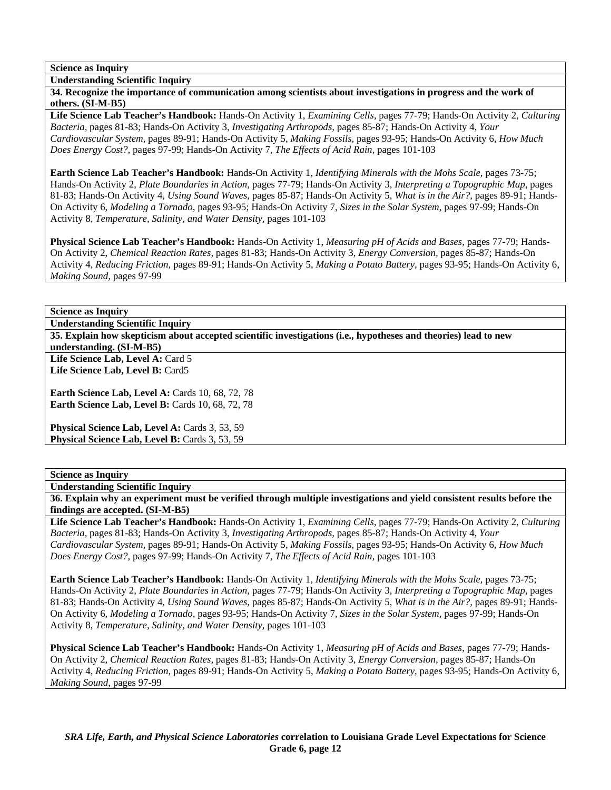**Understanding Scientific Inquiry** 

**34. Recognize the importance of communication among scientists about investigations in progress and the work of others. (SI-M-B5)** 

**Life Science Lab Teacher's Handbook:** Hands-On Activity 1, *Examining Cells,* pages 77-79; Hands-On Activity 2, *Culturing Bacteria,* pages 81-83; Hands-On Activity 3, *Investigating Arthropods,* pages 85-87; Hands-On Activity 4, *Your Cardiovascular System,* pages 89-91; Hands-On Activity 5, *Making Fossils,* pages 93-95; Hands-On Activity 6, *How Much Does Energy Cost?,* pages 97-99; Hands-On Activity 7, *The Effects of Acid Rain,* pages 101-103

**Earth Science Lab Teacher's Handbook:** Hands-On Activity 1, *Identifying Minerals with the Mohs Scale,* pages 73-75; Hands-On Activity 2, *Plate Boundaries in Action,* pages 77-79; Hands-On Activity 3, *Interpreting a Topographic Map,* pages 81-83; Hands-On Activity 4, *Using Sound Waves,* pages 85-87; Hands-On Activity 5, *What is in the Air?,* pages 89-91; Hands-On Activity 6, *Modeling a Tornado,* pages 93-95; Hands-On Activity 7, *Sizes in the Solar System,* pages 97-99; Hands-On Activity 8, *Temperature, Salinity, and Water Density,* pages 101-103

**Physical Science Lab Teacher's Handbook:** Hands-On Activity 1, *Measuring pH of Acids and Bases,* pages 77-79; Hands-On Activity 2, *Chemical Reaction Rates,* pages 81-83; Hands-On Activity 3, *Energy Conversion,* pages 85-87; Hands-On Activity 4, *Reducing Friction,* pages 89-91; Hands-On Activity 5, *Making a Potato Battery,* pages 93-95; Hands-On Activity 6, *Making Sound,* pages 97-99

# **Science as Inquiry**

**Understanding Scientific Inquiry** 

**35. Explain how skepticism about accepted scientific investigations (i.e., hypotheses and theories) lead to new understanding. (SI-M-B5)** 

Life Science Lab, Level A: Card 5 **Life Science Lab, Level B:** Card5

**Earth Science Lab, Level A: Cards 10, 68, 72, 78 Earth Science Lab, Level B: Cards 10, 68, 72, 78** 

Physical Science Lab, Level A: Cards 3, 53, 59 Physical Science Lab, Level B: Cards 3, 53, 59

## **Science as Inquiry**

**Understanding Scientific Inquiry** 

**36. Explain why an experiment must be verified through multiple investigations and yield consistent results before the findings are accepted. (SI-M-B5)** 

**Life Science Lab Teacher's Handbook:** Hands-On Activity 1, *Examining Cells,* pages 77-79; Hands-On Activity 2, *Culturing Bacteria,* pages 81-83; Hands-On Activity 3, *Investigating Arthropods,* pages 85-87; Hands-On Activity 4, *Your Cardiovascular System,* pages 89-91; Hands-On Activity 5, *Making Fossils,* pages 93-95; Hands-On Activity 6, *How Much Does Energy Cost?,* pages 97-99; Hands-On Activity 7, *The Effects of Acid Rain,* pages 101-103

**Earth Science Lab Teacher's Handbook:** Hands-On Activity 1, *Identifying Minerals with the Mohs Scale,* pages 73-75; Hands-On Activity 2, *Plate Boundaries in Action,* pages 77-79; Hands-On Activity 3, *Interpreting a Topographic Map,* pages 81-83; Hands-On Activity 4, *Using Sound Waves,* pages 85-87; Hands-On Activity 5, *What is in the Air?,* pages 89-91; Hands-On Activity 6, *Modeling a Tornado,* pages 93-95; Hands-On Activity 7, *Sizes in the Solar System,* pages 97-99; Hands-On Activity 8, *Temperature, Salinity, and Water Density,* pages 101-103

**Physical Science Lab Teacher's Handbook:** Hands-On Activity 1, *Measuring pH of Acids and Bases,* pages 77-79; Hands-On Activity 2, *Chemical Reaction Rates,* pages 81-83; Hands-On Activity 3, *Energy Conversion,* pages 85-87; Hands-On Activity 4, *Reducing Friction,* pages 89-91; Hands-On Activity 5, *Making a Potato Battery,* pages 93-95; Hands-On Activity 6, *Making Sound,* pages 97-99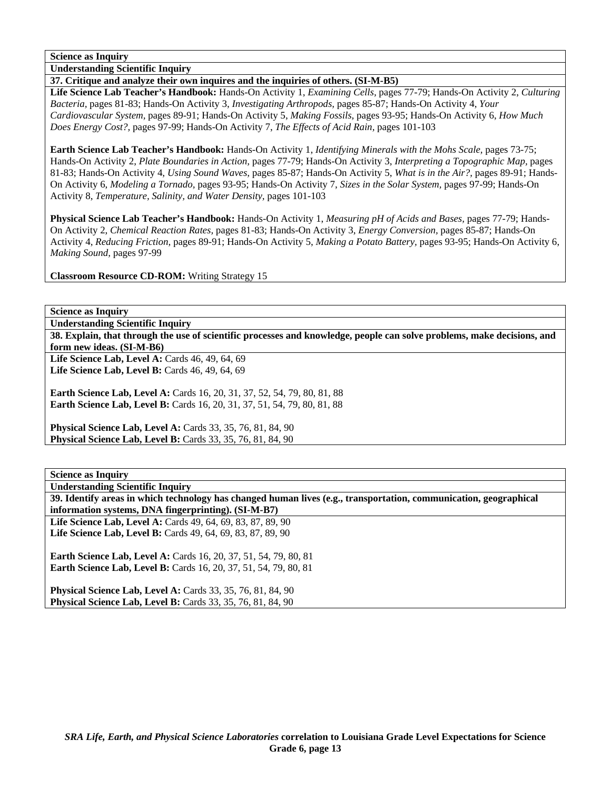**Understanding Scientific Inquiry** 

### **37. Critique and analyze their own inquires and the inquiries of others. (SI-M-B5)**

**Life Science Lab Teacher's Handbook:** Hands-On Activity 1, *Examining Cells,* pages 77-79; Hands-On Activity 2, *Culturing Bacteria,* pages 81-83; Hands-On Activity 3, *Investigating Arthropods,* pages 85-87; Hands-On Activity 4, *Your Cardiovascular System,* pages 89-91; Hands-On Activity 5, *Making Fossils,* pages 93-95; Hands-On Activity 6, *How Much Does Energy Cost?,* pages 97-99; Hands-On Activity 7, *The Effects of Acid Rain,* pages 101-103

**Earth Science Lab Teacher's Handbook:** Hands-On Activity 1, *Identifying Minerals with the Mohs Scale,* pages 73-75; Hands-On Activity 2, *Plate Boundaries in Action,* pages 77-79; Hands-On Activity 3, *Interpreting a Topographic Map,* pages 81-83; Hands-On Activity 4, *Using Sound Waves,* pages 85-87; Hands-On Activity 5, *What is in the Air?,* pages 89-91; Hands-On Activity 6, *Modeling a Tornado,* pages 93-95; Hands-On Activity 7, *Sizes in the Solar System,* pages 97-99; Hands-On Activity 8, *Temperature, Salinity, and Water Density,* pages 101-103

**Physical Science Lab Teacher's Handbook:** Hands-On Activity 1, *Measuring pH of Acids and Bases,* pages 77-79; Hands-On Activity 2, *Chemical Reaction Rates,* pages 81-83; Hands-On Activity 3, *Energy Conversion,* pages 85-87; Hands-On Activity 4, *Reducing Friction,* pages 89-91; Hands-On Activity 5, *Making a Potato Battery,* pages 93-95; Hands-On Activity 6, *Making Sound,* pages 97-99

**Classroom Resource CD-ROM:** Writing Strategy 15

**Science as Inquiry** 

**Understanding Scientific Inquiry** 

**38. Explain, that through the use of scientific processes and knowledge, people can solve problems, make decisions, and form new ideas. (SI-M-B6)** 

Life Science Lab, Level A: Cards 46, 49, 64, 69 Life Science Lab, Level B: Cards 46, 49, 64, 69

**Earth Science Lab, Level A: Cards 16, 20, 31, 37, 52, 54, 79, 80, 81, 88 Earth Science Lab, Level B:** Cards 16, 20, 31, 37, 51, 54, 79, 80, 81, 88

**Physical Science Lab, Level A: Cards 33, 35, 76, 81, 84, 90 Physical Science Lab, Level B:** Cards 33, 35, 76, 81, 84, 90

**Science as Inquiry** 

**Understanding Scientific Inquiry** 

**39. Identify areas in which technology has changed human lives (e.g., transportation, communication, geographical information systems, DNA fingerprinting). (SI-M-B7)** 

**Life Science Lab, Level A:** Cards 49, 64, 69, 83, 87, 89, 90 **Life Science Lab, Level B:** Cards 49, 64, 69, 83, 87, 89, 90

**Earth Science Lab, Level A: Cards 16, 20, 37, 51, 54, 79, 80, 81 Earth Science Lab, Level B:** Cards 16, 20, 37, 51, 54, 79, 80, 81

**Physical Science Lab, Level A: Cards 33, 35, 76, 81, 84, 90 Physical Science Lab, Level B:** Cards 33, 35, 76, 81, 84, 90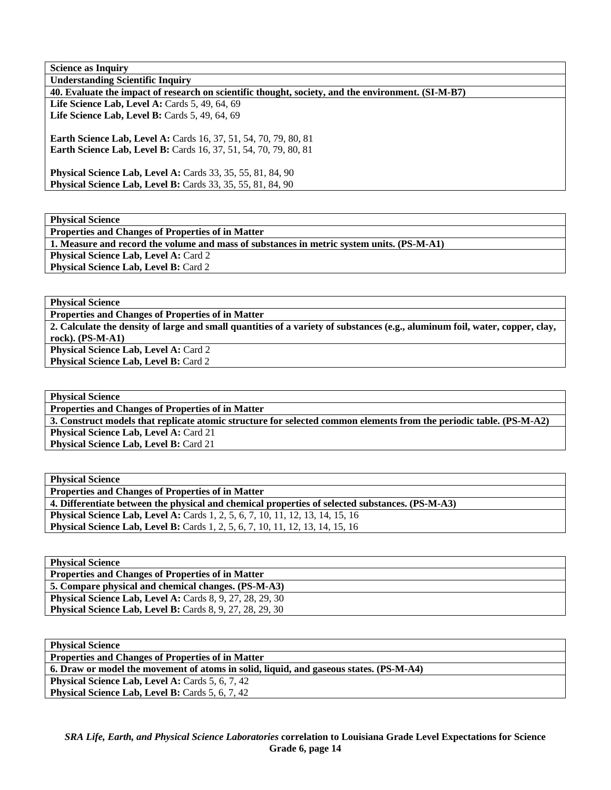| <b>Science as Inquiry</b>                                                                          |
|----------------------------------------------------------------------------------------------------|
| <b>Understanding Scientific Inquiry</b>                                                            |
| 40. Evaluate the impact of research on scientific thought, society, and the environment. (SI-M-B7) |
| Life Science Lab, Level A: Cards $5, 49, 64, 69$                                                   |
| Life Science Lab, Level B: Cards 5, 49, 64, 69                                                     |
|                                                                                                    |
| <b>Earth Science Lab, Level A: Cards 16, 37, 51, 54, 70, 79, 80, 81</b>                            |
| <b>Earth Science Lab, Level B:</b> Cards 16, 37, 51, 54, 70, 79, 80, 81                            |
|                                                                                                    |
| <b>Physical Science Lab, Level A: Cards 33, 35, 55, 81, 84, 90</b>                                 |
| <b>Physical Science Lab, Level B:</b> Cards 33, 35, 55, 81, 84, 90                                 |
|                                                                                                    |

**Physical Science** 

**Properties and Changes of Properties of in Matter 1. Measure and record the volume and mass of substances in metric system units. (PS-M-A1) Physical Science Lab, Level A: Card 2 Physical Science Lab, Level B: Card 2** 

**Physical Science** 

**Properties and Changes of Properties of in Matter** 

**2. Calculate the density of large and small quantities of a variety of substances (e.g., aluminum foil, water, copper, clay, rock). (PS-M-A1) Physical Science Lab, Level A: Card 2** 

**Physical Science Lab, Level B: Card 2** 

**Physical Science Properties and Changes of Properties of in Matter 3. Construct models that replicate atomic structure for selected common elements from the periodic table. (PS-M-A2)**  Physical Science Lab, Level A: Card 21 **Physical Science Lab, Level B: Card 21** 

| <b>Physical Science</b>                                                                         |
|-------------------------------------------------------------------------------------------------|
| <b>Properties and Changes of Properties of in Matter</b>                                        |
| 4. Differentiate between the physical and chemical properties of selected substances. (PS-M-A3) |
| <b>Physical Science Lab, Level A:</b> Cards 1, 2, 5, 6, 7, 10, 11, 12, 13, 14, 15, 16           |
| <b>Physical Science Lab, Level B:</b> Cards 1, 2, 5, 6, 7, 10, 11, 12, 13, 14, 15, 16           |

| <b>Physical Science</b>                                          |
|------------------------------------------------------------------|
| <b>Properties and Changes of Properties of in Matter</b>         |
| 5. Compare physical and chemical changes. (PS-M-A3)              |
| <b>Physical Science Lab, Level A: Cards 8, 9, 27, 28, 29, 30</b> |
| <b>Physical Science Lab, Level B:</b> Cards 8, 9, 27, 28, 29, 30 |

| <b>Physical Science</b>                                                                |
|----------------------------------------------------------------------------------------|
| <b>Properties and Changes of Properties of in Matter</b>                               |
| 6. Draw or model the movement of atoms in solid, liquid, and gaseous states. (PS-M-A4) |
| <b>Physical Science Lab, Level A: Cards 5, 6, 7, 42</b>                                |
| <b>Physical Science Lab, Level B:</b> Cards 5, 6, 7, 42                                |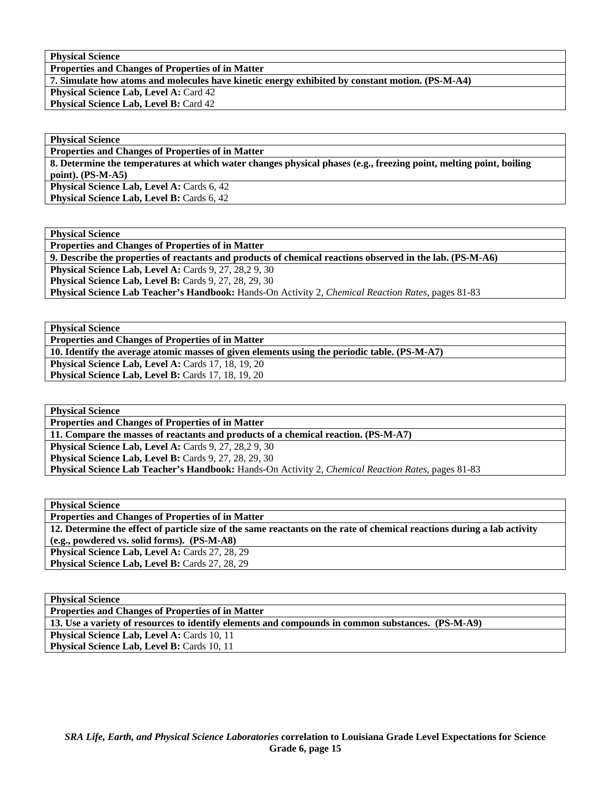**Physical Science** 

**Properties and Changes of Properties of in Matter** 

**7. Simulate how atoms and molecules have kinetic energy exhibited by constant motion. (PS-M-A4)** 

**Physical Science Lab, Level A: Card 42 Physical Science Lab, Level B: Card 42** 

**Physical Science Properties and Changes of Properties of in Matter** 

**8. Determine the temperatures at which water changes physical phases (e.g., freezing point, melting point, boiling point). (PS-M-A5) Physical Science Lab, Level A: Cards 6, 42** 

**Physical Science Lab, Level B: Cards 6, 42** 

**Physical Science Properties and Changes of Properties of in Matter 9. Describe the properties of reactants and products of chemical reactions observed in the lab. (PS-M-A6) Physical Science Lab, Level A: Cards 9, 27, 28, 29, 30** 

**Physical Science Lab, Level B: Cards 9, 27, 28, 29, 30** 

**Physical Science Lab Teacher's Handbook:** Hands-On Activity 2, *Chemical Reaction Rates,* pages 81-83

**Physical Science Properties and Changes of Properties of in Matter** 

**10. Identify the average atomic masses of given elements using the periodic table. (PS-M-A7)** 

**Physical Science Lab, Level A: Cards 17, 18, 19, 20** 

**Physical Science Lab, Level B: Cards 17, 18, 19, 20** 

**Physical Science Properties and Changes of Properties of in Matter 11. Compare the masses of reactants and products of a chemical reaction. (PS-M-A7) Physical Science Lab, Level A: Cards 9, 27, 28, 29, 30 Physical Science Lab, Level B:** Cards 9, 27, 28, 29, 30 **Physical Science Lab Teacher's Handbook:** Hands-On Activity 2, *Chemical Reaction Rates,* pages 81-83

**Physical Science Properties and Changes of Properties of in Matter 12. Determine the effect of particle size of the same reactants on the rate of chemical reactions during a lab activity (e.g., powdered vs. solid forms). (PS-M-A8)**  Physical Science Lab, Level A: Cards 27, 28, 29 Physical Science Lab, Level B: Cards 27, 28, 29

| <b>Physical Science</b>                                                                           |
|---------------------------------------------------------------------------------------------------|
| <b>Properties and Changes of Properties of in Matter</b>                                          |
| 13. Use a variety of resources to identify elements and compounds in common substances. (PS-M-A9) |
| <b>Physical Science Lab, Level A: Cards 10, 11</b>                                                |
| <b>Physical Science Lab, Level B: Cards 10, 11</b>                                                |
|                                                                                                   |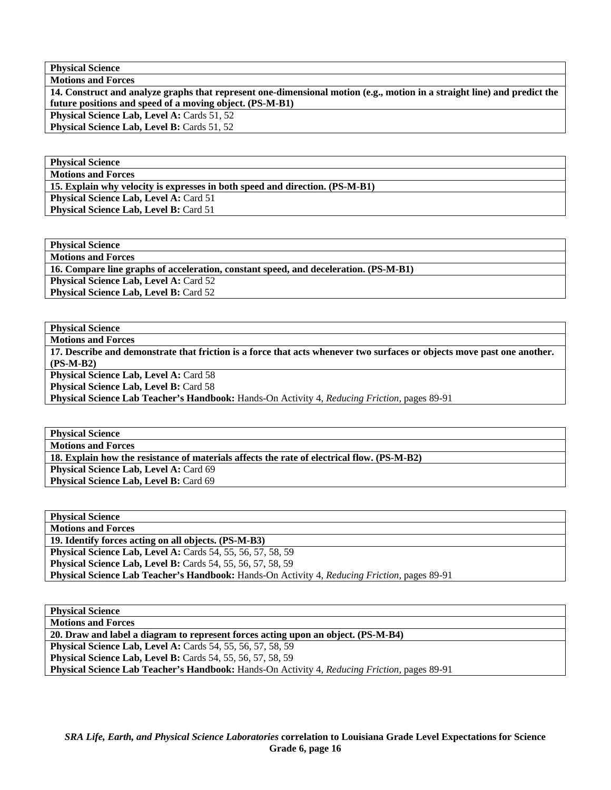**Physical Science Motions and Forces** 

**14. Construct and analyze graphs that represent one-dimensional motion (e.g., motion in a straight line) and predict the future positions and speed of a moving object. (PS-M-B1)** 

Physical Science Lab, Level A: Cards 51, 52 **Physical Science Lab, Level B: Cards 51, 52** 

**Physical Science** 

**Motions and Forces** 

**15. Explain why velocity is expresses in both speed and direction. (PS-M-B1)** 

**Physical Science Lab, Level A: Card 51 Physical Science Lab, Level B: Card 51** 

**Physical Science** 

**Motions and Forces** 

**16. Compare line graphs of acceleration, constant speed, and deceleration. (PS-M-B1)** 

**Physical Science Lab, Level A: Card 52** 

**Physical Science Lab, Level B: Card 52** 

**Physical Science** 

**Motions and Forces** 

**17. Describe and demonstrate that friction is a force that acts whenever two surfaces or objects move past one another. (PS-M-B2) Physical Science Lab, Level A: Card 58** 

**Physical Science Lab, Level B: Card 58** 

**Physical Science Lab Teacher's Handbook:** Hands-On Activity 4, *Reducing Friction,* pages 89-91

**Physical Science** 

**Motions and Forces** 

**18. Explain how the resistance of materials affects the rate of electrical flow. (PS-M-B2)** 

Physical Science Lab, Level A: Card 69

**Physical Science Lab, Level B: Card 69** 

| <b>Physical Science</b>                                                                             |
|-----------------------------------------------------------------------------------------------------|
| <b>Motions and Forces</b>                                                                           |
| 20. Draw and label a diagram to represent forces acting upon an object. (PS-M-B4)                   |
| Physical Science Lab, Level A: Cards 54, 55, 56, 57, 58, 59                                         |
| <b>Physical Science Lab, Level B:</b> Cards 54, 55, 56, 57, 58, 59                                  |
| <b>Physical Science Lab Teacher's Handbook:</b> Hands-On Activity 4, Reducing Friction, pages 89-91 |
|                                                                                                     |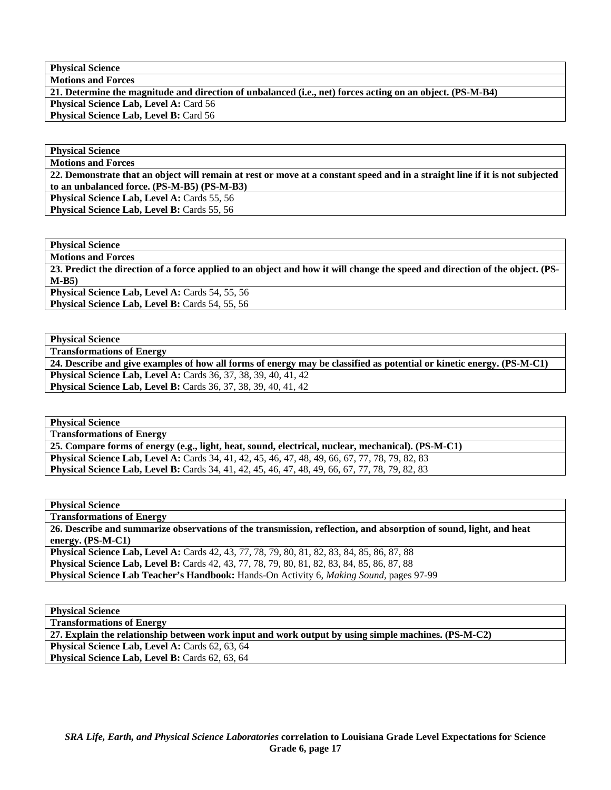**Physical Science Motions and Forces** 

**21. Determine the magnitude and direction of unbalanced (i.e., net) forces acting on an object. (PS-M-B4) Physical Science Lab, Level A: Card 56** 

**Physical Science Lab, Level B: Card 56** 

**Physical Science Motions and Forces** 

**22. Demonstrate that an object will remain at rest or move at a constant speed and in a straight line if it is not subjected to an unbalanced force. (PS-M-B5) (PS-M-B3)** 

**Physical Science Lab, Level A: Cards 55, 56** 

Physical Science Lab, Level B: Cards 55, 56

**Physical Science** 

**Motions and Forces** 

**23. Predict the direction of a force applied to an object and how it will change the speed and direction of the object. (PS-M-B5)** 

Physical Science Lab, Level A: Cards 54, 55, 56

Physical Science Lab, Level B: Cards 54, 55, 56

**Physical Science** 

**Transformations of Energy** 

**24. Describe and give examples of how all forms of energy may be classified as potential or kinetic energy. (PS-M-C1) Physical Science Lab, Level A:** Cards 36, 37, 38, 39, 40, 41, 42 **Physical Science Lab, Level B:** Cards 36, 37, 38, 39, 40, 41, 42

**Physical Science** 

**Transformations of Energy** 

**25. Compare forms of energy (e.g., light, heat, sound, electrical, nuclear, mechanical). (PS-M-C1) Physical Science Lab, Level A:** Cards 34, 41, 42, 45, 46, 47, 48, 49, 66, 67, 77, 78, 79, 82, 83 **Physical Science Lab, Level B:** Cards 34, 41, 42, 45, 46, 47, 48, 49, 66, 67, 77, 78, 79, 82, 83

**Physical Science** 

**Transformations of Energy** 

**26. Describe and summarize observations of the transmission, reflection, and absorption of sound, light, and heat energy. (PS-M-C1)** 

**Physical Science Lab, Level A:** Cards 42, 43, 77, 78, 79, 80, 81, 82, 83, 84, 85, 86, 87, 88 **Physical Science Lab, Level B:** Cards 42, 43, 77, 78, 79, 80, 81, 82, 83, 84, 85, 86, 87, 88 **Physical Science Lab Teacher's Handbook:** Hands-On Activity 6, *Making Sound,* pages 97-99

**Physical Science Transformations of Energy 27. Explain the relationship between work input and work output by using simple machines. (PS-M-C2)**  Physical Science Lab, Level A: Cards 62, 63, 64 Physical Science Lab, Level B: Cards 62, 63, 64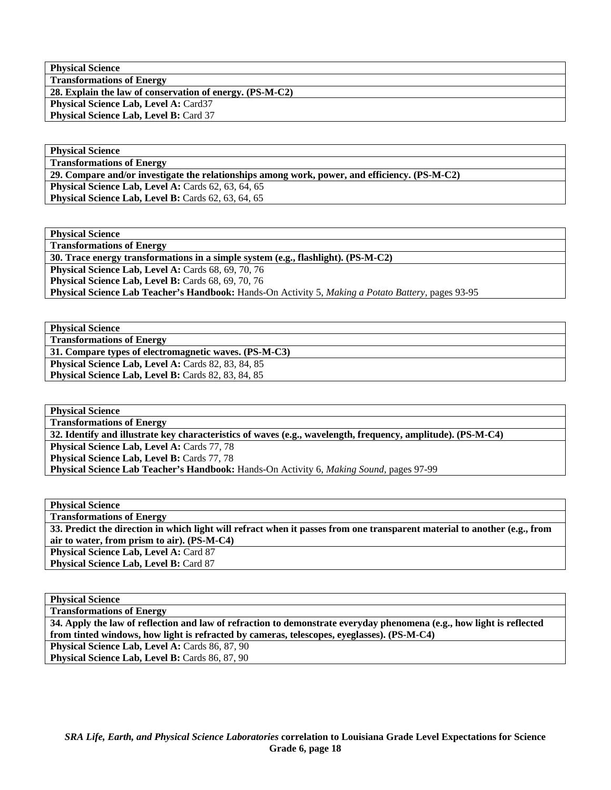**Physical Science Transformations of Energy 28. Explain the law of conservation of energy. (PS-M-C2) Physical Science Lab, Level A: Card37** Physical Science Lab, Level B: Card 37

**Physical Science Transformations of Energy** 

**29. Compare and/or investigate the relationships among work, power, and efficiency. (PS-M-C2)** 

**Physical Science Lab, Level A: Cards 62, 63, 64, 65 Physical Science Lab, Level B: Cards 62, 63, 64, 65** 

**Physical Science** 

**Transformations of Energy** 

**30. Trace energy transformations in a simple system (e.g., flashlight). (PS-M-C2)** 

Physical Science Lab, Level A: Cards 68, 69, 70, 76 **Physical Science Lab, Level B:** Cards 68, 69, 70, 76

**Physical Science Lab Teacher's Handbook:** Hands-On Activity 5, *Making a Potato Battery,* pages 93-95

**Physical Science** 

**Transformations of Energy 31. Compare types of electromagnetic waves. (PS-M-C3)** 

**Physical Science Lab, Level A: Cards 82, 83, 84, 85 Physical Science Lab, Level B: Cards 82, 83, 84, 85** 

**Physical Science Transformations of Energy** 

**32. Identify and illustrate key characteristics of waves (e.g., wavelength, frequency, amplitude). (PS-M-C4)** 

**Physical Science Lab, Level A: Cards 77, 78** 

**Physical Science Lab, Level B: Cards 77, 78** 

**Physical Science Lab Teacher's Handbook:** Hands-On Activity 6, *Making Sound,* pages 97-99

**Physical Science Transformations of Energy 33. Predict the direction in which light will refract when it passes from one transparent material to another (e.g., from air to water, from prism to air). (PS-M-C4)**  Physical Science Lab, Level A: Card 87 **Physical Science Lab, Level B: Card 87** 

**Physical Science** 

**Transformations of Energy** 

**34. Apply the law of reflection and law of refraction to demonstrate everyday phenomena (e.g., how light is reflected from tinted windows, how light is refracted by cameras, telescopes, eyeglasses). (PS-M-C4)**  Physical Science Lab, Level A: Cards 86, 87, 90 Physical Science Lab, Level B: Cards 86, 87, 90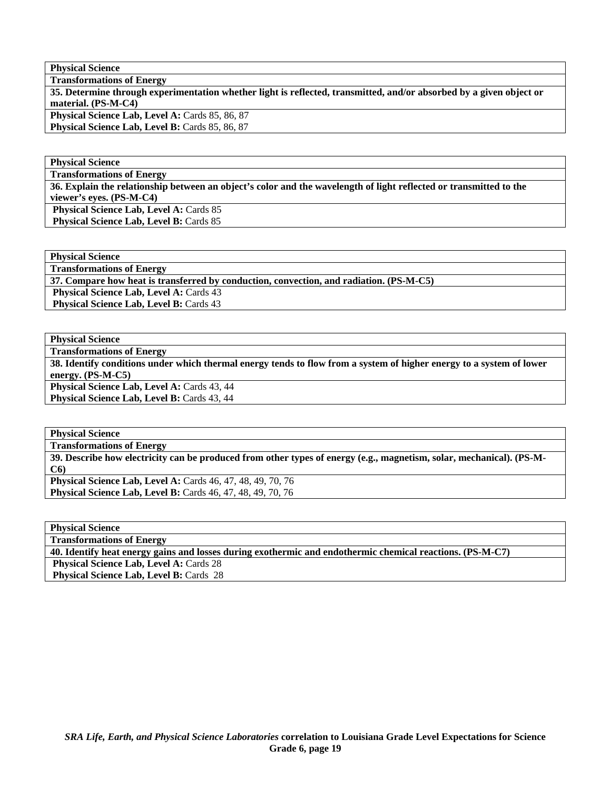**Physical Science** 

| <b>Transformations of Energy</b>                                                                                    |
|---------------------------------------------------------------------------------------------------------------------|
| 35. Determine through experimentation whether light is reflected, transmitted, and/or absorbed by a given object or |
| material. (PS-M-C4)                                                                                                 |
| <b>Physical Science Lab, Level A: Cards 85, 86, 87</b>                                                              |
| <b>Physical Science Lab, Level B: Cards 85, 86, 87</b>                                                              |

**Physical Science** 

**Transformations of Energy** 

**36. Explain the relationship between an object's color and the wavelength of light reflected or transmitted to the viewer's eyes. (PS-M-C4)** 

**Physical Science Lab, Level A: Cards 85 Physical Science Lab, Level B: Cards 85** 

**Physical Science** 

**Transformations of Energy** 

**37. Compare how heat is transferred by conduction, convection, and radiation. (PS-M-C5)** 

**Physical Science Lab, Level A: Cards 43** 

**Physical Science Lab, Level B: Cards 43** 

**Physical Science** 

**Transformations of Energy** 

**38. Identify conditions under which thermal energy tends to flow from a system of higher energy to a system of lower energy. (PS-M-C5) Physical Science Lab, Level A: Cards 43, 44** 

Physical Science Lab, Level B: Cards 43, 44

**Physical Science** 

**Transformations of Energy 39. Describe how electricity can be produced from other types of energy (e.g., magnetism, solar, mechanical). (PS-M-C6) Physical Science Lab, Level A:** Cards 46, 47, 48, 49, 70, 76 **Physical Science Lab, Level B:** Cards 46, 47, 48, 49, 70, 76

**Physical Science** 

**Transformations of Energy** 

**40. Identify heat energy gains and losses during exothermic and endothermic chemical reactions. (PS-M-C7)** 

**Physical Science Lab, Level A: Cards 28** 

 **Physical Science Lab, Level B: Cards 28**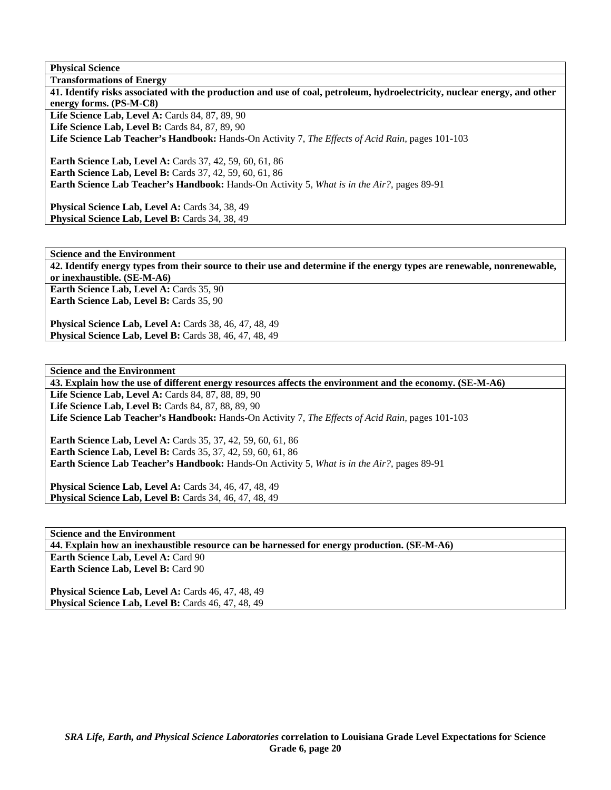**Physical Science** 

**Transformations of Energy 41. Identify risks associated with the production and use of coal, petroleum, hydroelectricity, nuclear energy, and other energy forms. (PS-M-C8)**  Life Science Lab, Level A: Cards 84, 87, 89, 90 Life Science Lab, Level B: Cards 84, 87, 89, 90 **Life Science Lab Teacher's Handbook:** Hands-On Activity 7, *The Effects of Acid Rain,* pages 101-103 **Earth Science Lab, Level A:** Cards 37, 42, 59, 60, 61, 86 **Earth Science Lab, Level B: Cards 37, 42, 59, 60, 61, 86 Earth Science Lab Teacher's Handbook:** Hands-On Activity 5, *What is in the Air?,* pages 89-91

Physical Science Lab, Level A: Cards 34, 38, 49 Physical Science Lab, Level B: Cards 34, 38, 49

**Science and the Environment 42. Identify energy types from their source to their use and determine if the energy types are renewable, nonrenewable, or inexhaustible. (SE-M-A6)**  Earth Science Lab, Level A: Cards 35, 90 Earth Science Lab, Level B: Cards 35, 90

**Physical Science Lab, Level A: Cards 38, 46, 47, 48, 49 Physical Science Lab, Level B:** Cards 38, 46, 47, 48, 49

**Science and the Environment** 

**43. Explain how the use of different energy resources affects the environment and the economy. (SE-M-A6)** 

Life Science Lab, Level A: Cards 84, 87, 88, 89, 90 **Life Science Lab, Level B: Cards 84, 87, 88, 89, 90 Life Science Lab Teacher's Handbook:** Hands-On Activity 7, *The Effects of Acid Rain,* pages 101-103

**Earth Science Lab, Level A:** Cards 35, 37, 42, 59, 60, 61, 86 **Earth Science Lab, Level B:** Cards 35, 37, 42, 59, 60, 61, 86 **Earth Science Lab Teacher's Handbook:** Hands-On Activity 5, *What is in the Air?,* pages 89-91

**Physical Science Lab, Level A:** Cards 34, 46, 47, 48, 49 **Physical Science Lab, Level B:** Cards 34, 46, 47, 48, 49

**Science and the Environment 44. Explain how an inexhaustible resource can be harnessed for energy production. (SE-M-A6) Earth Science Lab, Level A: Card 90 Earth Science Lab, Level B: Card 90** 

Physical Science Lab, Level A: Cards 46, 47, 48, 49 Physical Science Lab, Level B: Cards 46, 47, 48, 49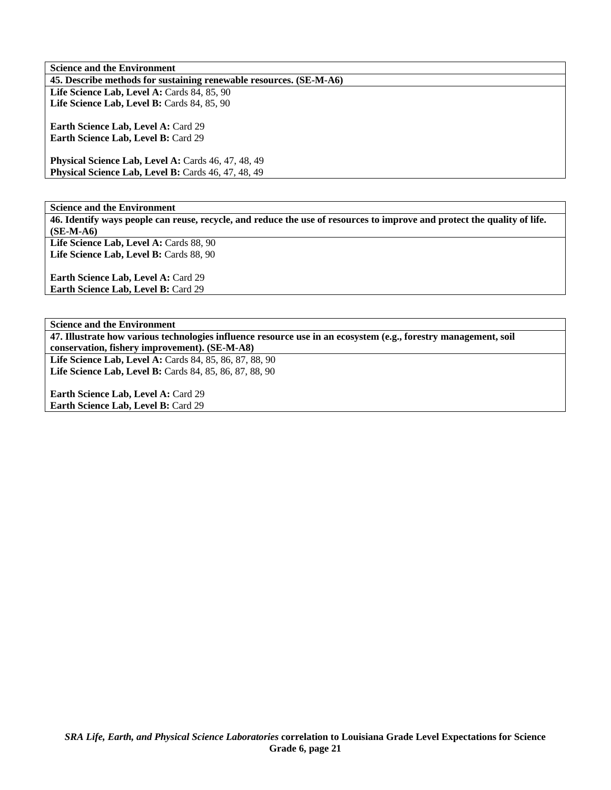**Science and the Environment 45. Describe methods for sustaining renewable resources. (SE-M-A6) Life Science Lab, Level A: Cards 84, 85, 90** Life Science Lab, Level B: Cards 84, 85, 90

**Earth Science Lab, Level A: Card 29 Earth Science Lab, Level B:** Card 29

**Physical Science Lab, Level A: Cards 46, 47, 48, 49 Physical Science Lab, Level B: Cards 46, 47, 48, 49** 

**Science and the Environment** 

**46. Identify ways people can reuse, recycle, and reduce the use of resources to improve and protect the quality of life. (SE-M-A6)** 

Life Science Lab, Level A: Cards 88, 90 Life Science Lab, Level B: Cards 88, 90

**Earth Science Lab, Level A: Card 29 Earth Science Lab, Level B: Card 29** 

**Science and the Environment** 

**47. Illustrate how various technologies influence resource use in an ecosystem (e.g., forestry management, soil conservation, fishery improvement). (SE-M-A8)** 

**Life Science Lab, Level A:** Cards 84, 85, 86, 87, 88, 90 **Life Science Lab, Level B:** Cards 84, 85, 86, 87, 88, 90

**Earth Science Lab, Level A: Card 29 Earth Science Lab, Level B:** Card 29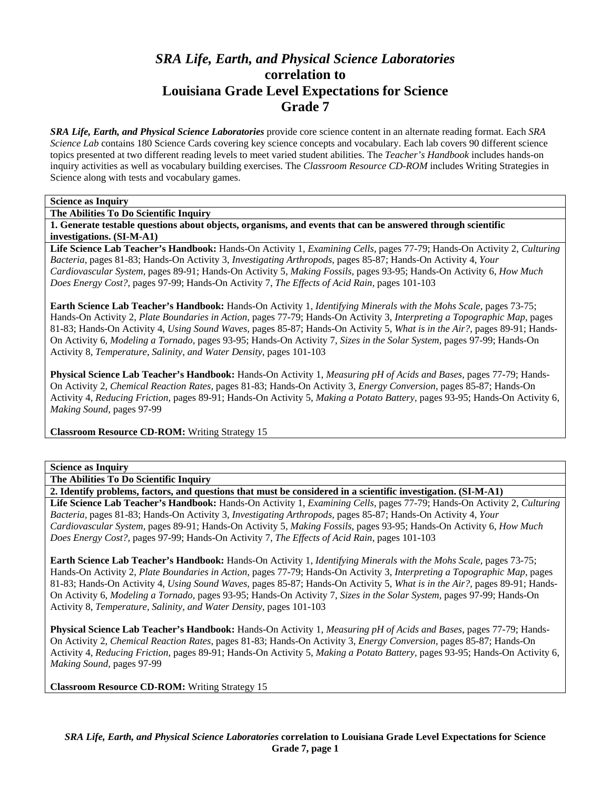# *SRA Life, Earth, and Physical Science Laboratories*  **correlation to Louisiana Grade Level Expectations for Science Grade 7**

*SRA Life, Earth, and Physical Science Laboratories* provide core science content in an alternate reading format. Each *SRA Science Lab* contains 180 Science Cards covering key science concepts and vocabulary. Each lab covers 90 different science topics presented at two different reading levels to meet varied student abilities. The *Teacher's Handbook* includes hands-on inquiry activities as well as vocabulary building exercises. The *Classroom Resource CD-ROM* includes Writing Strategies in Science along with tests and vocabulary games.

## **Science as Inquiry**

**The Abilities To Do Scientific Inquiry** 

**1. Generate testable questions about objects, organisms, and events that can be answered through scientific investigations. (SI-M-A1)** 

**Life Science Lab Teacher's Handbook:** Hands-On Activity 1, *Examining Cells,* pages 77-79; Hands-On Activity 2, *Culturing Bacteria,* pages 81-83; Hands-On Activity 3, *Investigating Arthropods,* pages 85-87; Hands-On Activity 4, *Your Cardiovascular System,* pages 89-91; Hands-On Activity 5, *Making Fossils,* pages 93-95; Hands-On Activity 6, *How Much Does Energy Cost?,* pages 97-99; Hands-On Activity 7, *The Effects of Acid Rain,* pages 101-103

**Earth Science Lab Teacher's Handbook:** Hands-On Activity 1, *Identifying Minerals with the Mohs Scale,* pages 73-75; Hands-On Activity 2, *Plate Boundaries in Action,* pages 77-79; Hands-On Activity 3, *Interpreting a Topographic Map,* pages 81-83; Hands-On Activity 4, *Using Sound Waves,* pages 85-87; Hands-On Activity 5, *What is in the Air?,* pages 89-91; Hands-On Activity 6, *Modeling a Tornado,* pages 93-95; Hands-On Activity 7, *Sizes in the Solar System,* pages 97-99; Hands-On Activity 8, *Temperature, Salinity, and Water Density,* pages 101-103

**Physical Science Lab Teacher's Handbook:** Hands-On Activity 1, *Measuring pH of Acids and Bases,* pages 77-79; Hands-On Activity 2, *Chemical Reaction Rates,* pages 81-83; Hands-On Activity 3, *Energy Conversion,* pages 85-87; Hands-On Activity 4, *Reducing Friction,* pages 89-91; Hands-On Activity 5, *Making a Potato Battery,* pages 93-95; Hands-On Activity 6, *Making Sound,* pages 97-99

**Classroom Resource CD-ROM:** Writing Strategy 15

#### **Science as Inquiry**

**The Abilities To Do Scientific Inquiry** 

**2. Identify problems, factors, and questions that must be considered in a scientific investigation. (SI-M-A1)** 

**Life Science Lab Teacher's Handbook:** Hands-On Activity 1, *Examining Cells,* pages 77-79; Hands-On Activity 2, *Culturing Bacteria,* pages 81-83; Hands-On Activity 3, *Investigating Arthropods,* pages 85-87; Hands-On Activity 4, *Your Cardiovascular System,* pages 89-91; Hands-On Activity 5, *Making Fossils,* pages 93-95; Hands-On Activity 6, *How Much Does Energy Cost?,* pages 97-99; Hands-On Activity 7, *The Effects of Acid Rain,* pages 101-103

**Earth Science Lab Teacher's Handbook:** Hands-On Activity 1, *Identifying Minerals with the Mohs Scale,* pages 73-75; Hands-On Activity 2, *Plate Boundaries in Action,* pages 77-79; Hands-On Activity 3, *Interpreting a Topographic Map,* pages 81-83; Hands-On Activity 4, *Using Sound Waves,* pages 85-87; Hands-On Activity 5, *What is in the Air?,* pages 89-91; Hands-On Activity 6, *Modeling a Tornado,* pages 93-95; Hands-On Activity 7, *Sizes in the Solar System,* pages 97-99; Hands-On Activity 8, *Temperature, Salinity, and Water Density,* pages 101-103

**Physical Science Lab Teacher's Handbook:** Hands-On Activity 1, *Measuring pH of Acids and Bases,* pages 77-79; Hands-On Activity 2, *Chemical Reaction Rates,* pages 81-83; Hands-On Activity 3, *Energy Conversion,* pages 85-87; Hands-On Activity 4, *Reducing Friction,* pages 89-91; Hands-On Activity 5, *Making a Potato Battery,* pages 93-95; Hands-On Activity 6, *Making Sound,* pages 97-99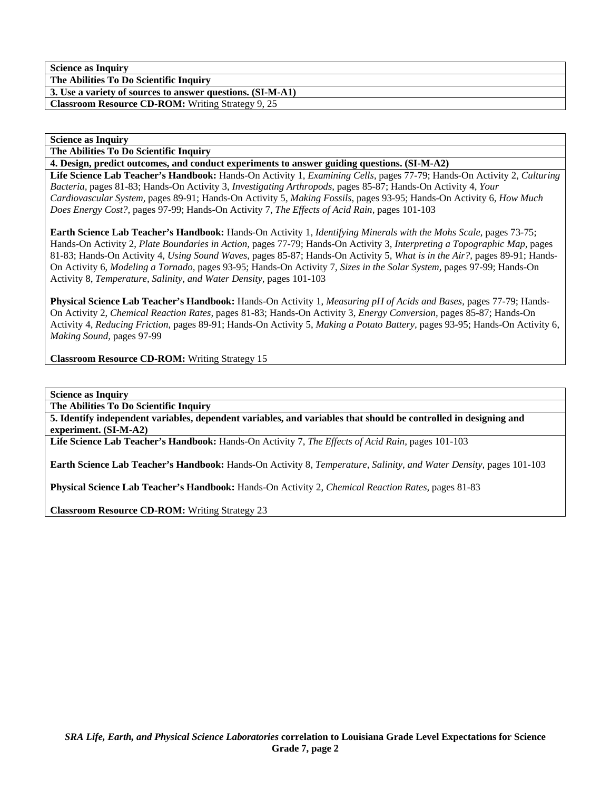**The Abilities To Do Scientific Inquiry 3. Use a variety of sources to answer questions. (SI-M-A1)** 

**Classroom Resource CD-ROM:** Writing Strategy 9, 25

## **Science as Inquiry**

**The Abilities To Do Scientific Inquiry** 

**4. Design, predict outcomes, and conduct experiments to answer guiding questions. (SI-M-A2)** 

**Life Science Lab Teacher's Handbook:** Hands-On Activity 1, *Examining Cells,* pages 77-79; Hands-On Activity 2, *Culturing Bacteria,* pages 81-83; Hands-On Activity 3, *Investigating Arthropods,* pages 85-87; Hands-On Activity 4, *Your Cardiovascular System,* pages 89-91; Hands-On Activity 5, *Making Fossils,* pages 93-95; Hands-On Activity 6, *How Much Does Energy Cost?,* pages 97-99; Hands-On Activity 7, *The Effects of Acid Rain,* pages 101-103

**Earth Science Lab Teacher's Handbook:** Hands-On Activity 1, *Identifying Minerals with the Mohs Scale,* pages 73-75; Hands-On Activity 2, *Plate Boundaries in Action,* pages 77-79; Hands-On Activity 3, *Interpreting a Topographic Map,* pages 81-83; Hands-On Activity 4, *Using Sound Waves,* pages 85-87; Hands-On Activity 5, *What is in the Air?,* pages 89-91; Hands-On Activity 6, *Modeling a Tornado,* pages 93-95; Hands-On Activity 7, *Sizes in the Solar System,* pages 97-99; Hands-On Activity 8, *Temperature, Salinity, and Water Density,* pages 101-103

**Physical Science Lab Teacher's Handbook:** Hands-On Activity 1, *Measuring pH of Acids and Bases,* pages 77-79; Hands-On Activity 2, *Chemical Reaction Rates,* pages 81-83; Hands-On Activity 3, *Energy Conversion,* pages 85-87; Hands-On Activity 4, *Reducing Friction,* pages 89-91; Hands-On Activity 5, *Making a Potato Battery,* pages 93-95; Hands-On Activity 6, *Making Sound,* pages 97-99

**Classroom Resource CD-ROM:** Writing Strategy 15

**Science as Inquiry** 

**The Abilities To Do Scientific Inquiry** 

**5. Identify independent variables, dependent variables, and variables that should be controlled in designing and experiment. (SI-M-A2)** 

**Life Science Lab Teacher's Handbook:** Hands-On Activity 7, *The Effects of Acid Rain,* pages 101-103

**Earth Science Lab Teacher's Handbook:** Hands-On Activity 8, *Temperature, Salinity, and Water Density,* pages 101-103

**Physical Science Lab Teacher's Handbook:** Hands-On Activity 2, *Chemical Reaction Rates,* pages 81-83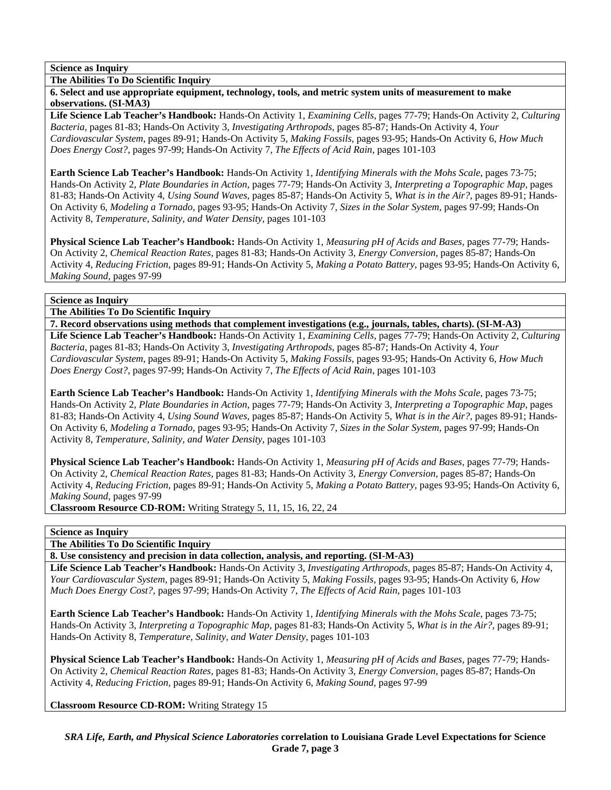**The Abilities To Do Scientific Inquiry** 

**6. Select and use appropriate equipment, technology, tools, and metric system units of measurement to make observations. (SI-MA3)** 

**Life Science Lab Teacher's Handbook:** Hands-On Activity 1, *Examining Cells,* pages 77-79; Hands-On Activity 2, *Culturing Bacteria,* pages 81-83; Hands-On Activity 3, *Investigating Arthropods,* pages 85-87; Hands-On Activity 4, *Your Cardiovascular System,* pages 89-91; Hands-On Activity 5, *Making Fossils,* pages 93-95; Hands-On Activity 6, *How Much Does Energy Cost?,* pages 97-99; Hands-On Activity 7, *The Effects of Acid Rain,* pages 101-103

**Earth Science Lab Teacher's Handbook:** Hands-On Activity 1, *Identifying Minerals with the Mohs Scale,* pages 73-75; Hands-On Activity 2, *Plate Boundaries in Action,* pages 77-79; Hands-On Activity 3, *Interpreting a Topographic Map,* pages 81-83; Hands-On Activity 4, *Using Sound Waves,* pages 85-87; Hands-On Activity 5, *What is in the Air?,* pages 89-91; Hands-On Activity 6, *Modeling a Tornado,* pages 93-95; Hands-On Activity 7, *Sizes in the Solar System,* pages 97-99; Hands-On Activity 8, *Temperature, Salinity, and Water Density,* pages 101-103

**Physical Science Lab Teacher's Handbook:** Hands-On Activity 1, *Measuring pH of Acids and Bases,* pages 77-79; Hands-On Activity 2, *Chemical Reaction Rates,* pages 81-83; Hands-On Activity 3, *Energy Conversion,* pages 85-87; Hands-On Activity 4, *Reducing Friction,* pages 89-91; Hands-On Activity 5, *Making a Potato Battery,* pages 93-95; Hands-On Activity 6, *Making Sound,* pages 97-99

# **Science as Inquiry**

**The Abilities To Do Scientific Inquiry** 

**7. Record observations using methods that complement investigations (e.g., journals, tables, charts). (SI-M-A3) Life Science Lab Teacher's Handbook:** Hands-On Activity 1, *Examining Cells,* pages 77-79; Hands-On Activity 2, *Culturing Bacteria,* pages 81-83; Hands-On Activity 3, *Investigating Arthropods,* pages 85-87; Hands-On Activity 4, *Your Cardiovascular System,* pages 89-91; Hands-On Activity 5, *Making Fossils,* pages 93-95; Hands-On Activity 6, *How Much Does Energy Cost?,* pages 97-99; Hands-On Activity 7, *The Effects of Acid Rain,* pages 101-103

**Earth Science Lab Teacher's Handbook:** Hands-On Activity 1, *Identifying Minerals with the Mohs Scale,* pages 73-75; Hands-On Activity 2, *Plate Boundaries in Action,* pages 77-79; Hands-On Activity 3, *Interpreting a Topographic Map,* pages 81-83; Hands-On Activity 4, *Using Sound Waves,* pages 85-87; Hands-On Activity 5, *What is in the Air?,* pages 89-91; Hands-On Activity 6, *Modeling a Tornado,* pages 93-95; Hands-On Activity 7, *Sizes in the Solar System,* pages 97-99; Hands-On Activity 8, *Temperature, Salinity, and Water Density,* pages 101-103

**Physical Science Lab Teacher's Handbook:** Hands-On Activity 1, *Measuring pH of Acids and Bases,* pages 77-79; Hands-On Activity 2, *Chemical Reaction Rates,* pages 81-83; Hands-On Activity 3, *Energy Conversion,* pages 85-87; Hands-On Activity 4, *Reducing Friction,* pages 89-91; Hands-On Activity 5, *Making a Potato Battery,* pages 93-95; Hands-On Activity 6, *Making Sound,* pages 97-99

**Classroom Resource CD-ROM:** Writing Strategy 5, 11, 15, 16, 22, 24

# **Science as Inquiry**

**The Abilities To Do Scientific Inquiry** 

**8. Use consistency and precision in data collection, analysis, and reporting. (SI-M-A3)** 

**Life Science Lab Teacher's Handbook:** Hands-On Activity 3, *Investigating Arthropods,* pages 85-87; Hands-On Activity 4, *Your Cardiovascular System,* pages 89-91; Hands-On Activity 5, *Making Fossils,* pages 93-95; Hands-On Activity 6, *How Much Does Energy Cost?,* pages 97-99; Hands-On Activity 7, *The Effects of Acid Rain,* pages 101-103

**Earth Science Lab Teacher's Handbook:** Hands-On Activity 1, *Identifying Minerals with the Mohs Scale,* pages 73-75; Hands-On Activity 3, *Interpreting a Topographic Map,* pages 81-83; Hands-On Activity 5, *What is in the Air?,* pages 89-91; Hands-On Activity 8, *Temperature, Salinity, and Water Density,* pages 101-103

**Physical Science Lab Teacher's Handbook:** Hands-On Activity 1, *Measuring pH of Acids and Bases,* pages 77-79; Hands-On Activity 2, *Chemical Reaction Rates,* pages 81-83; Hands-On Activity 3, *Energy Conversion,* pages 85-87; Hands-On Activity 4, *Reducing Friction,* pages 89-91; Hands-On Activity 6, *Making Sound,* pages 97-99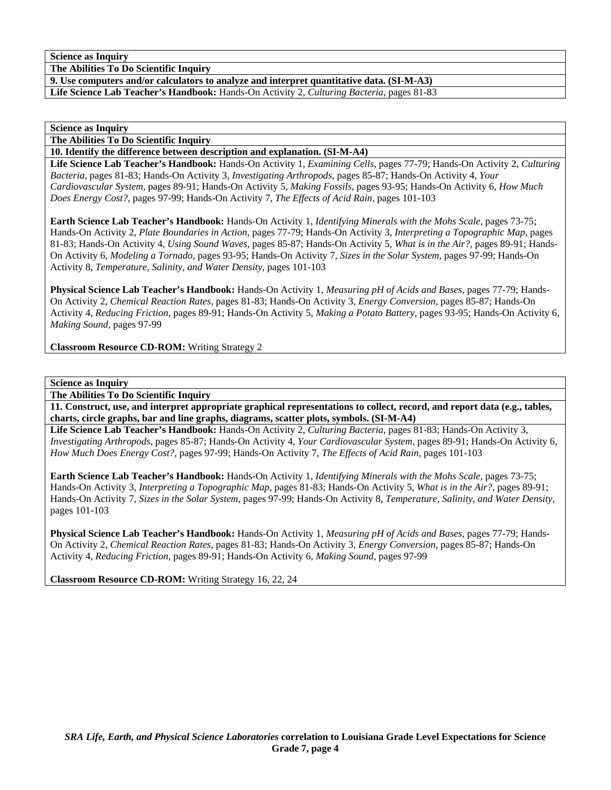**The Abilities To Do Scientific Inquiry** 

**9. Use computers and/or calculators to analyze and interpret quantitative data. (SI-M-A3)** 

**Life Science Lab Teacher's Handbook:** Hands-On Activity 2, *Culturing Bacteria,* pages 81-83

**Science as Inquiry** 

**The Abilities To Do Scientific Inquiry** 

**10. Identify the difference between description and explanation. (SI-M-A4)** 

**Life Science Lab Teacher's Handbook:** Hands-On Activity 1, *Examining Cells,* pages 77-79; Hands-On Activity 2, *Culturing Bacteria,* pages 81-83; Hands-On Activity 3, *Investigating Arthropods,* pages 85-87; Hands-On Activity 4, *Your Cardiovascular System,* pages 89-91; Hands-On Activity 5, *Making Fossils,* pages 93-95; Hands-On Activity 6, *How Much Does Energy Cost?,* pages 97-99; Hands-On Activity 7, *The Effects of Acid Rain,* pages 101-103

**Earth Science Lab Teacher's Handbook:** Hands-On Activity 1, *Identifying Minerals with the Mohs Scale,* pages 73-75; Hands-On Activity 2, *Plate Boundaries in Action,* pages 77-79; Hands-On Activity 3, *Interpreting a Topographic Map,* pages 81-83; Hands-On Activity 4, *Using Sound Waves,* pages 85-87; Hands-On Activity 5, *What is in the Air?,* pages 89-91; Hands-On Activity 6, *Modeling a Tornado,* pages 93-95; Hands-On Activity 7, *Sizes in the Solar System,* pages 97-99; Hands-On Activity 8, *Temperature, Salinity, and Water Density,* pages 101-103

**Physical Science Lab Teacher's Handbook:** Hands-On Activity 1, *Measuring pH of Acids and Bases,* pages 77-79; Hands-On Activity 2, *Chemical Reaction Rates,* pages 81-83; Hands-On Activity 3, *Energy Conversion,* pages 85-87; Hands-On Activity 4, *Reducing Friction,* pages 89-91; Hands-On Activity 5, *Making a Potato Battery,* pages 93-95; Hands-On Activity 6, *Making Sound,* pages 97-99

**Classroom Resource CD-ROM:** Writing Strategy 2

**Science as Inquiry** 

**The Abilities To Do Scientific Inquiry** 

**11. Construct, use, and interpret appropriate graphical representations to collect, record, and report data (e.g., tables, charts, circle graphs, bar and line graphs, diagrams, scatter plots, symbols. (SI-M-A4)** 

**Life Science Lab Teacher's Handbook:** Hands-On Activity 2, *Culturing Bacteria,* pages 81-83; Hands-On Activity 3, *Investigating Arthropods,* pages 85-87; Hands-On Activity 4, *Your Cardiovascular System,* pages 89-91; Hands-On Activity 6, *How Much Does Energy Cost?,* pages 97-99; Hands-On Activity 7, *The Effects of Acid Rain,* pages 101-103

**Earth Science Lab Teacher's Handbook:** Hands-On Activity 1, *Identifying Minerals with the Mohs Scale,* pages 73-75; Hands-On Activity 3, *Interpreting a Topographic Map,* pages 81-83; Hands-On Activity 5, *What is in the Air?,* pages 89-91; Hands-On Activity 7, *Sizes in the Solar System,* pages 97-99; Hands-On Activity 8, *Temperature, Salinity, and Water Density,* pages 101-103

**Physical Science Lab Teacher's Handbook:** Hands-On Activity 1, *Measuring pH of Acids and Bases,* pages 77-79; Hands-On Activity 2, *Chemical Reaction Rates,* pages 81-83; Hands-On Activity 3, *Energy Conversion,* pages 85-87; Hands-On Activity 4, *Reducing Friction,* pages 89-91; Hands-On Activity 6, *Making Sound,* pages 97-99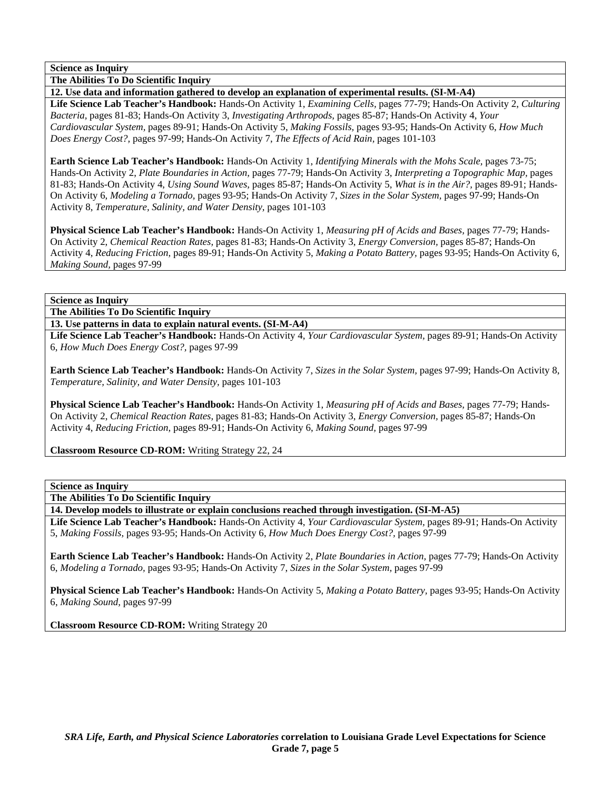**The Abilities To Do Scientific Inquiry** 

**12. Use data and information gathered to develop an explanation of experimental results. (SI-M-A4)** 

**Life Science Lab Teacher's Handbook:** Hands-On Activity 1, *Examining Cells,* pages 77-79; Hands-On Activity 2, *Culturing Bacteria,* pages 81-83; Hands-On Activity 3, *Investigating Arthropods,* pages 85-87; Hands-On Activity 4, *Your Cardiovascular System,* pages 89-91; Hands-On Activity 5, *Making Fossils,* pages 93-95; Hands-On Activity 6, *How Much Does Energy Cost?,* pages 97-99; Hands-On Activity 7, *The Effects of Acid Rain,* pages 101-103

**Earth Science Lab Teacher's Handbook:** Hands-On Activity 1, *Identifying Minerals with the Mohs Scale,* pages 73-75; Hands-On Activity 2, *Plate Boundaries in Action,* pages 77-79; Hands-On Activity 3, *Interpreting a Topographic Map,* pages 81-83; Hands-On Activity 4, *Using Sound Waves,* pages 85-87; Hands-On Activity 5, *What is in the Air?,* pages 89-91; Hands-On Activity 6, *Modeling a Tornado,* pages 93-95; Hands-On Activity 7, *Sizes in the Solar System,* pages 97-99; Hands-On Activity 8, *Temperature, Salinity, and Water Density,* pages 101-103

**Physical Science Lab Teacher's Handbook:** Hands-On Activity 1, *Measuring pH of Acids and Bases,* pages 77-79; Hands-On Activity 2, *Chemical Reaction Rates,* pages 81-83; Hands-On Activity 3, *Energy Conversion,* pages 85-87; Hands-On Activity 4, *Reducing Friction,* pages 89-91; Hands-On Activity 5, *Making a Potato Battery,* pages 93-95; Hands-On Activity 6, *Making Sound,* pages 97-99

### **Science as Inquiry**

**The Abilities To Do Scientific Inquiry** 

**13. Use patterns in data to explain natural events. (SI-M-A4)** 

**Life Science Lab Teacher's Handbook:** Hands-On Activity 4, *Your Cardiovascular System,* pages 89-91; Hands-On Activity 6, *How Much Does Energy Cost?,* pages 97-99

**Earth Science Lab Teacher's Handbook:** Hands-On Activity 7, *Sizes in the Solar System,* pages 97-99; Hands-On Activity 8, *Temperature, Salinity, and Water Density,* pages 101-103

**Physical Science Lab Teacher's Handbook:** Hands-On Activity 1, *Measuring pH of Acids and Bases,* pages 77-79; Hands-On Activity 2, *Chemical Reaction Rates,* pages 81-83; Hands-On Activity 3, *Energy Conversion,* pages 85-87; Hands-On Activity 4, *Reducing Friction,* pages 89-91; Hands-On Activity 6, *Making Sound,* pages 97-99

**Classroom Resource CD-ROM:** Writing Strategy 22, 24

#### **Science as Inquiry**

**The Abilities To Do Scientific Inquiry** 

**14. Develop models to illustrate or explain conclusions reached through investigation. (SI-M-A5)** 

**Life Science Lab Teacher's Handbook:** Hands-On Activity 4, *Your Cardiovascular System,* pages 89-91; Hands-On Activity 5, *Making Fossils,* pages 93-95; Hands-On Activity 6, *How Much Does Energy Cost?,* pages 97-99

**Earth Science Lab Teacher's Handbook:** Hands-On Activity 2, *Plate Boundaries in Action,* pages 77-79; Hands-On Activity 6, *Modeling a Tornado,* pages 93-95; Hands-On Activity 7, *Sizes in the Solar System,* pages 97-99

**Physical Science Lab Teacher's Handbook:** Hands-On Activity 5, *Making a Potato Battery,* pages 93-95; Hands-On Activity 6, *Making Sound,* pages 97-99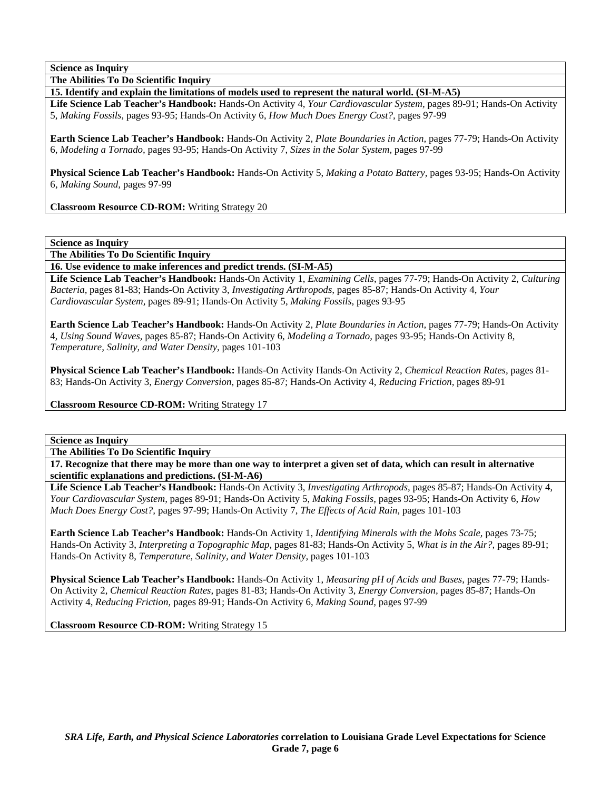**The Abilities To Do Scientific Inquiry** 

**15. Identify and explain the limitations of models used to represent the natural world. (SI-M-A5)** 

**Life Science Lab Teacher's Handbook:** Hands-On Activity 4, *Your Cardiovascular System,* pages 89-91; Hands-On Activity 5, *Making Fossils,* pages 93-95; Hands-On Activity 6, *How Much Does Energy Cost?,* pages 97-99

**Earth Science Lab Teacher's Handbook:** Hands-On Activity 2, *Plate Boundaries in Action,* pages 77-79; Hands-On Activity 6, *Modeling a Tornado,* pages 93-95; Hands-On Activity 7, *Sizes in the Solar System,* pages 97-99

**Physical Science Lab Teacher's Handbook:** Hands-On Activity 5, *Making a Potato Battery,* pages 93-95; Hands-On Activity 6, *Making Sound,* pages 97-99

**Classroom Resource CD-ROM:** Writing Strategy 20

**Science as Inquiry** 

**The Abilities To Do Scientific Inquiry** 

**16. Use evidence to make inferences and predict trends. (SI-M-A5)** 

**Life Science Lab Teacher's Handbook:** Hands-On Activity 1, *Examining Cells,* pages 77-79; Hands-On Activity 2, *Culturing Bacteria,* pages 81-83; Hands-On Activity 3, *Investigating Arthropods,* pages 85-87; Hands-On Activity 4, *Your Cardiovascular System,* pages 89-91; Hands-On Activity 5, *Making Fossils,* pages 93-95

**Earth Science Lab Teacher's Handbook:** Hands-On Activity 2, *Plate Boundaries in Action,* pages 77-79; Hands-On Activity 4, *Using Sound Waves,* pages 85-87; Hands-On Activity 6, *Modeling a Tornado,* pages 93-95; Hands-On Activity 8, *Temperature, Salinity, and Water Density,* pages 101-103

**Physical Science Lab Teacher's Handbook:** Hands-On Activity Hands-On Activity 2, *Chemical Reaction Rates,* pages 81- 83; Hands-On Activity 3, *Energy Conversion,* pages 85-87; Hands-On Activity 4, *Reducing Friction,* pages 89-91

**Classroom Resource CD-ROM:** Writing Strategy 17

**Science as Inquiry** 

**The Abilities To Do Scientific Inquiry** 

**17. Recognize that there may be more than one way to interpret a given set of data, which can result in alternative scientific explanations and predictions. (SI-M-A6)** 

**Life Science Lab Teacher's Handbook:** Hands-On Activity 3, *Investigating Arthropods,* pages 85-87; Hands-On Activity 4, *Your Cardiovascular System,* pages 89-91; Hands-On Activity 5, *Making Fossils,* pages 93-95; Hands-On Activity 6, *How Much Does Energy Cost?,* pages 97-99; Hands-On Activity 7, *The Effects of Acid Rain,* pages 101-103

**Earth Science Lab Teacher's Handbook:** Hands-On Activity 1, *Identifying Minerals with the Mohs Scale,* pages 73-75; Hands-On Activity 3, *Interpreting a Topographic Map,* pages 81-83; Hands-On Activity 5, *What is in the Air?,* pages 89-91; Hands-On Activity 8, *Temperature, Salinity, and Water Density,* pages 101-103

**Physical Science Lab Teacher's Handbook:** Hands-On Activity 1, *Measuring pH of Acids and Bases,* pages 77-79; Hands-On Activity 2, *Chemical Reaction Rates,* pages 81-83; Hands-On Activity 3, *Energy Conversion,* pages 85-87; Hands-On Activity 4, *Reducing Friction,* pages 89-91; Hands-On Activity 6, *Making Sound,* pages 97-99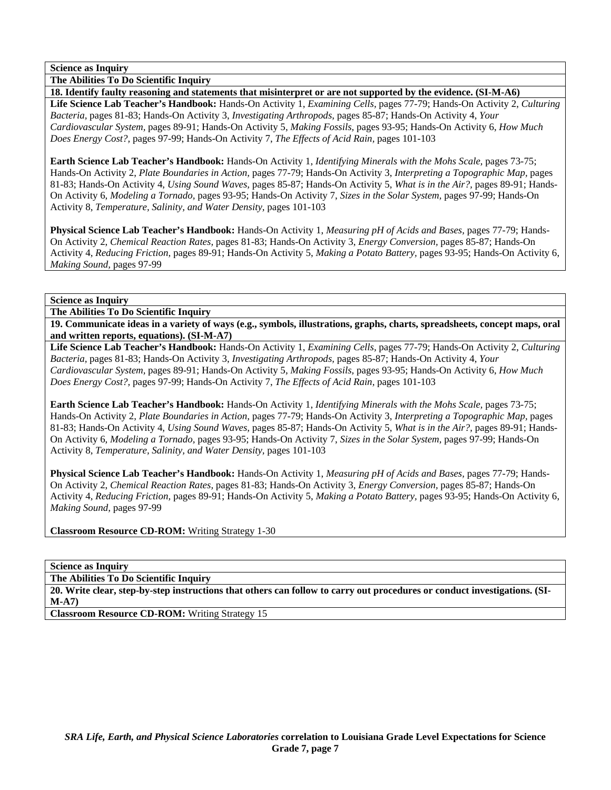**The Abilities To Do Scientific Inquiry** 

**18. Identify faulty reasoning and statements that misinterpret or are not supported by the evidence. (SI-M-A6) Life Science Lab Teacher's Handbook:** Hands-On Activity 1, *Examining Cells,* pages 77-79; Hands-On Activity 2, *Culturing Bacteria,* pages 81-83; Hands-On Activity 3, *Investigating Arthropods,* pages 85-87; Hands-On Activity 4, *Your Cardiovascular System,* pages 89-91; Hands-On Activity 5, *Making Fossils,* pages 93-95; Hands-On Activity 6, *How Much Does Energy Cost?,* pages 97-99; Hands-On Activity 7, *The Effects of Acid Rain,* pages 101-103

**Earth Science Lab Teacher's Handbook:** Hands-On Activity 1, *Identifying Minerals with the Mohs Scale,* pages 73-75; Hands-On Activity 2, *Plate Boundaries in Action,* pages 77-79; Hands-On Activity 3, *Interpreting a Topographic Map,* pages 81-83; Hands-On Activity 4, *Using Sound Waves,* pages 85-87; Hands-On Activity 5, *What is in the Air?,* pages 89-91; Hands-On Activity 6, *Modeling a Tornado,* pages 93-95; Hands-On Activity 7, *Sizes in the Solar System,* pages 97-99; Hands-On Activity 8, *Temperature, Salinity, and Water Density,* pages 101-103

**Physical Science Lab Teacher's Handbook:** Hands-On Activity 1, *Measuring pH of Acids and Bases,* pages 77-79; Hands-On Activity 2, *Chemical Reaction Rates,* pages 81-83; Hands-On Activity 3, *Energy Conversion,* pages 85-87; Hands-On Activity 4, *Reducing Friction,* pages 89-91; Hands-On Activity 5, *Making a Potato Battery,* pages 93-95; Hands-On Activity 6, *Making Sound,* pages 97-99

**Science as Inquiry** 

**The Abilities To Do Scientific Inquiry** 

**19. Communicate ideas in a variety of ways (e.g., symbols, illustrations, graphs, charts, spreadsheets, concept maps, oral and written reports, equations). (SI-M-A7)** 

**Life Science Lab Teacher's Handbook:** Hands-On Activity 1, *Examining Cells,* pages 77-79; Hands-On Activity 2, *Culturing Bacteria,* pages 81-83; Hands-On Activity 3, *Investigating Arthropods,* pages 85-87; Hands-On Activity 4, *Your Cardiovascular System,* pages 89-91; Hands-On Activity 5, *Making Fossils,* pages 93-95; Hands-On Activity 6, *How Much Does Energy Cost?,* pages 97-99; Hands-On Activity 7, *The Effects of Acid Rain,* pages 101-103

**Earth Science Lab Teacher's Handbook:** Hands-On Activity 1, *Identifying Minerals with the Mohs Scale,* pages 73-75; Hands-On Activity 2, *Plate Boundaries in Action,* pages 77-79; Hands-On Activity 3, *Interpreting a Topographic Map,* pages 81-83; Hands-On Activity 4, *Using Sound Waves,* pages 85-87; Hands-On Activity 5, *What is in the Air?,* pages 89-91; Hands-On Activity 6, *Modeling a Tornado,* pages 93-95; Hands-On Activity 7, *Sizes in the Solar System,* pages 97-99; Hands-On Activity 8, *Temperature, Salinity, and Water Density,* pages 101-103

**Physical Science Lab Teacher's Handbook:** Hands-On Activity 1, *Measuring pH of Acids and Bases,* pages 77-79; Hands-On Activity 2, *Chemical Reaction Rates,* pages 81-83; Hands-On Activity 3, *Energy Conversion,* pages 85-87; Hands-On Activity 4, *Reducing Friction,* pages 89-91; Hands-On Activity 5, *Making a Potato Battery,* pages 93-95; Hands-On Activity 6, *Making Sound,* pages 97-99

**Classroom Resource CD-ROM:** Writing Strategy 1-30

**Science as Inquiry** 

**The Abilities To Do Scientific Inquiry** 

**20. Write clear, step-by-step instructions that others can follow to carry out procedures or conduct investigations. (SI-M-A7)**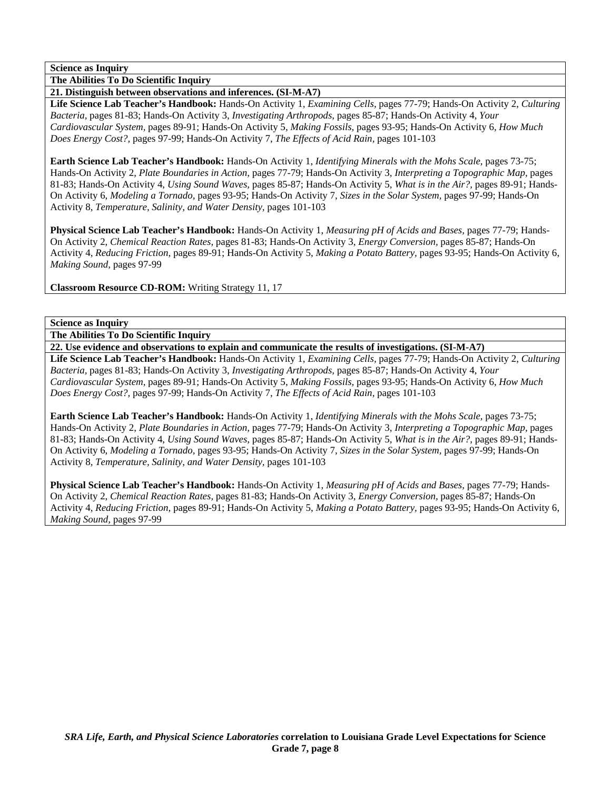**The Abilities To Do Scientific Inquiry** 

**21. Distinguish between observations and inferences. (SI-M-A7)** 

**Life Science Lab Teacher's Handbook:** Hands-On Activity 1, *Examining Cells,* pages 77-79; Hands-On Activity 2, *Culturing Bacteria,* pages 81-83; Hands-On Activity 3, *Investigating Arthropods,* pages 85-87; Hands-On Activity 4, *Your Cardiovascular System,* pages 89-91; Hands-On Activity 5, *Making Fossils,* pages 93-95; Hands-On Activity 6, *How Much Does Energy Cost?,* pages 97-99; Hands-On Activity 7, *The Effects of Acid Rain,* pages 101-103

**Earth Science Lab Teacher's Handbook:** Hands-On Activity 1, *Identifying Minerals with the Mohs Scale,* pages 73-75; Hands-On Activity 2, *Plate Boundaries in Action,* pages 77-79; Hands-On Activity 3, *Interpreting a Topographic Map,* pages 81-83; Hands-On Activity 4, *Using Sound Waves,* pages 85-87; Hands-On Activity 5, *What is in the Air?,* pages 89-91; Hands-On Activity 6, *Modeling a Tornado,* pages 93-95; Hands-On Activity 7, *Sizes in the Solar System,* pages 97-99; Hands-On Activity 8, *Temperature, Salinity, and Water Density,* pages 101-103

**Physical Science Lab Teacher's Handbook:** Hands-On Activity 1, *Measuring pH of Acids and Bases,* pages 77-79; Hands-On Activity 2, *Chemical Reaction Rates,* pages 81-83; Hands-On Activity 3, *Energy Conversion,* pages 85-87; Hands-On Activity 4, *Reducing Friction,* pages 89-91; Hands-On Activity 5, *Making a Potato Battery,* pages 93-95; Hands-On Activity 6, *Making Sound,* pages 97-99

**Classroom Resource CD-ROM:** Writing Strategy 11, 17

### **Science as Inquiry**

**The Abilities To Do Scientific Inquiry** 

**22. Use evidence and observations to explain and communicate the results of investigations. (SI-M-A7)** 

**Life Science Lab Teacher's Handbook:** Hands-On Activity 1, *Examining Cells,* pages 77-79; Hands-On Activity 2, *Culturing Bacteria,* pages 81-83; Hands-On Activity 3, *Investigating Arthropods,* pages 85-87; Hands-On Activity 4, *Your Cardiovascular System,* pages 89-91; Hands-On Activity 5, *Making Fossils,* pages 93-95; Hands-On Activity 6, *How Much Does Energy Cost?,* pages 97-99; Hands-On Activity 7, *The Effects of Acid Rain,* pages 101-103

**Earth Science Lab Teacher's Handbook:** Hands-On Activity 1, *Identifying Minerals with the Mohs Scale,* pages 73-75; Hands-On Activity 2, *Plate Boundaries in Action,* pages 77-79; Hands-On Activity 3, *Interpreting a Topographic Map,* pages 81-83; Hands-On Activity 4, *Using Sound Waves,* pages 85-87; Hands-On Activity 5, *What is in the Air?,* pages 89-91; Hands-On Activity 6, *Modeling a Tornado,* pages 93-95; Hands-On Activity 7, *Sizes in the Solar System,* pages 97-99; Hands-On Activity 8, *Temperature, Salinity, and Water Density,* pages 101-103

**Physical Science Lab Teacher's Handbook:** Hands-On Activity 1, *Measuring pH of Acids and Bases,* pages 77-79; Hands-On Activity 2, *Chemical Reaction Rates,* pages 81-83; Hands-On Activity 3, *Energy Conversion,* pages 85-87; Hands-On Activity 4, *Reducing Friction,* pages 89-91; Hands-On Activity 5, *Making a Potato Battery,* pages 93-95; Hands-On Activity 6, *Making Sound,* pages 97-99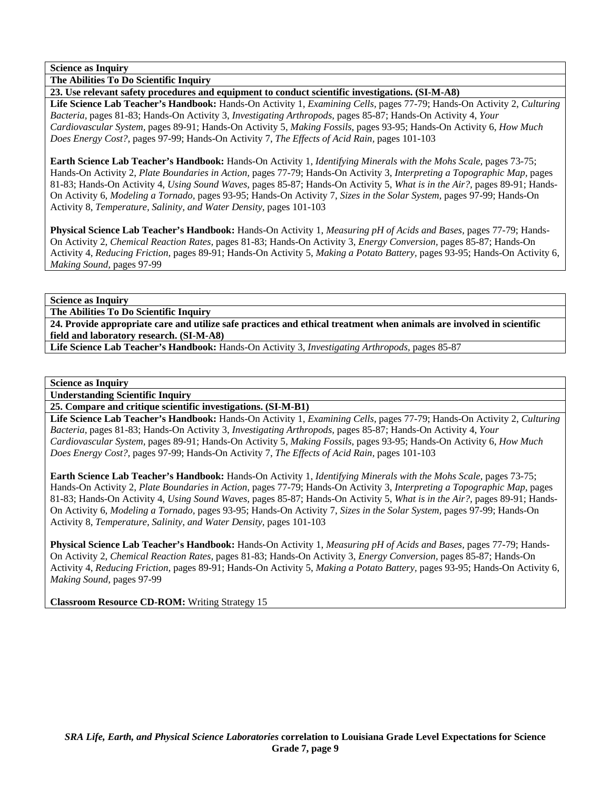**The Abilities To Do Scientific Inquiry** 

**23. Use relevant safety procedures and equipment to conduct scientific investigations. (SI-M-A8)** 

**Life Science Lab Teacher's Handbook:** Hands-On Activity 1, *Examining Cells,* pages 77-79; Hands-On Activity 2, *Culturing Bacteria,* pages 81-83; Hands-On Activity 3, *Investigating Arthropods,* pages 85-87; Hands-On Activity 4, *Your Cardiovascular System,* pages 89-91; Hands-On Activity 5, *Making Fossils,* pages 93-95; Hands-On Activity 6, *How Much Does Energy Cost?,* pages 97-99; Hands-On Activity 7, *The Effects of Acid Rain,* pages 101-103

**Earth Science Lab Teacher's Handbook:** Hands-On Activity 1, *Identifying Minerals with the Mohs Scale,* pages 73-75; Hands-On Activity 2, *Plate Boundaries in Action,* pages 77-79; Hands-On Activity 3, *Interpreting a Topographic Map,* pages 81-83; Hands-On Activity 4, *Using Sound Waves,* pages 85-87; Hands-On Activity 5, *What is in the Air?,* pages 89-91; Hands-On Activity 6, *Modeling a Tornado,* pages 93-95; Hands-On Activity 7, *Sizes in the Solar System,* pages 97-99; Hands-On Activity 8, *Temperature, Salinity, and Water Density,* pages 101-103

**Physical Science Lab Teacher's Handbook:** Hands-On Activity 1, *Measuring pH of Acids and Bases,* pages 77-79; Hands-On Activity 2, *Chemical Reaction Rates,* pages 81-83; Hands-On Activity 3, *Energy Conversion,* pages 85-87; Hands-On Activity 4, *Reducing Friction,* pages 89-91; Hands-On Activity 5, *Making a Potato Battery,* pages 93-95; Hands-On Activity 6, *Making Sound,* pages 97-99

**Science as Inquiry** 

**The Abilities To Do Scientific Inquiry** 

**24. Provide appropriate care and utilize safe practices and ethical treatment when animals are involved in scientific field and laboratory research. (SI-M-A8)** 

**Life Science Lab Teacher's Handbook:** Hands-On Activity 3, *Investigating Arthropods,* pages 85-87

### **Science as Inquiry**

**Understanding Scientific Inquiry** 

**25. Compare and critique scientific investigations. (SI-M-B1)** 

**Life Science Lab Teacher's Handbook:** Hands-On Activity 1, *Examining Cells,* pages 77-79; Hands-On Activity 2, *Culturing Bacteria,* pages 81-83; Hands-On Activity 3, *Investigating Arthropods,* pages 85-87; Hands-On Activity 4, *Your Cardiovascular System,* pages 89-91; Hands-On Activity 5, *Making Fossils,* pages 93-95; Hands-On Activity 6, *How Much Does Energy Cost?,* pages 97-99; Hands-On Activity 7, *The Effects of Acid Rain,* pages 101-103

**Earth Science Lab Teacher's Handbook:** Hands-On Activity 1, *Identifying Minerals with the Mohs Scale,* pages 73-75; Hands-On Activity 2, *Plate Boundaries in Action,* pages 77-79; Hands-On Activity 3, *Interpreting a Topographic Map,* pages 81-83; Hands-On Activity 4, *Using Sound Waves,* pages 85-87; Hands-On Activity 5, *What is in the Air?,* pages 89-91; Hands-On Activity 6, *Modeling a Tornado,* pages 93-95; Hands-On Activity 7, *Sizes in the Solar System,* pages 97-99; Hands-On Activity 8, *Temperature, Salinity, and Water Density,* pages 101-103

**Physical Science Lab Teacher's Handbook:** Hands-On Activity 1, *Measuring pH of Acids and Bases,* pages 77-79; Hands-On Activity 2, *Chemical Reaction Rates,* pages 81-83; Hands-On Activity 3, *Energy Conversion,* pages 85-87; Hands-On Activity 4, *Reducing Friction,* pages 89-91; Hands-On Activity 5, *Making a Potato Battery,* pages 93-95; Hands-On Activity 6, *Making Sound,* pages 97-99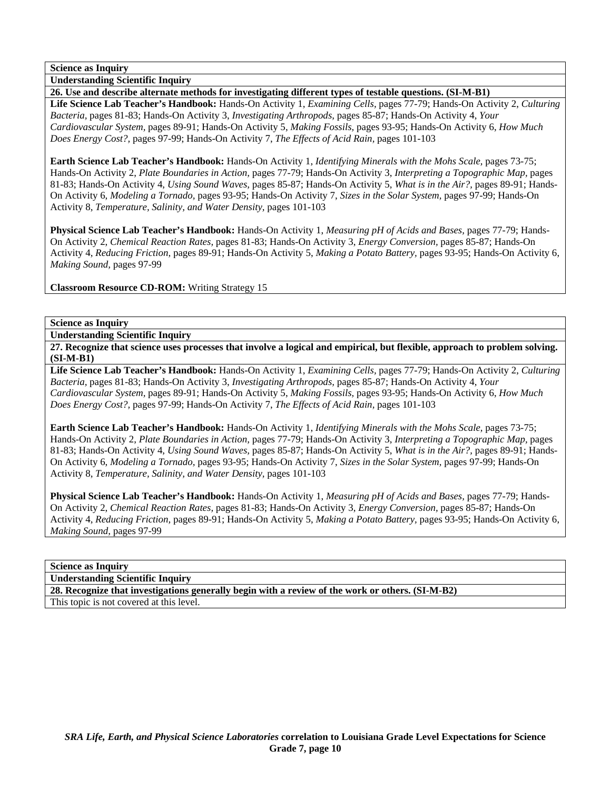**Understanding Scientific Inquiry** 

**26. Use and describe alternate methods for investigating different types of testable questions. (SI-M-B1) Life Science Lab Teacher's Handbook:** Hands-On Activity 1, *Examining Cells,* pages 77-79; Hands-On Activity 2, *Culturing Bacteria,* pages 81-83; Hands-On Activity 3, *Investigating Arthropods,* pages 85-87; Hands-On Activity 4, *Your Cardiovascular System,* pages 89-91; Hands-On Activity 5, *Making Fossils,* pages 93-95; Hands-On Activity 6, *How Much Does Energy Cost?,* pages 97-99; Hands-On Activity 7, *The Effects of Acid Rain,* pages 101-103

**Earth Science Lab Teacher's Handbook:** Hands-On Activity 1, *Identifying Minerals with the Mohs Scale,* pages 73-75; Hands-On Activity 2, *Plate Boundaries in Action,* pages 77-79; Hands-On Activity 3, *Interpreting a Topographic Map,* pages 81-83; Hands-On Activity 4, *Using Sound Waves,* pages 85-87; Hands-On Activity 5, *What is in the Air?,* pages 89-91; Hands-On Activity 6, *Modeling a Tornado,* pages 93-95; Hands-On Activity 7, *Sizes in the Solar System,* pages 97-99; Hands-On Activity 8, *Temperature, Salinity, and Water Density,* pages 101-103

**Physical Science Lab Teacher's Handbook:** Hands-On Activity 1, *Measuring pH of Acids and Bases,* pages 77-79; Hands-On Activity 2, *Chemical Reaction Rates,* pages 81-83; Hands-On Activity 3, *Energy Conversion,* pages 85-87; Hands-On Activity 4, *Reducing Friction,* pages 89-91; Hands-On Activity 5, *Making a Potato Battery,* pages 93-95; Hands-On Activity 6, *Making Sound,* pages 97-99

**Classroom Resource CD-ROM:** Writing Strategy 15

## **Science as Inquiry**

**Understanding Scientific Inquiry** 

**27. Recognize that science uses processes that involve a logical and empirical, but flexible, approach to problem solving. (SI-M-B1)** 

**Life Science Lab Teacher's Handbook:** Hands-On Activity 1, *Examining Cells,* pages 77-79; Hands-On Activity 2, *Culturing Bacteria,* pages 81-83; Hands-On Activity 3, *Investigating Arthropods,* pages 85-87; Hands-On Activity 4, *Your Cardiovascular System,* pages 89-91; Hands-On Activity 5, *Making Fossils,* pages 93-95; Hands-On Activity 6, *How Much Does Energy Cost?,* pages 97-99; Hands-On Activity 7, *The Effects of Acid Rain,* pages 101-103

**Earth Science Lab Teacher's Handbook:** Hands-On Activity 1, *Identifying Minerals with the Mohs Scale,* pages 73-75; Hands-On Activity 2, *Plate Boundaries in Action,* pages 77-79; Hands-On Activity 3, *Interpreting a Topographic Map,* pages 81-83; Hands-On Activity 4, *Using Sound Waves,* pages 85-87; Hands-On Activity 5, *What is in the Air?,* pages 89-91; Hands-On Activity 6, *Modeling a Tornado,* pages 93-95; Hands-On Activity 7, *Sizes in the Solar System,* pages 97-99; Hands-On Activity 8, *Temperature, Salinity, and Water Density,* pages 101-103

**Physical Science Lab Teacher's Handbook:** Hands-On Activity 1, *Measuring pH of Acids and Bases,* pages 77-79; Hands-On Activity 2, *Chemical Reaction Rates,* pages 81-83; Hands-On Activity 3, *Energy Conversion,* pages 85-87; Hands-On Activity 4, *Reducing Friction,* pages 89-91; Hands-On Activity 5, *Making a Potato Battery,* pages 93-95; Hands-On Activity 6, *Making Sound,* pages 97-99

## **Science as Inquiry**

**Understanding Scientific Inquiry** 

**28. Recognize that investigations generally begin with a review of the work or others. (SI-M-B2)**  This topic is not covered at this level.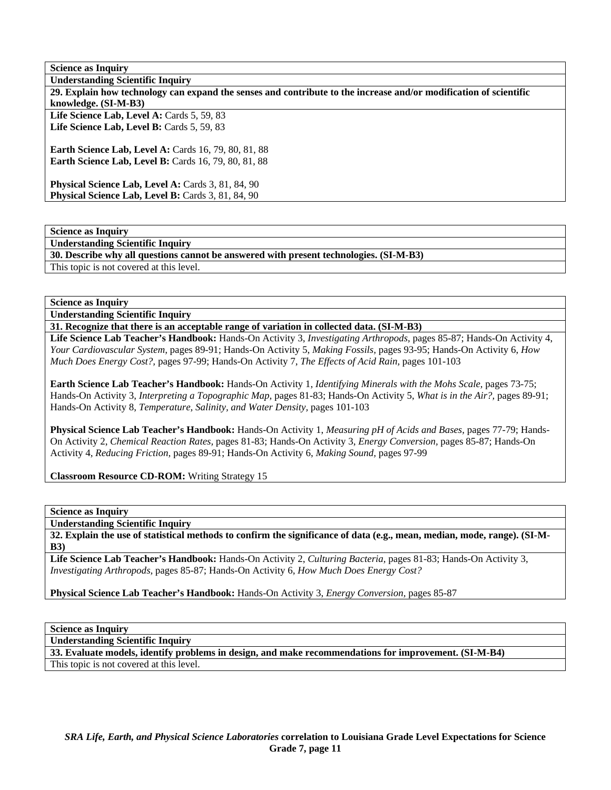**Understanding Scientific Inquiry** 

**30. Describe why all questions cannot be answered with present technologies. (SI-M-B3)** 

This topic is not covered at this level.

**Science as Inquiry** 

**Understanding Scientific Inquiry** 

**31. Recognize that there is an acceptable range of variation in collected data. (SI-M-B3)** 

**Life Science Lab Teacher's Handbook:** Hands-On Activity 3, *Investigating Arthropods,* pages 85-87; Hands-On Activity 4, *Your Cardiovascular System,* pages 89-91; Hands-On Activity 5, *Making Fossils,* pages 93-95; Hands-On Activity 6, *How Much Does Energy Cost?,* pages 97-99; Hands-On Activity 7, *The Effects of Acid Rain,* pages 101-103

**Earth Science Lab Teacher's Handbook:** Hands-On Activity 1, *Identifying Minerals with the Mohs Scale,* pages 73-75; Hands-On Activity 3, *Interpreting a Topographic Map,* pages 81-83; Hands-On Activity 5, *What is in the Air?,* pages 89-91; Hands-On Activity 8, *Temperature, Salinity, and Water Density,* pages 101-103

**Physical Science Lab Teacher's Handbook:** Hands-On Activity 1, *Measuring pH of Acids and Bases,* pages 77-79; Hands-On Activity 2, *Chemical Reaction Rates,* pages 81-83; Hands-On Activity 3, *Energy Conversion,* pages 85-87; Hands-On Activity 4, *Reducing Friction,* pages 89-91; Hands-On Activity 6, *Making Sound,* pages 97-99

**Classroom Resource CD-ROM:** Writing Strategy 15

**Science as Inquiry** 

**Understanding Scientific Inquiry** 

**32. Explain the use of statistical methods to confirm the significance of data (e.g., mean, median, mode, range). (SI-M-B3)** 

**Life Science Lab Teacher's Handbook:** Hands-On Activity 2, *Culturing Bacteria,* pages 81-83; Hands-On Activity 3, *Investigating Arthropods,* pages 85-87; Hands-On Activity 6, *How Much Does Energy Cost?*

**Physical Science Lab Teacher's Handbook:** Hands-On Activity 3, *Energy Conversion,* pages 85-87

**Science as Inquiry** 

**Understanding Scientific Inquiry** 

**33. Evaluate models, identify problems in design, and make recommendations for improvement. (SI-M-B4)** 

This topic is not covered at this level.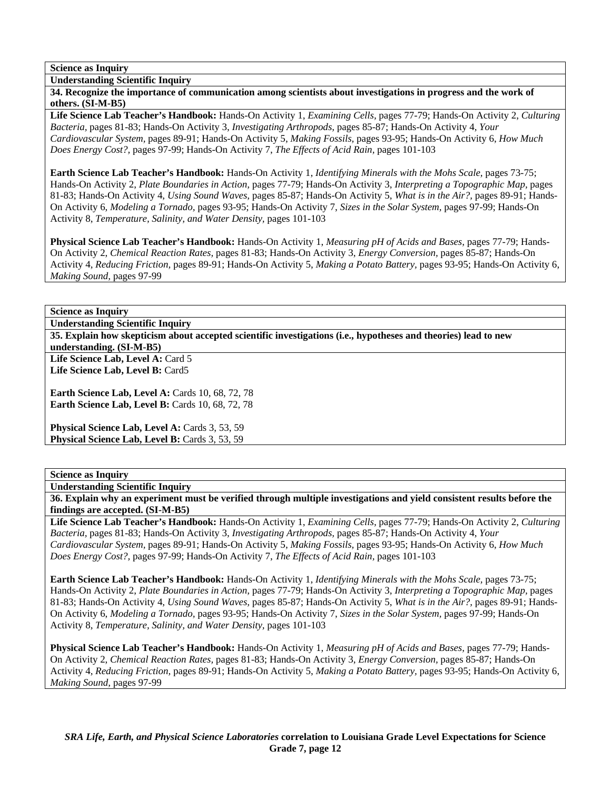**Understanding Scientific Inquiry** 

**34. Recognize the importance of communication among scientists about investigations in progress and the work of others. (SI-M-B5)** 

**Life Science Lab Teacher's Handbook:** Hands-On Activity 1, *Examining Cells,* pages 77-79; Hands-On Activity 2, *Culturing Bacteria,* pages 81-83; Hands-On Activity 3, *Investigating Arthropods,* pages 85-87; Hands-On Activity 4, *Your Cardiovascular System,* pages 89-91; Hands-On Activity 5, *Making Fossils,* pages 93-95; Hands-On Activity 6, *How Much Does Energy Cost?,* pages 97-99; Hands-On Activity 7, *The Effects of Acid Rain,* pages 101-103

**Earth Science Lab Teacher's Handbook:** Hands-On Activity 1, *Identifying Minerals with the Mohs Scale,* pages 73-75; Hands-On Activity 2, *Plate Boundaries in Action,* pages 77-79; Hands-On Activity 3, *Interpreting a Topographic Map,* pages 81-83; Hands-On Activity 4, *Using Sound Waves,* pages 85-87; Hands-On Activity 5, *What is in the Air?,* pages 89-91; Hands-On Activity 6, *Modeling a Tornado,* pages 93-95; Hands-On Activity 7, *Sizes in the Solar System,* pages 97-99; Hands-On Activity 8, *Temperature, Salinity, and Water Density,* pages 101-103

**Physical Science Lab Teacher's Handbook:** Hands-On Activity 1, *Measuring pH of Acids and Bases,* pages 77-79; Hands-On Activity 2, *Chemical Reaction Rates,* pages 81-83; Hands-On Activity 3, *Energy Conversion,* pages 85-87; Hands-On Activity 4, *Reducing Friction,* pages 89-91; Hands-On Activity 5, *Making a Potato Battery,* pages 93-95; Hands-On Activity 6, *Making Sound,* pages 97-99

# **Science as Inquiry**

**Understanding Scientific Inquiry** 

**35. Explain how skepticism about accepted scientific investigations (i.e., hypotheses and theories) lead to new understanding. (SI-M-B5)** 

Life Science Lab, Level A: Card 5 **Life Science Lab, Level B:** Card5

**Earth Science Lab, Level A: Cards 10, 68, 72, 78 Earth Science Lab, Level B: Cards 10, 68, 72, 78** 

Physical Science Lab, Level A: Cards 3, 53, 59 Physical Science Lab, Level B: Cards 3, 53, 59

## **Science as Inquiry**

**Understanding Scientific Inquiry** 

**36. Explain why an experiment must be verified through multiple investigations and yield consistent results before the findings are accepted. (SI-M-B5)** 

**Life Science Lab Teacher's Handbook:** Hands-On Activity 1, *Examining Cells,* pages 77-79; Hands-On Activity 2, *Culturing Bacteria,* pages 81-83; Hands-On Activity 3, *Investigating Arthropods,* pages 85-87; Hands-On Activity 4, *Your Cardiovascular System,* pages 89-91; Hands-On Activity 5, *Making Fossils,* pages 93-95; Hands-On Activity 6, *How Much Does Energy Cost?,* pages 97-99; Hands-On Activity 7, *The Effects of Acid Rain,* pages 101-103

**Earth Science Lab Teacher's Handbook:** Hands-On Activity 1, *Identifying Minerals with the Mohs Scale,* pages 73-75; Hands-On Activity 2, *Plate Boundaries in Action,* pages 77-79; Hands-On Activity 3, *Interpreting a Topographic Map,* pages 81-83; Hands-On Activity 4, *Using Sound Waves,* pages 85-87; Hands-On Activity 5, *What is in the Air?,* pages 89-91; Hands-On Activity 6, *Modeling a Tornado,* pages 93-95; Hands-On Activity 7, *Sizes in the Solar System,* pages 97-99; Hands-On Activity 8, *Temperature, Salinity, and Water Density,* pages 101-103

**Physical Science Lab Teacher's Handbook:** Hands-On Activity 1, *Measuring pH of Acids and Bases,* pages 77-79; Hands-On Activity 2, *Chemical Reaction Rates,* pages 81-83; Hands-On Activity 3, *Energy Conversion,* pages 85-87; Hands-On Activity 4, *Reducing Friction,* pages 89-91; Hands-On Activity 5, *Making a Potato Battery,* pages 93-95; Hands-On Activity 6, *Making Sound,* pages 97-99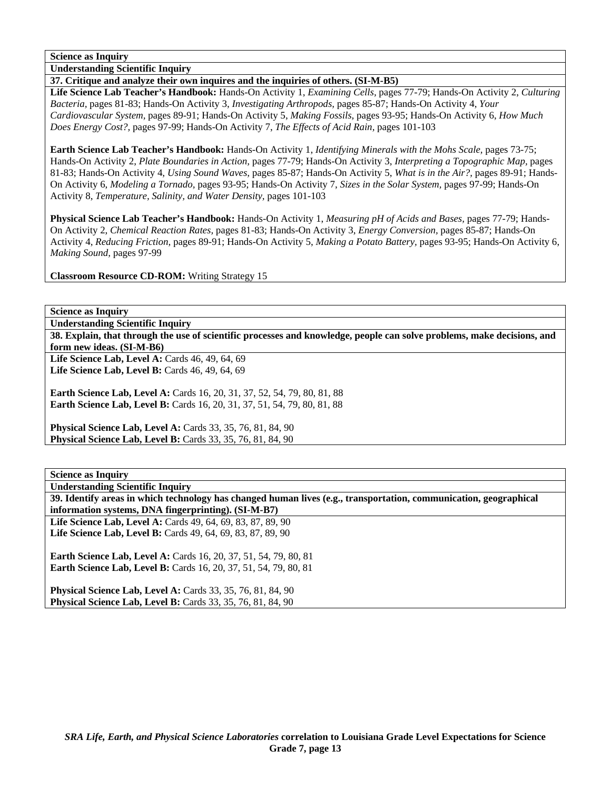**Understanding Scientific Inquiry** 

### **37. Critique and analyze their own inquires and the inquiries of others. (SI-M-B5)**

**Life Science Lab Teacher's Handbook:** Hands-On Activity 1, *Examining Cells,* pages 77-79; Hands-On Activity 2, *Culturing Bacteria,* pages 81-83; Hands-On Activity 3, *Investigating Arthropods,* pages 85-87; Hands-On Activity 4, *Your Cardiovascular System,* pages 89-91; Hands-On Activity 5, *Making Fossils,* pages 93-95; Hands-On Activity 6, *How Much Does Energy Cost?,* pages 97-99; Hands-On Activity 7, *The Effects of Acid Rain,* pages 101-103

**Earth Science Lab Teacher's Handbook:** Hands-On Activity 1, *Identifying Minerals with the Mohs Scale,* pages 73-75; Hands-On Activity 2, *Plate Boundaries in Action,* pages 77-79; Hands-On Activity 3, *Interpreting a Topographic Map,* pages 81-83; Hands-On Activity 4, *Using Sound Waves,* pages 85-87; Hands-On Activity 5, *What is in the Air?,* pages 89-91; Hands-On Activity 6, *Modeling a Tornado,* pages 93-95; Hands-On Activity 7, *Sizes in the Solar System,* pages 97-99; Hands-On Activity 8, *Temperature, Salinity, and Water Density,* pages 101-103

**Physical Science Lab Teacher's Handbook:** Hands-On Activity 1, *Measuring pH of Acids and Bases,* pages 77-79; Hands-On Activity 2, *Chemical Reaction Rates,* pages 81-83; Hands-On Activity 3, *Energy Conversion,* pages 85-87; Hands-On Activity 4, *Reducing Friction,* pages 89-91; Hands-On Activity 5, *Making a Potato Battery,* pages 93-95; Hands-On Activity 6, *Making Sound,* pages 97-99

**Classroom Resource CD-ROM:** Writing Strategy 15

**Science as Inquiry** 

**Understanding Scientific Inquiry** 

**38. Explain, that through the use of scientific processes and knowledge, people can solve problems, make decisions, and form new ideas. (SI-M-B6)** 

Life Science Lab, Level A: Cards 46, 49, 64, 69 Life Science Lab, Level B: Cards 46, 49, 64, 69

**Earth Science Lab, Level A: Cards 16, 20, 31, 37, 52, 54, 79, 80, 81, 88 Earth Science Lab, Level B:** Cards 16, 20, 31, 37, 51, 54, 79, 80, 81, 88

**Physical Science Lab, Level A: Cards 33, 35, 76, 81, 84, 90 Physical Science Lab, Level B:** Cards 33, 35, 76, 81, 84, 90

**Science as Inquiry** 

**Understanding Scientific Inquiry** 

**39. Identify areas in which technology has changed human lives (e.g., transportation, communication, geographical information systems, DNA fingerprinting). (SI-M-B7)** 

**Life Science Lab, Level A:** Cards 49, 64, 69, 83, 87, 89, 90 **Life Science Lab, Level B:** Cards 49, 64, 69, 83, 87, 89, 90

**Earth Science Lab, Level A: Cards 16, 20, 37, 51, 54, 79, 80, 81 Earth Science Lab, Level B:** Cards 16, 20, 37, 51, 54, 79, 80, 81

**Physical Science Lab, Level A: Cards 33, 35, 76, 81, 84, 90 Physical Science Lab, Level B:** Cards 33, 35, 76, 81, 84, 90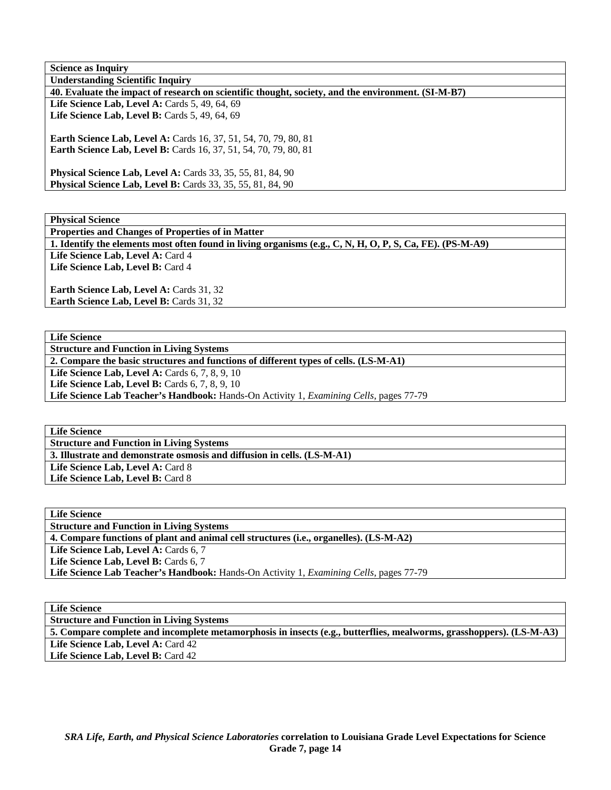| <b>Science as Inquiry</b>                                                                          |
|----------------------------------------------------------------------------------------------------|
| <b>Understanding Scientific Inquiry</b>                                                            |
| 40. Evaluate the impact of research on scientific thought, society, and the environment. (SI-M-B7) |
| Life Science Lab, Level A: Cards $5, 49, 64, 69$                                                   |
| Life Science Lab, Level B: Cards 5, 49, 64, 69                                                     |
|                                                                                                    |
| <b>Earth Science Lab, Level A: Cards 16, 37, 51, 54, 70, 79, 80, 81</b>                            |
| <b>Earth Science Lab, Level B:</b> Cards 16, 37, 51, 54, 70, 79, 80, 81                            |
|                                                                                                    |
| <b>Physical Science Lab, Level A:</b> Cards 33, 35, 55, 81, 84, 90                                 |
| <b>Physical Science Lab, Level B:</b> Cards 33, 35, 55, 81, 84, 90                                 |
|                                                                                                    |

**Physical Science** 

**Properties and Changes of Properties of in Matter 1. Identify the elements most often found in living organisms (e.g., C, N, H, O, P, S, Ca, FE). (PS-M-A9)**  Life Science Lab. Level A: Card 4

Life Science Lab, Level B: Card 4

Earth Science Lab, Level A: Cards 31, 32 **Earth Science Lab, Level B: Cards 31, 32** 

**Life Science** 

**Structure and Function in Living Systems** 

**2. Compare the basic structures and functions of different types of cells. (LS-M-A1)** 

Life Science Lab, Level A: Cards 6, 7, 8, 9, 10

**Life Science Lab, Level B: Cards 6, 7, 8, 9, 10** 

**Life Science Lab Teacher's Handbook:** Hands-On Activity 1, *Examining Cells,* pages 77-79

**Life Science** 

**Structure and Function in Living Systems** 

**3. Illustrate and demonstrate osmosis and diffusion in cells. (LS-M-A1)** 

Life Science Lab, Level A: Card 8

Life Science Lab, Level B: Card 8

**Life Science Structure and Function in Living Systems 4. Compare functions of plant and animal cell structures (i.e., organelles). (LS-M-A2)**  Life Science Lab, Level A: Cards 6, 7 Life Science Lab, Level B: Cards 6, 7 **Life Science Lab Teacher's Handbook:** Hands-On Activity 1, *Examining Cells,* pages 77-79

**Life Science** 

**Structure and Function in Living Systems** 

**5. Compare complete and incomplete metamorphosis in insects (e.g., butterflies, mealworms, grasshoppers). (LS-M-A3)**  Life Science Lab, Level A: Card 42 Life Science Lab, Level B: Card 42

*SRA Life, Earth, and Physical Science Laboratories* **correlation to Louisiana Grade Level Expectations for Science Grade 7, page 14**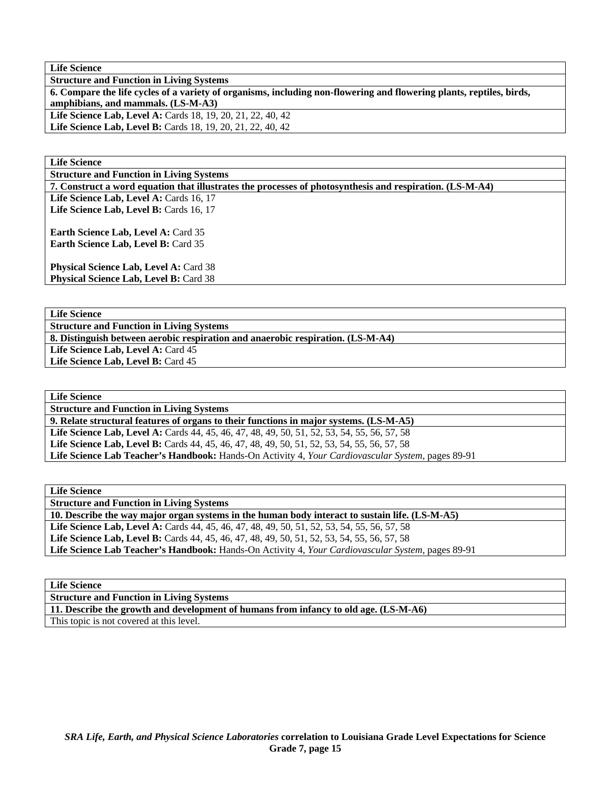| <b>Life Science</b>                                                                                                  |
|----------------------------------------------------------------------------------------------------------------------|
| <b>Structure and Function in Living Systems</b>                                                                      |
| 6. Compare the life cycles of a variety of organisms, including non-flowering and flowering plants, reptiles, birds, |
| amphibians, and mammals. (LS-M-A3)                                                                                   |
| <b>Life Science Lab, Level A: Cards 18, 19, 20, 21, 22, 40, 42</b>                                                   |
| <b>Life Science Lab, Level B:</b> Cards 18, 19, 20, 21, 22, 40, 42                                                   |
|                                                                                                                      |

**Life Science** 

**Structure and Function in Living Systems** 

**7. Construct a word equation that illustrates the processes of photosynthesis and respiration. (LS-M-A4)** 

Life Science Lab, Level A: Cards 16, 17 Life Science Lab, Level B: Cards 16, 17

**Earth Science Lab, Level A: Card 35 Earth Science Lab, Level B:** Card 35

Physical Science Lab, Level A: Card 38 Physical Science Lab, Level B: Card 38

**Life Science** 

**Structure and Function in Living Systems 8. Distinguish between aerobic respiration and anaerobic respiration. (LS-M-A4)**  Life Science Lab, Level A: Card 45 Life Science Lab, Level B: Card 45

**Life Science** 

**Structure and Function in Living Systems 9. Relate structural features of organs to their functions in major systems. (LS-M-A5) Life Science Lab, Level A:** Cards 44, 45, 46, 47, 48, 49, 50, 51, 52, 53, 54, 55, 56, 57, 58 Life Science Lab, Level B: Cards 44, 45, 46, 47, 48, 49, 50, 51, 52, 53, 54, 55, 56, 57, 58 **Life Science Lab Teacher's Handbook:** Hands-On Activity 4, *Your Cardiovascular System,* pages 89-91

**Life Science** 

**Structure and Function in Living Systems** 

**10. Describe the way major organ systems in the human body interact to sustain life. (LS-M-A5) Life Science Lab, Level A:** Cards 44, 45, 46, 47, 48, 49, 50, 51, 52, 53, 54, 55, 56, 57, 58 Life Science Lab, Level B: Cards 44, 45, 46, 47, 48, 49, 50, 51, 52, 53, 54, 55, 56, 57, 58

**Life Science Lab Teacher's Handbook:** Hands-On Activity 4, *Your Cardiovascular System,* pages 89-91

| <b>Life Science</b> |
|---------------------|
|                     |

**Structure and Function in Living Systems** 

**11. Describe the growth and development of humans from infancy to old age. (LS-M-A6)** 

This topic is not covered at this level.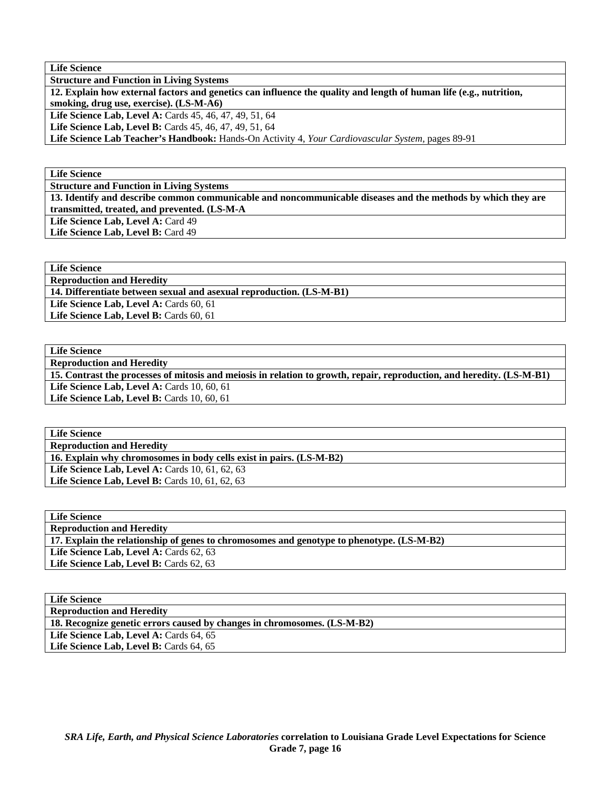| <b>Life Science</b>                                                                                                |
|--------------------------------------------------------------------------------------------------------------------|
| <b>Structure and Function in Living Systems</b>                                                                    |
| 12. Explain how external factors and genetics can influence the quality and length of human life (e.g., nutrition, |
| smoking, drug use, exercise). (LS-M-A6)                                                                            |
| <b>Life Science Lab, Level A: Cards 45, 46, 47, 49, 51, 64</b>                                                     |
| <b>Life Science Lab, Level B:</b> Cards 45, 46, 47, 49, 51, 64                                                     |
| Life Science Lab Teacher's Handbook: Hands-On Activity 4, Your Cardiovascular System, pages 89-91                  |

**Life Science** 

**Structure and Function in Living Systems** 

**13. Identify and describe common communicable and noncommunicable diseases and the methods by which they are transmitted, treated, and prevented. (LS-M-A** 

Life Science Lab, Level A: Card 49 Life Science Lab, Level B: Card 49

**Life Science** 

**Reproduction and Heredity** 

**14. Differentiate between sexual and asexual reproduction. (LS-M-B1)** 

Life Science Lab, Level A: Cards 60, 61

Life Science Lab, Level B: Cards 60, 61

| <b>Life Science</b>                                                                                                    |
|------------------------------------------------------------------------------------------------------------------------|
| <b>Reproduction and Heredity</b>                                                                                       |
| 15. Contrast the processes of mitosis and meiosis in relation to growth, repair, reproduction, and heredity. (LS-M-B1) |
| Life Science Lab, Level A: Cards 10, 60, 61                                                                            |
| Life Science Lab, Level B: Cards 10, 60, 61                                                                            |
|                                                                                                                        |

| <b>Life Science</b>                                                 |
|---------------------------------------------------------------------|
| <b>Reproduction and Heredity</b>                                    |
| 16. Explain why chromosomes in body cells exist in pairs. (LS-M-B2) |
| Life Science Lab, Level A: Cards $10, 61, 62, 63$                   |
| Life Science Lab, Level B: Cards $10, 61, 62, 63$                   |

| <b>Life Science</b>                                                                       |
|-------------------------------------------------------------------------------------------|
| <b>Reproduction and Heredity</b>                                                          |
| 17. Explain the relationship of genes to chromosomes and genotype to phenotype. (LS-M-B2) |
| <b>Life Science Lab, Level A: Cards 62, 63</b>                                            |
| <b>Life Science Lab, Level B: Cards 62, 63</b>                                            |

**Life Science** 

**Reproduction and Heredity** 

**18. Recognize genetic errors caused by changes in chromosomes. (LS-M-B2)** 

Life Science Lab, Level A: Cards 64, 65 Life Science Lab, Level B: Cards 64, 65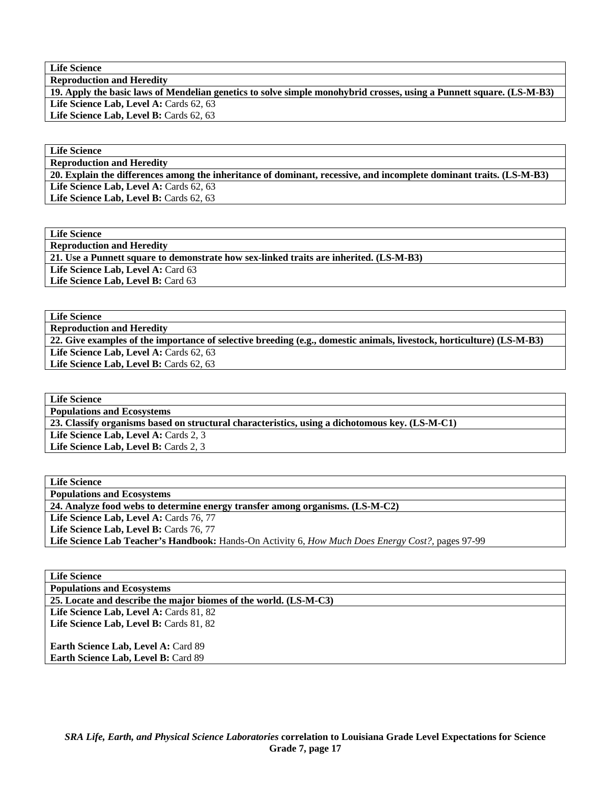**Life Science Reproduction and Heredity** 

**19. Apply the basic laws of Mendelian genetics to solve simple monohybrid crosses, using a Punnett square. (LS-M-B3)**  Life Science Lab, Level A: Cards 62, 63

Life Science Lab, Level B: Cards 62, 63

# **Life Science**

**Reproduction and Heredity** 

**20. Explain the differences among the inheritance of dominant, recessive, and incomplete dominant traits. (LS-M-B3)**  Life Science Lab, Level A: Cards 62, 63 Life Science Lab, Level B: Cards 62, 63

**Life Science Reproduction and Heredity 21. Use a Punnett square to demonstrate how sex-linked traits are inherited. (LS-M-B3)**  Life Science Lab, Level A: Card 63 Life Science Lab, Level B: Card 63

**Life Science Reproduction and Heredity 22. Give examples of the importance of selective breeding (e.g., domestic animals, livestock, horticulture) (LS-M-B3)**  Life Science Lab, Level A: Cards 62, 63 Life Science Lab, Level B: Cards 62, 63

**Life Science Populations and Ecosystems 23. Classify organisms based on structural characteristics, using a dichotomous key. (LS-M-C1)**  Life Science Lab, Level A: Cards 2, 3 Life Science Lab, Level B: Cards 2, 3

| <b>Life Science</b>                                                                               |
|---------------------------------------------------------------------------------------------------|
| <b>Populations and Ecosystems</b>                                                                 |
| 24. Analyze food webs to determine energy transfer among organisms. (LS-M-C2)                     |
| Life Science Lab, Level A: Cards 76, 77                                                           |
| <b>Life Science Lab, Level B: Cards 76, 77</b>                                                    |
| Life Science Lab Teacher's Handbook: Hands-On Activity 6, How Much Does Energy Cost?, pages 97-99 |
|                                                                                                   |

| Lile Delenee |                                                                  |
|--------------|------------------------------------------------------------------|
|              | <b>Populations and Ecosystems</b>                                |
|              | 25. Locate and describe the major biomes of the world. (LS-M-C3) |
|              | Life Science Lab, Level A: Cards 81, 82                          |
|              | Life Science Lab, Level B: Cards 81, 82                          |

**Earth Science Lab, Level A: Card 89** Earth Science Lab, Level B: Card 89

**Life Science**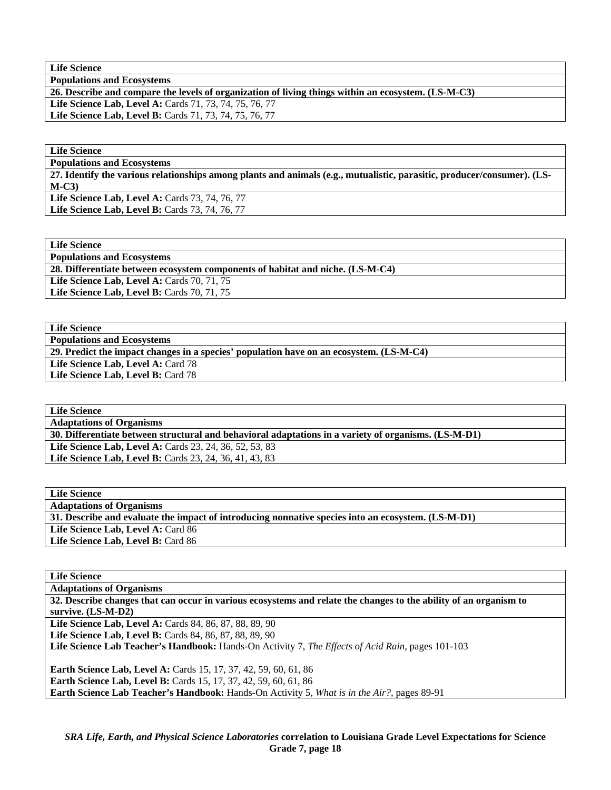**Life Science** 

**Populations and Ecosystems** 

**26. Describe and compare the levels of organization of living things within an ecosystem. (LS-M-C3)** 

**Life Science Lab, Level A:** Cards 71, 73, 74, 75, 76, 77 **Life Science Lab, Level B:** Cards 71, 73, 74, 75, 76, 77

**Life Science** 

**Populations and Ecosystems 27. Identify the various relationships among plants and animals (e.g., mutualistic, parasitic, producer/consumer). (LS-**

**M-C3)**  Life Science Lab, Level A: Cards 73, 74, 76, 77 Life Science Lab, Level B: Cards 73, 74, 76, 77

**Life Science** 

**Populations and Ecosystems** 

**28. Differentiate between ecosystem components of habitat and niche. (LS-M-C4)** 

Life Science Lab, Level A: Cards 70, 71, 75

**Life Science Lab, Level B: Cards 70, 71, 75** 

**Life Science Populations and Ecosystems** 

**29. Predict the impact changes in a species' population have on an ecosystem. (LS-M-C4)** 

Life Science Lab, Level A: Card 78 Life Science Lab, Level B: Card 78

**Life Science Adaptations of Organisms 30. Differentiate between structural and behavioral adaptations in a variety of organisms. (LS-M-D1) Life Science Lab, Level A:** Cards 23, 24, 36, 52, 53, 83 **Life Science Lab, Level B:** Cards 23, 24, 36, 41, 43, 83

| <b>Life Science</b>                                                                                               |
|-------------------------------------------------------------------------------------------------------------------|
| <b>Adaptations of Organisms</b>                                                                                   |
| 32. Describe changes that can occur in various ecosystems and relate the changes to the ability of an organism to |
| survive. $(LS-M-D2)$                                                                                              |
| <b>Life Science Lab, Level A: Cards 84, 86, 87, 88, 89, 90</b>                                                    |
| Life Science Lab, Level B: Cards 84, 86, 87, 88, 89, 90                                                           |
| <b>Life Science Lab Teacher's Handbook:</b> Hands-On Activity 7, The Effects of Acid Rain, pages 101-103          |
|                                                                                                                   |
| <b>Earth Science Lab, Level A: Cards 15, 17, 37, 42, 59, 60, 61, 86</b>                                           |
| <b>Earth Science Lab, Level B:</b> Cards 15, 17, 37, 42, 59, 60, 61, 86                                           |
| <b>Earth Science Lab Teacher's Handbook:</b> Hands-On Activity 5, What is in the Air?, pages 89-91                |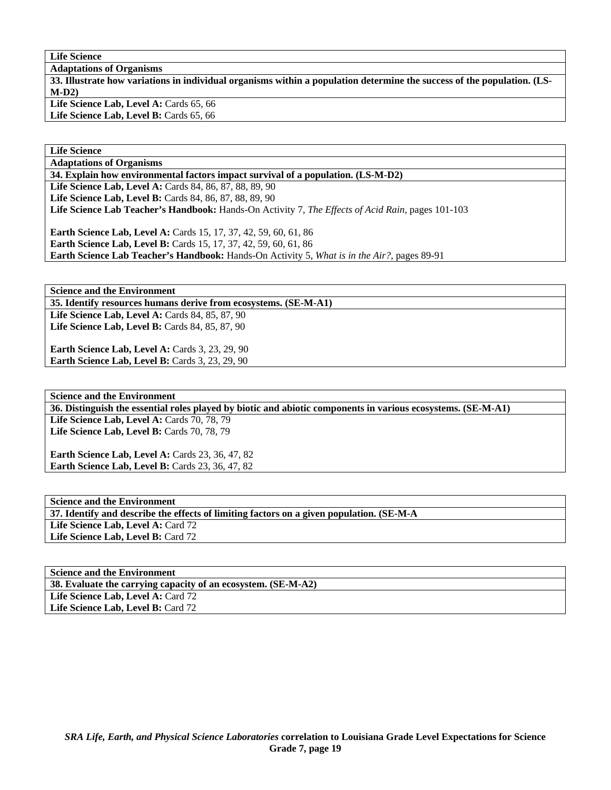**Life Science** 

**Adaptations of Organisms** 

**33. Illustrate how variations in individual organisms within a population determine the success of the population. (LS-M-D2)**  Life Science Lab, Level A: Cards 65, 66

Life Science Lab, Level B: Cards 65, 66

**Life Science** 

**Adaptations of Organisms** 

**34. Explain how environmental factors impact survival of a population. (LS-M-D2)** 

Life Science Lab, Level A: Cards 84, 86, 87, 88, 89, 90 **Life Science Lab, Level B:** Cards 84, 86, 87, 88, 89, 90 **Life Science Lab Teacher's Handbook:** Hands-On Activity 7, *The Effects of Acid Rain,* pages 101-103 **Earth Science Lab, Level A: Cards 15, 17, 37, 42, 59, 60, 61, 86** 

**Earth Science Lab, Level B:** Cards 15, 17, 37, 42, 59, 60, 61, 86 **Earth Science Lab Teacher's Handbook:** Hands-On Activity 5, *What is in the Air?,* pages 89-91

**Science and the Environment** 

**35. Identify resources humans derive from ecosystems. (SE-M-A1)** 

Life Science Lab, Level A: Cards 84, 85, 87, 90 **Life Science Lab, Level B: Cards 84, 85, 87, 90** 

**Earth Science Lab, Level A: Cards 3, 23, 29, 90 Earth Science Lab, Level B: Cards 3, 23, 29, 90** 

**Science and the Environment 36. Distinguish the essential roles played by biotic and abiotic components in various ecosystems. (SE-M-A1)**  Life Science Lab, Level A: Cards 70, 78, 79 Life Science Lab, Level B: Cards 70, 78, 79

**Earth Science Lab, Level A: Cards 23, 36, 47, 82 Earth Science Lab, Level B: Cards 23, 36, 47, 82** 

**Science and the Environment 37. Identify and describe the effects of limiting factors on a given population. (SE-M-A**  Life Science Lab, Level A: Card 72 Life Science Lab, Level B: Card 72

**Science and the Environment 38. Evaluate the carrying capacity of an ecosystem. (SE-M-A2)**  Life Science Lab, Level A: Card 72 Life Science Lab, Level B: Card 72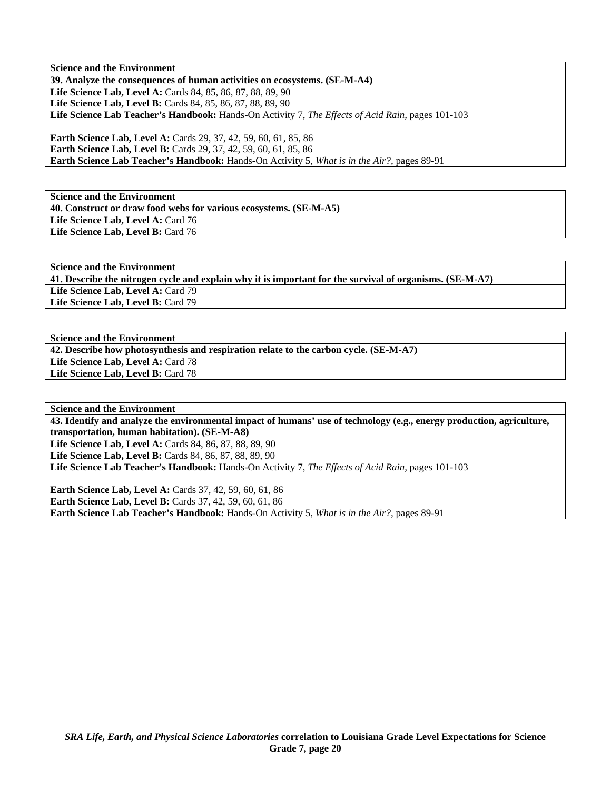**Science and the Environment 39. Analyze the consequences of human activities on ecosystems. (SE-M-A4) Life Science Lab, Level A:** Cards 84, 85, 86, 87, 88, 89, 90 Life Science Lab, Level B: Cards 84, 85, 86, 87, 88, 89, 90 **Life Science Lab Teacher's Handbook:** Hands-On Activity 7, *The Effects of Acid Rain,* pages 101-103

**Earth Science Lab, Level A:** Cards 29, 37, 42, 59, 60, 61, 85, 86 **Earth Science Lab, Level B:** Cards 29, 37, 42, 59, 60, 61, 85, 86 **Earth Science Lab Teacher's Handbook:** Hands-On Activity 5, *What is in the Air?,* pages 89-91

**Science and the Environment 40. Construct or draw food webs for various ecosystems. (SE-M-A5)**  Life Science Lab, Level A: Card 76 Life Science Lab, Level B: Card 76

**Science and the Environment 41. Describe the nitrogen cycle and explain why it is important for the survival of organisms. (SE-M-A7)**  Life Science Lab, Level A: Card 79 Life Science Lab, Level B: Card 79

**Science and the Environment** 

**42. Describe how photosynthesis and respiration relate to the carbon cycle. (SE-M-A7)** 

Life Science Lab, Level A: Card 78 Life Science Lab, Level B: Card 78

**Science and the Environment** 

**43. Identify and analyze the environmental impact of humans' use of technology (e.g., energy production, agriculture, transportation, human habitation). (SE-M-A8)** 

**Life Science Lab, Level A:** Cards 84, 86, 87, 88, 89, 90 **Life Science Lab, Level B:** Cards 84, 86, 87, 88, 89, 90 **Life Science Lab Teacher's Handbook:** Hands-On Activity 7, *The Effects of Acid Rain,* pages 101-103

**Earth Science Lab, Level A: Cards 37, 42, 59, 60, 61, 86 Earth Science Lab, Level B:** Cards 37, 42, 59, 60, 61, 86 **Earth Science Lab Teacher's Handbook:** Hands-On Activity 5, *What is in the Air?,* pages 89-91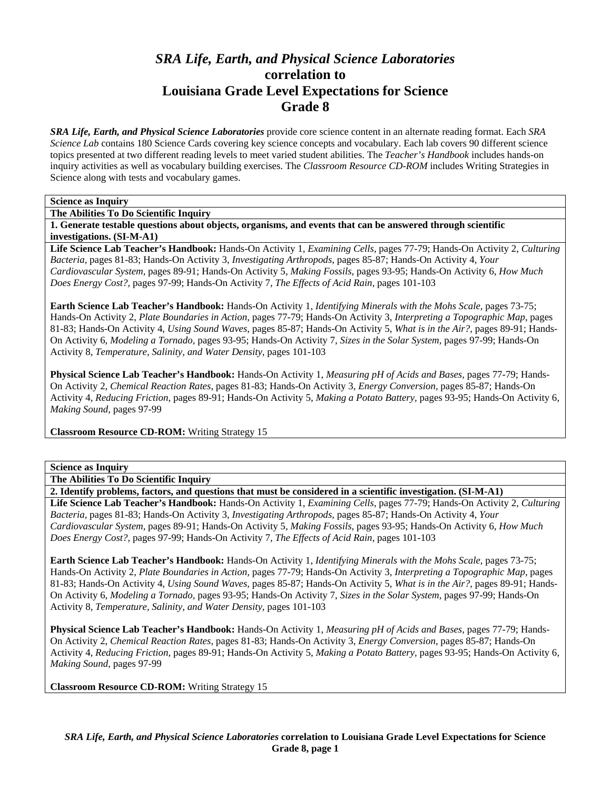# *SRA Life, Earth, and Physical Science Laboratories*  **correlation to Louisiana Grade Level Expectations for Science Grade 8**

*SRA Life, Earth, and Physical Science Laboratories* provide core science content in an alternate reading format. Each *SRA Science Lab* contains 180 Science Cards covering key science concepts and vocabulary. Each lab covers 90 different science topics presented at two different reading levels to meet varied student abilities. The *Teacher's Handbook* includes hands-on inquiry activities as well as vocabulary building exercises. The *Classroom Resource CD-ROM* includes Writing Strategies in Science along with tests and vocabulary games.

# **Science as Inquiry**

**The Abilities To Do Scientific Inquiry** 

**1. Generate testable questions about objects, organisms, and events that can be answered through scientific investigations. (SI-M-A1)** 

**Life Science Lab Teacher's Handbook:** Hands-On Activity 1, *Examining Cells,* pages 77-79; Hands-On Activity 2, *Culturing Bacteria,* pages 81-83; Hands-On Activity 3, *Investigating Arthropods,* pages 85-87; Hands-On Activity 4, *Your Cardiovascular System,* pages 89-91; Hands-On Activity 5, *Making Fossils,* pages 93-95; Hands-On Activity 6, *How Much Does Energy Cost?,* pages 97-99; Hands-On Activity 7, *The Effects of Acid Rain,* pages 101-103

**Earth Science Lab Teacher's Handbook:** Hands-On Activity 1, *Identifying Minerals with the Mohs Scale,* pages 73-75; Hands-On Activity 2, *Plate Boundaries in Action,* pages 77-79; Hands-On Activity 3, *Interpreting a Topographic Map,* pages 81-83; Hands-On Activity 4, *Using Sound Waves,* pages 85-87; Hands-On Activity 5, *What is in the Air?,* pages 89-91; Hands-On Activity 6, *Modeling a Tornado,* pages 93-95; Hands-On Activity 7, *Sizes in the Solar System,* pages 97-99; Hands-On Activity 8, *Temperature, Salinity, and Water Density,* pages 101-103

**Physical Science Lab Teacher's Handbook:** Hands-On Activity 1, *Measuring pH of Acids and Bases,* pages 77-79; Hands-On Activity 2, *Chemical Reaction Rates,* pages 81-83; Hands-On Activity 3, *Energy Conversion,* pages 85-87; Hands-On Activity 4, *Reducing Friction,* pages 89-91; Hands-On Activity 5, *Making a Potato Battery,* pages 93-95; Hands-On Activity 6, *Making Sound,* pages 97-99

**Classroom Resource CD-ROM:** Writing Strategy 15

#### **Science as Inquiry**

**The Abilities To Do Scientific Inquiry** 

**2. Identify problems, factors, and questions that must be considered in a scientific investigation. (SI-M-A1)** 

**Life Science Lab Teacher's Handbook:** Hands-On Activity 1, *Examining Cells,* pages 77-79; Hands-On Activity 2, *Culturing Bacteria,* pages 81-83; Hands-On Activity 3, *Investigating Arthropods,* pages 85-87; Hands-On Activity 4, *Your Cardiovascular System,* pages 89-91; Hands-On Activity 5, *Making Fossils,* pages 93-95; Hands-On Activity 6, *How Much Does Energy Cost?,* pages 97-99; Hands-On Activity 7, *The Effects of Acid Rain,* pages 101-103

**Earth Science Lab Teacher's Handbook:** Hands-On Activity 1, *Identifying Minerals with the Mohs Scale,* pages 73-75; Hands-On Activity 2, *Plate Boundaries in Action,* pages 77-79; Hands-On Activity 3, *Interpreting a Topographic Map,* pages 81-83; Hands-On Activity 4, *Using Sound Waves,* pages 85-87; Hands-On Activity 5, *What is in the Air?,* pages 89-91; Hands-On Activity 6, *Modeling a Tornado,* pages 93-95; Hands-On Activity 7, *Sizes in the Solar System,* pages 97-99; Hands-On Activity 8, *Temperature, Salinity, and Water Density,* pages 101-103

**Physical Science Lab Teacher's Handbook:** Hands-On Activity 1, *Measuring pH of Acids and Bases,* pages 77-79; Hands-On Activity 2, *Chemical Reaction Rates,* pages 81-83; Hands-On Activity 3, *Energy Conversion,* pages 85-87; Hands-On Activity 4, *Reducing Friction,* pages 89-91; Hands-On Activity 5, *Making a Potato Battery,* pages 93-95; Hands-On Activity 6, *Making Sound,* pages 97-99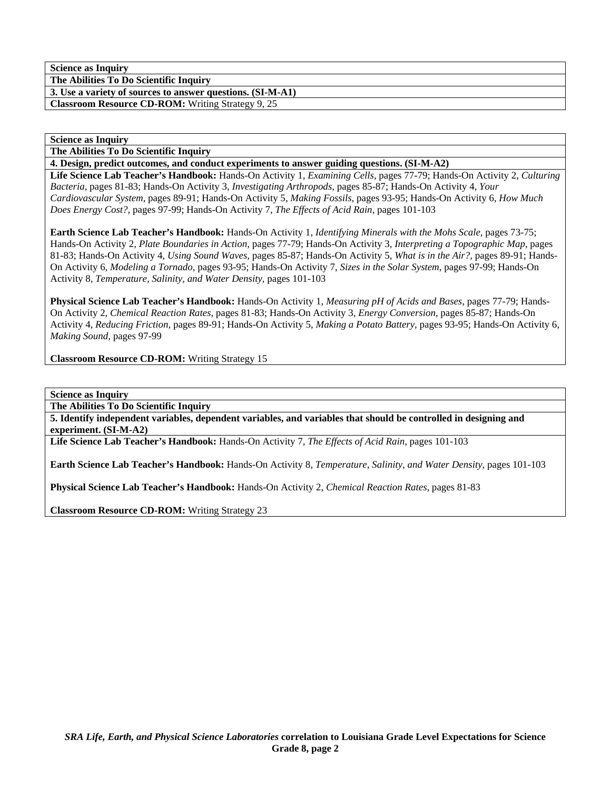**The Abilities To Do Scientific Inquiry 3. Use a variety of sources to answer questions. (SI-M-A1)** 

**Classroom Resource CD-ROM:** Writing Strategy 9, 25

## **Science as Inquiry**

**The Abilities To Do Scientific Inquiry** 

**4. Design, predict outcomes, and conduct experiments to answer guiding questions. (SI-M-A2)** 

**Life Science Lab Teacher's Handbook:** Hands-On Activity 1, *Examining Cells,* pages 77-79; Hands-On Activity 2, *Culturing Bacteria,* pages 81-83; Hands-On Activity 3, *Investigating Arthropods,* pages 85-87; Hands-On Activity 4, *Your Cardiovascular System,* pages 89-91; Hands-On Activity 5, *Making Fossils,* pages 93-95; Hands-On Activity 6, *How Much Does Energy Cost?,* pages 97-99; Hands-On Activity 7, *The Effects of Acid Rain,* pages 101-103

**Earth Science Lab Teacher's Handbook:** Hands-On Activity 1, *Identifying Minerals with the Mohs Scale,* pages 73-75; Hands-On Activity 2, *Plate Boundaries in Action,* pages 77-79; Hands-On Activity 3, *Interpreting a Topographic Map,* pages 81-83; Hands-On Activity 4, *Using Sound Waves,* pages 85-87; Hands-On Activity 5, *What is in the Air?,* pages 89-91; Hands-On Activity 6, *Modeling a Tornado,* pages 93-95; Hands-On Activity 7, *Sizes in the Solar System,* pages 97-99; Hands-On Activity 8, *Temperature, Salinity, and Water Density,* pages 101-103

**Physical Science Lab Teacher's Handbook:** Hands-On Activity 1, *Measuring pH of Acids and Bases,* pages 77-79; Hands-On Activity 2, *Chemical Reaction Rates,* pages 81-83; Hands-On Activity 3, *Energy Conversion,* pages 85-87; Hands-On Activity 4, *Reducing Friction,* pages 89-91; Hands-On Activity 5, *Making a Potato Battery,* pages 93-95; Hands-On Activity 6, *Making Sound,* pages 97-99

**Classroom Resource CD-ROM:** Writing Strategy 15

**Science as Inquiry** 

**The Abilities To Do Scientific Inquiry** 

**5. Identify independent variables, dependent variables, and variables that should be controlled in designing and experiment. (SI-M-A2)** 

**Life Science Lab Teacher's Handbook:** Hands-On Activity 7, *The Effects of Acid Rain,* pages 101-103

**Earth Science Lab Teacher's Handbook:** Hands-On Activity 8, *Temperature, Salinity, and Water Density,* pages 101-103

**Physical Science Lab Teacher's Handbook:** Hands-On Activity 2, *Chemical Reaction Rates,* pages 81-83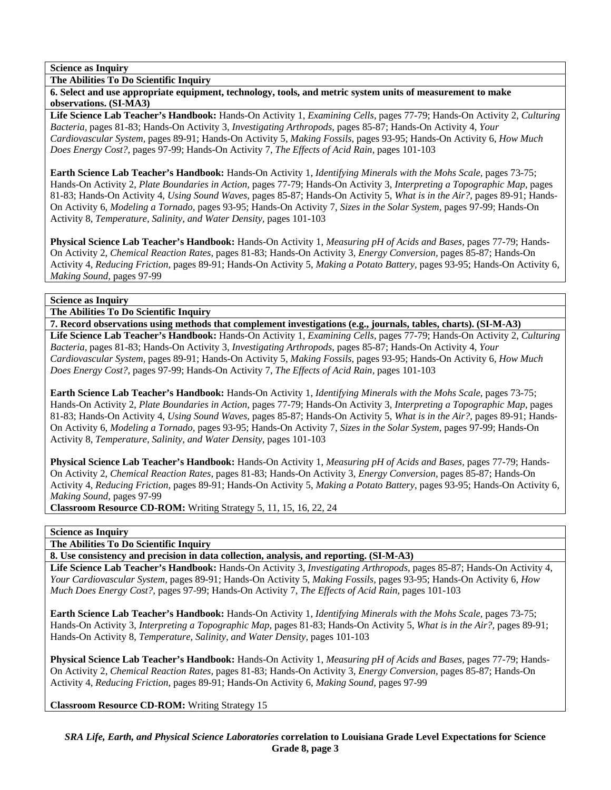**The Abilities To Do Scientific Inquiry** 

**6. Select and use appropriate equipment, technology, tools, and metric system units of measurement to make observations. (SI-MA3)** 

**Life Science Lab Teacher's Handbook:** Hands-On Activity 1, *Examining Cells,* pages 77-79; Hands-On Activity 2, *Culturing Bacteria,* pages 81-83; Hands-On Activity 3, *Investigating Arthropods,* pages 85-87; Hands-On Activity 4, *Your Cardiovascular System,* pages 89-91; Hands-On Activity 5, *Making Fossils,* pages 93-95; Hands-On Activity 6, *How Much Does Energy Cost?,* pages 97-99; Hands-On Activity 7, *The Effects of Acid Rain,* pages 101-103

**Earth Science Lab Teacher's Handbook:** Hands-On Activity 1, *Identifying Minerals with the Mohs Scale,* pages 73-75; Hands-On Activity 2, *Plate Boundaries in Action,* pages 77-79; Hands-On Activity 3, *Interpreting a Topographic Map,* pages 81-83; Hands-On Activity 4, *Using Sound Waves,* pages 85-87; Hands-On Activity 5, *What is in the Air?,* pages 89-91; Hands-On Activity 6, *Modeling a Tornado,* pages 93-95; Hands-On Activity 7, *Sizes in the Solar System,* pages 97-99; Hands-On Activity 8, *Temperature, Salinity, and Water Density,* pages 101-103

**Physical Science Lab Teacher's Handbook:** Hands-On Activity 1, *Measuring pH of Acids and Bases,* pages 77-79; Hands-On Activity 2, *Chemical Reaction Rates,* pages 81-83; Hands-On Activity 3, *Energy Conversion,* pages 85-87; Hands-On Activity 4, *Reducing Friction,* pages 89-91; Hands-On Activity 5, *Making a Potato Battery,* pages 93-95; Hands-On Activity 6, *Making Sound,* pages 97-99

# **Science as Inquiry**

**The Abilities To Do Scientific Inquiry** 

**7. Record observations using methods that complement investigations (e.g., journals, tables, charts). (SI-M-A3) Life Science Lab Teacher's Handbook:** Hands-On Activity 1, *Examining Cells,* pages 77-79; Hands-On Activity 2, *Culturing Bacteria,* pages 81-83; Hands-On Activity 3, *Investigating Arthropods,* pages 85-87; Hands-On Activity 4, *Your Cardiovascular System,* pages 89-91; Hands-On Activity 5, *Making Fossils,* pages 93-95; Hands-On Activity 6, *How Much Does Energy Cost?,* pages 97-99; Hands-On Activity 7, *The Effects of Acid Rain,* pages 101-103

**Earth Science Lab Teacher's Handbook:** Hands-On Activity 1, *Identifying Minerals with the Mohs Scale,* pages 73-75; Hands-On Activity 2, *Plate Boundaries in Action,* pages 77-79; Hands-On Activity 3, *Interpreting a Topographic Map,* pages 81-83; Hands-On Activity 4, *Using Sound Waves,* pages 85-87; Hands-On Activity 5, *What is in the Air?,* pages 89-91; Hands-On Activity 6, *Modeling a Tornado,* pages 93-95; Hands-On Activity 7, *Sizes in the Solar System,* pages 97-99; Hands-On Activity 8, *Temperature, Salinity, and Water Density,* pages 101-103

**Physical Science Lab Teacher's Handbook:** Hands-On Activity 1, *Measuring pH of Acids and Bases,* pages 77-79; Hands-On Activity 2, *Chemical Reaction Rates,* pages 81-83; Hands-On Activity 3, *Energy Conversion,* pages 85-87; Hands-On Activity 4, *Reducing Friction,* pages 89-91; Hands-On Activity 5, *Making a Potato Battery,* pages 93-95; Hands-On Activity 6, *Making Sound,* pages 97-99

**Classroom Resource CD-ROM:** Writing Strategy 5, 11, 15, 16, 22, 24

# **Science as Inquiry**

**The Abilities To Do Scientific Inquiry** 

**8. Use consistency and precision in data collection, analysis, and reporting. (SI-M-A3)** 

**Life Science Lab Teacher's Handbook:** Hands-On Activity 3, *Investigating Arthropods,* pages 85-87; Hands-On Activity 4, *Your Cardiovascular System,* pages 89-91; Hands-On Activity 5, *Making Fossils,* pages 93-95; Hands-On Activity 6, *How Much Does Energy Cost?,* pages 97-99; Hands-On Activity 7, *The Effects of Acid Rain,* pages 101-103

**Earth Science Lab Teacher's Handbook:** Hands-On Activity 1, *Identifying Minerals with the Mohs Scale,* pages 73-75; Hands-On Activity 3, *Interpreting a Topographic Map,* pages 81-83; Hands-On Activity 5, *What is in the Air?,* pages 89-91; Hands-On Activity 8, *Temperature, Salinity, and Water Density,* pages 101-103

**Physical Science Lab Teacher's Handbook:** Hands-On Activity 1, *Measuring pH of Acids and Bases,* pages 77-79; Hands-On Activity 2, *Chemical Reaction Rates,* pages 81-83; Hands-On Activity 3, *Energy Conversion,* pages 85-87; Hands-On Activity 4, *Reducing Friction,* pages 89-91; Hands-On Activity 6, *Making Sound,* pages 97-99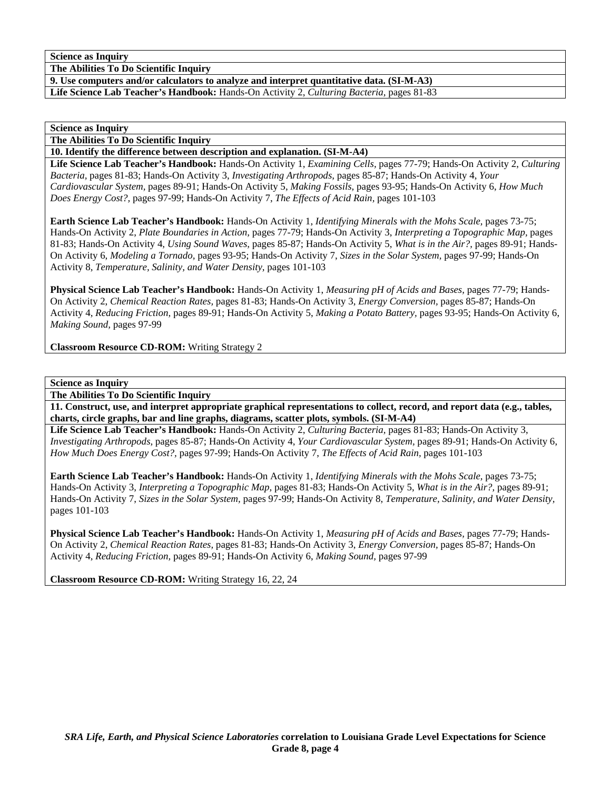**The Abilities To Do Scientific Inquiry** 

**9. Use computers and/or calculators to analyze and interpret quantitative data. (SI-M-A3)** 

**Life Science Lab Teacher's Handbook:** Hands-On Activity 2, *Culturing Bacteria,* pages 81-83

**Science as Inquiry** 

**The Abilities To Do Scientific Inquiry** 

**10. Identify the difference between description and explanation. (SI-M-A4)** 

**Life Science Lab Teacher's Handbook:** Hands-On Activity 1, *Examining Cells,* pages 77-79; Hands-On Activity 2, *Culturing Bacteria,* pages 81-83; Hands-On Activity 3, *Investigating Arthropods,* pages 85-87; Hands-On Activity 4, *Your Cardiovascular System,* pages 89-91; Hands-On Activity 5, *Making Fossils,* pages 93-95; Hands-On Activity 6, *How Much Does Energy Cost?,* pages 97-99; Hands-On Activity 7, *The Effects of Acid Rain,* pages 101-103

**Earth Science Lab Teacher's Handbook:** Hands-On Activity 1, *Identifying Minerals with the Mohs Scale,* pages 73-75; Hands-On Activity 2, *Plate Boundaries in Action,* pages 77-79; Hands-On Activity 3, *Interpreting a Topographic Map,* pages 81-83; Hands-On Activity 4, *Using Sound Waves,* pages 85-87; Hands-On Activity 5, *What is in the Air?,* pages 89-91; Hands-On Activity 6, *Modeling a Tornado,* pages 93-95; Hands-On Activity 7, *Sizes in the Solar System,* pages 97-99; Hands-On Activity 8, *Temperature, Salinity, and Water Density,* pages 101-103

**Physical Science Lab Teacher's Handbook:** Hands-On Activity 1, *Measuring pH of Acids and Bases,* pages 77-79; Hands-On Activity 2, *Chemical Reaction Rates,* pages 81-83; Hands-On Activity 3, *Energy Conversion,* pages 85-87; Hands-On Activity 4, *Reducing Friction,* pages 89-91; Hands-On Activity 5, *Making a Potato Battery,* pages 93-95; Hands-On Activity 6, *Making Sound,* pages 97-99

**Classroom Resource CD-ROM:** Writing Strategy 2

**Science as Inquiry** 

**The Abilities To Do Scientific Inquiry** 

**11. Construct, use, and interpret appropriate graphical representations to collect, record, and report data (e.g., tables, charts, circle graphs, bar and line graphs, diagrams, scatter plots, symbols. (SI-M-A4)** 

**Life Science Lab Teacher's Handbook:** Hands-On Activity 2, *Culturing Bacteria,* pages 81-83; Hands-On Activity 3, *Investigating Arthropods,* pages 85-87; Hands-On Activity 4, *Your Cardiovascular System,* pages 89-91; Hands-On Activity 6, *How Much Does Energy Cost?,* pages 97-99; Hands-On Activity 7, *The Effects of Acid Rain,* pages 101-103

**Earth Science Lab Teacher's Handbook:** Hands-On Activity 1, *Identifying Minerals with the Mohs Scale,* pages 73-75; Hands-On Activity 3, *Interpreting a Topographic Map,* pages 81-83; Hands-On Activity 5, *What is in the Air?,* pages 89-91; Hands-On Activity 7, *Sizes in the Solar System,* pages 97-99; Hands-On Activity 8, *Temperature, Salinity, and Water Density,* pages 101-103

**Physical Science Lab Teacher's Handbook:** Hands-On Activity 1, *Measuring pH of Acids and Bases,* pages 77-79; Hands-On Activity 2, *Chemical Reaction Rates,* pages 81-83; Hands-On Activity 3, *Energy Conversion,* pages 85-87; Hands-On Activity 4, *Reducing Friction,* pages 89-91; Hands-On Activity 6, *Making Sound,* pages 97-99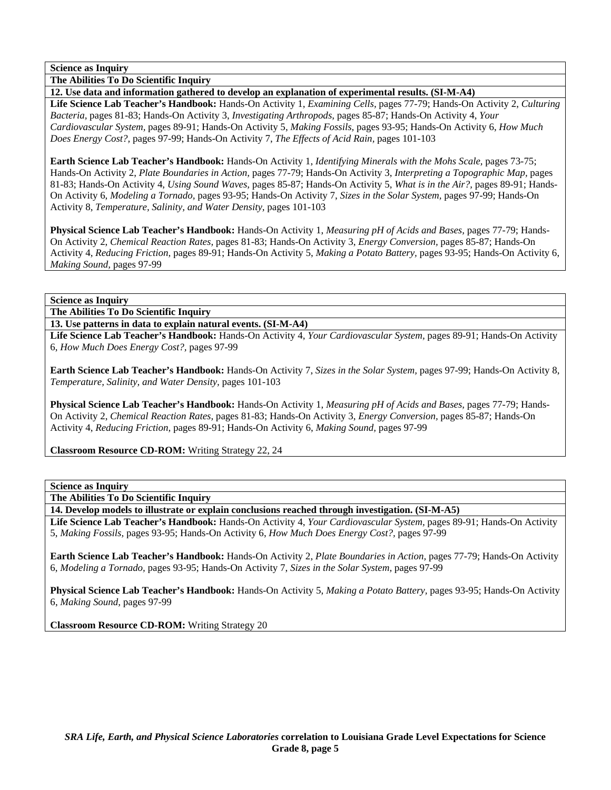**The Abilities To Do Scientific Inquiry** 

**12. Use data and information gathered to develop an explanation of experimental results. (SI-M-A4)** 

**Life Science Lab Teacher's Handbook:** Hands-On Activity 1, *Examining Cells,* pages 77-79; Hands-On Activity 2, *Culturing Bacteria,* pages 81-83; Hands-On Activity 3, *Investigating Arthropods,* pages 85-87; Hands-On Activity 4, *Your Cardiovascular System,* pages 89-91; Hands-On Activity 5, *Making Fossils,* pages 93-95; Hands-On Activity 6, *How Much Does Energy Cost?,* pages 97-99; Hands-On Activity 7, *The Effects of Acid Rain,* pages 101-103

**Earth Science Lab Teacher's Handbook:** Hands-On Activity 1, *Identifying Minerals with the Mohs Scale,* pages 73-75; Hands-On Activity 2, *Plate Boundaries in Action,* pages 77-79; Hands-On Activity 3, *Interpreting a Topographic Map,* pages 81-83; Hands-On Activity 4, *Using Sound Waves,* pages 85-87; Hands-On Activity 5, *What is in the Air?,* pages 89-91; Hands-On Activity 6, *Modeling a Tornado,* pages 93-95; Hands-On Activity 7, *Sizes in the Solar System,* pages 97-99; Hands-On Activity 8, *Temperature, Salinity, and Water Density,* pages 101-103

**Physical Science Lab Teacher's Handbook:** Hands-On Activity 1, *Measuring pH of Acids and Bases,* pages 77-79; Hands-On Activity 2, *Chemical Reaction Rates,* pages 81-83; Hands-On Activity 3, *Energy Conversion,* pages 85-87; Hands-On Activity 4, *Reducing Friction,* pages 89-91; Hands-On Activity 5, *Making a Potato Battery,* pages 93-95; Hands-On Activity 6, *Making Sound,* pages 97-99

### **Science as Inquiry**

**The Abilities To Do Scientific Inquiry** 

**13. Use patterns in data to explain natural events. (SI-M-A4)** 

**Life Science Lab Teacher's Handbook:** Hands-On Activity 4, *Your Cardiovascular System,* pages 89-91; Hands-On Activity 6, *How Much Does Energy Cost?,* pages 97-99

**Earth Science Lab Teacher's Handbook:** Hands-On Activity 7, *Sizes in the Solar System,* pages 97-99; Hands-On Activity 8, *Temperature, Salinity, and Water Density,* pages 101-103

**Physical Science Lab Teacher's Handbook:** Hands-On Activity 1, *Measuring pH of Acids and Bases,* pages 77-79; Hands-On Activity 2, *Chemical Reaction Rates,* pages 81-83; Hands-On Activity 3, *Energy Conversion,* pages 85-87; Hands-On Activity 4, *Reducing Friction,* pages 89-91; Hands-On Activity 6, *Making Sound,* pages 97-99

**Classroom Resource CD-ROM:** Writing Strategy 22, 24

#### **Science as Inquiry**

**The Abilities To Do Scientific Inquiry** 

**14. Develop models to illustrate or explain conclusions reached through investigation. (SI-M-A5)** 

**Life Science Lab Teacher's Handbook:** Hands-On Activity 4, *Your Cardiovascular System,* pages 89-91; Hands-On Activity 5, *Making Fossils,* pages 93-95; Hands-On Activity 6, *How Much Does Energy Cost?,* pages 97-99

**Earth Science Lab Teacher's Handbook:** Hands-On Activity 2, *Plate Boundaries in Action,* pages 77-79; Hands-On Activity 6, *Modeling a Tornado,* pages 93-95; Hands-On Activity 7, *Sizes in the Solar System,* pages 97-99

**Physical Science Lab Teacher's Handbook:** Hands-On Activity 5, *Making a Potato Battery,* pages 93-95; Hands-On Activity 6, *Making Sound,* pages 97-99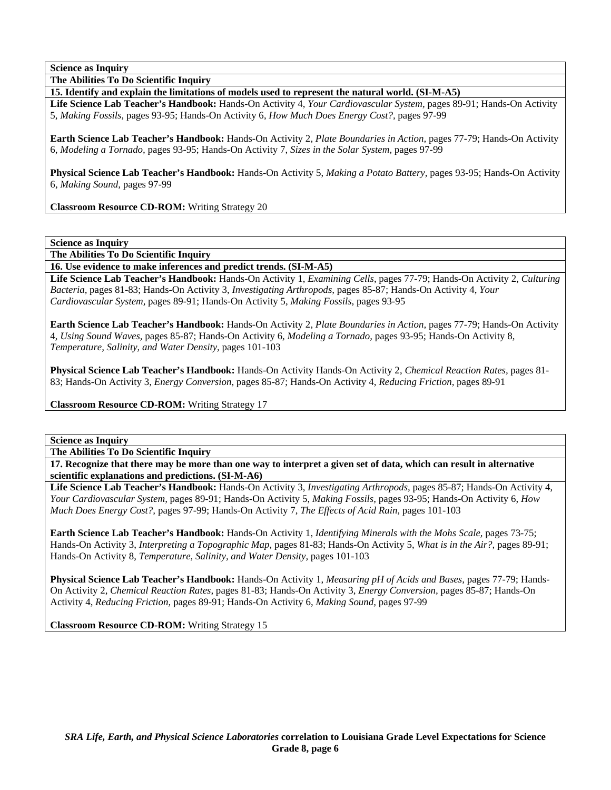**The Abilities To Do Scientific Inquiry** 

**15. Identify and explain the limitations of models used to represent the natural world. (SI-M-A5)** 

**Life Science Lab Teacher's Handbook:** Hands-On Activity 4, *Your Cardiovascular System,* pages 89-91; Hands-On Activity 5, *Making Fossils,* pages 93-95; Hands-On Activity 6, *How Much Does Energy Cost?,* pages 97-99

**Earth Science Lab Teacher's Handbook:** Hands-On Activity 2, *Plate Boundaries in Action,* pages 77-79; Hands-On Activity 6, *Modeling a Tornado,* pages 93-95; Hands-On Activity 7, *Sizes in the Solar System,* pages 97-99

**Physical Science Lab Teacher's Handbook:** Hands-On Activity 5, *Making a Potato Battery,* pages 93-95; Hands-On Activity 6, *Making Sound,* pages 97-99

**Classroom Resource CD-ROM:** Writing Strategy 20

**Science as Inquiry** 

**The Abilities To Do Scientific Inquiry** 

**16. Use evidence to make inferences and predict trends. (SI-M-A5)** 

**Life Science Lab Teacher's Handbook:** Hands-On Activity 1, *Examining Cells,* pages 77-79; Hands-On Activity 2, *Culturing Bacteria,* pages 81-83; Hands-On Activity 3, *Investigating Arthropods,* pages 85-87; Hands-On Activity 4, *Your Cardiovascular System,* pages 89-91; Hands-On Activity 5, *Making Fossils,* pages 93-95

**Earth Science Lab Teacher's Handbook:** Hands-On Activity 2, *Plate Boundaries in Action,* pages 77-79; Hands-On Activity 4, *Using Sound Waves,* pages 85-87; Hands-On Activity 6, *Modeling a Tornado,* pages 93-95; Hands-On Activity 8, *Temperature, Salinity, and Water Density,* pages 101-103

**Physical Science Lab Teacher's Handbook:** Hands-On Activity Hands-On Activity 2, *Chemical Reaction Rates,* pages 81- 83; Hands-On Activity 3, *Energy Conversion,* pages 85-87; Hands-On Activity 4, *Reducing Friction,* pages 89-91

**Classroom Resource CD-ROM:** Writing Strategy 17

**Science as Inquiry** 

**The Abilities To Do Scientific Inquiry** 

**17. Recognize that there may be more than one way to interpret a given set of data, which can result in alternative scientific explanations and predictions. (SI-M-A6)** 

**Life Science Lab Teacher's Handbook:** Hands-On Activity 3, *Investigating Arthropods,* pages 85-87; Hands-On Activity 4, *Your Cardiovascular System,* pages 89-91; Hands-On Activity 5, *Making Fossils,* pages 93-95; Hands-On Activity 6, *How Much Does Energy Cost?,* pages 97-99; Hands-On Activity 7, *The Effects of Acid Rain,* pages 101-103

**Earth Science Lab Teacher's Handbook:** Hands-On Activity 1, *Identifying Minerals with the Mohs Scale,* pages 73-75; Hands-On Activity 3, *Interpreting a Topographic Map,* pages 81-83; Hands-On Activity 5, *What is in the Air?,* pages 89-91; Hands-On Activity 8, *Temperature, Salinity, and Water Density,* pages 101-103

**Physical Science Lab Teacher's Handbook:** Hands-On Activity 1, *Measuring pH of Acids and Bases,* pages 77-79; Hands-On Activity 2, *Chemical Reaction Rates,* pages 81-83; Hands-On Activity 3, *Energy Conversion,* pages 85-87; Hands-On Activity 4, *Reducing Friction,* pages 89-91; Hands-On Activity 6, *Making Sound,* pages 97-99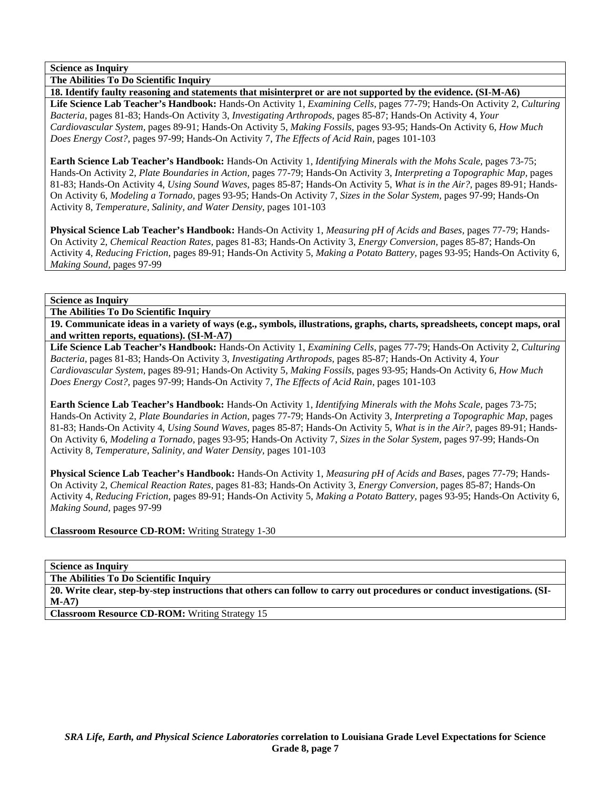**The Abilities To Do Scientific Inquiry** 

**18. Identify faulty reasoning and statements that misinterpret or are not supported by the evidence. (SI-M-A6) Life Science Lab Teacher's Handbook:** Hands-On Activity 1, *Examining Cells,* pages 77-79; Hands-On Activity 2, *Culturing Bacteria,* pages 81-83; Hands-On Activity 3, *Investigating Arthropods,* pages 85-87; Hands-On Activity 4, *Your Cardiovascular System,* pages 89-91; Hands-On Activity 5, *Making Fossils,* pages 93-95; Hands-On Activity 6, *How Much Does Energy Cost?,* pages 97-99; Hands-On Activity 7, *The Effects of Acid Rain,* pages 101-103

**Earth Science Lab Teacher's Handbook:** Hands-On Activity 1, *Identifying Minerals with the Mohs Scale,* pages 73-75; Hands-On Activity 2, *Plate Boundaries in Action,* pages 77-79; Hands-On Activity 3, *Interpreting a Topographic Map,* pages 81-83; Hands-On Activity 4, *Using Sound Waves,* pages 85-87; Hands-On Activity 5, *What is in the Air?,* pages 89-91; Hands-On Activity 6, *Modeling a Tornado,* pages 93-95; Hands-On Activity 7, *Sizes in the Solar System,* pages 97-99; Hands-On Activity 8, *Temperature, Salinity, and Water Density,* pages 101-103

**Physical Science Lab Teacher's Handbook:** Hands-On Activity 1, *Measuring pH of Acids and Bases,* pages 77-79; Hands-On Activity 2, *Chemical Reaction Rates,* pages 81-83; Hands-On Activity 3, *Energy Conversion,* pages 85-87; Hands-On Activity 4, *Reducing Friction,* pages 89-91; Hands-On Activity 5, *Making a Potato Battery,* pages 93-95; Hands-On Activity 6, *Making Sound,* pages 97-99

**Science as Inquiry** 

**The Abilities To Do Scientific Inquiry** 

**19. Communicate ideas in a variety of ways (e.g., symbols, illustrations, graphs, charts, spreadsheets, concept maps, oral and written reports, equations). (SI-M-A7)** 

**Life Science Lab Teacher's Handbook:** Hands-On Activity 1, *Examining Cells,* pages 77-79; Hands-On Activity 2, *Culturing Bacteria,* pages 81-83; Hands-On Activity 3, *Investigating Arthropods,* pages 85-87; Hands-On Activity 4, *Your Cardiovascular System,* pages 89-91; Hands-On Activity 5, *Making Fossils,* pages 93-95; Hands-On Activity 6, *How Much Does Energy Cost?,* pages 97-99; Hands-On Activity 7, *The Effects of Acid Rain,* pages 101-103

**Earth Science Lab Teacher's Handbook:** Hands-On Activity 1, *Identifying Minerals with the Mohs Scale,* pages 73-75; Hands-On Activity 2, *Plate Boundaries in Action,* pages 77-79; Hands-On Activity 3, *Interpreting a Topographic Map,* pages 81-83; Hands-On Activity 4, *Using Sound Waves,* pages 85-87; Hands-On Activity 5, *What is in the Air?,* pages 89-91; Hands-On Activity 6, *Modeling a Tornado,* pages 93-95; Hands-On Activity 7, *Sizes in the Solar System,* pages 97-99; Hands-On Activity 8, *Temperature, Salinity, and Water Density,* pages 101-103

**Physical Science Lab Teacher's Handbook:** Hands-On Activity 1, *Measuring pH of Acids and Bases,* pages 77-79; Hands-On Activity 2, *Chemical Reaction Rates,* pages 81-83; Hands-On Activity 3, *Energy Conversion,* pages 85-87; Hands-On Activity 4, *Reducing Friction,* pages 89-91; Hands-On Activity 5, *Making a Potato Battery,* pages 93-95; Hands-On Activity 6, *Making Sound,* pages 97-99

**Classroom Resource CD-ROM:** Writing Strategy 1-30

**Science as Inquiry** 

**The Abilities To Do Scientific Inquiry** 

**20. Write clear, step-by-step instructions that others can follow to carry out procedures or conduct investigations. (SI-M-A7)**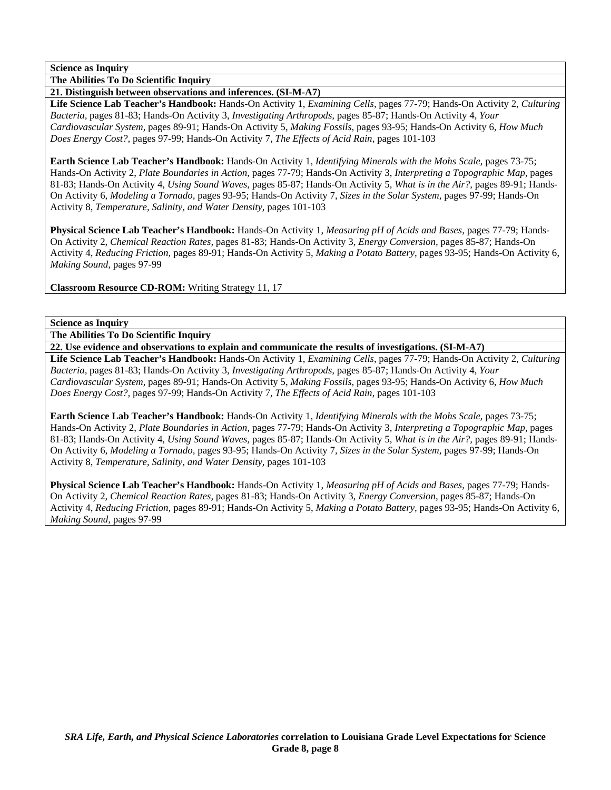**The Abilities To Do Scientific Inquiry** 

**21. Distinguish between observations and inferences. (SI-M-A7)** 

**Life Science Lab Teacher's Handbook:** Hands-On Activity 1, *Examining Cells,* pages 77-79; Hands-On Activity 2, *Culturing Bacteria,* pages 81-83; Hands-On Activity 3, *Investigating Arthropods,* pages 85-87; Hands-On Activity 4, *Your Cardiovascular System,* pages 89-91; Hands-On Activity 5, *Making Fossils,* pages 93-95; Hands-On Activity 6, *How Much Does Energy Cost?,* pages 97-99; Hands-On Activity 7, *The Effects of Acid Rain,* pages 101-103

**Earth Science Lab Teacher's Handbook:** Hands-On Activity 1, *Identifying Minerals with the Mohs Scale,* pages 73-75; Hands-On Activity 2, *Plate Boundaries in Action,* pages 77-79; Hands-On Activity 3, *Interpreting a Topographic Map,* pages 81-83; Hands-On Activity 4, *Using Sound Waves,* pages 85-87; Hands-On Activity 5, *What is in the Air?,* pages 89-91; Hands-On Activity 6, *Modeling a Tornado,* pages 93-95; Hands-On Activity 7, *Sizes in the Solar System,* pages 97-99; Hands-On Activity 8, *Temperature, Salinity, and Water Density,* pages 101-103

**Physical Science Lab Teacher's Handbook:** Hands-On Activity 1, *Measuring pH of Acids and Bases,* pages 77-79; Hands-On Activity 2, *Chemical Reaction Rates,* pages 81-83; Hands-On Activity 3, *Energy Conversion,* pages 85-87; Hands-On Activity 4, *Reducing Friction,* pages 89-91; Hands-On Activity 5, *Making a Potato Battery,* pages 93-95; Hands-On Activity 6, *Making Sound,* pages 97-99

**Classroom Resource CD-ROM:** Writing Strategy 11, 17

### **Science as Inquiry**

**The Abilities To Do Scientific Inquiry** 

**22. Use evidence and observations to explain and communicate the results of investigations. (SI-M-A7)** 

**Life Science Lab Teacher's Handbook:** Hands-On Activity 1, *Examining Cells,* pages 77-79; Hands-On Activity 2, *Culturing Bacteria,* pages 81-83; Hands-On Activity 3, *Investigating Arthropods,* pages 85-87; Hands-On Activity 4, *Your Cardiovascular System,* pages 89-91; Hands-On Activity 5, *Making Fossils,* pages 93-95; Hands-On Activity 6, *How Much Does Energy Cost?,* pages 97-99; Hands-On Activity 7, *The Effects of Acid Rain,* pages 101-103

**Earth Science Lab Teacher's Handbook:** Hands-On Activity 1, *Identifying Minerals with the Mohs Scale,* pages 73-75; Hands-On Activity 2, *Plate Boundaries in Action,* pages 77-79; Hands-On Activity 3, *Interpreting a Topographic Map,* pages 81-83; Hands-On Activity 4, *Using Sound Waves,* pages 85-87; Hands-On Activity 5, *What is in the Air?,* pages 89-91; Hands-On Activity 6, *Modeling a Tornado,* pages 93-95; Hands-On Activity 7, *Sizes in the Solar System,* pages 97-99; Hands-On Activity 8, *Temperature, Salinity, and Water Density,* pages 101-103

**Physical Science Lab Teacher's Handbook:** Hands-On Activity 1, *Measuring pH of Acids and Bases,* pages 77-79; Hands-On Activity 2, *Chemical Reaction Rates,* pages 81-83; Hands-On Activity 3, *Energy Conversion,* pages 85-87; Hands-On Activity 4, *Reducing Friction,* pages 89-91; Hands-On Activity 5, *Making a Potato Battery,* pages 93-95; Hands-On Activity 6, *Making Sound,* pages 97-99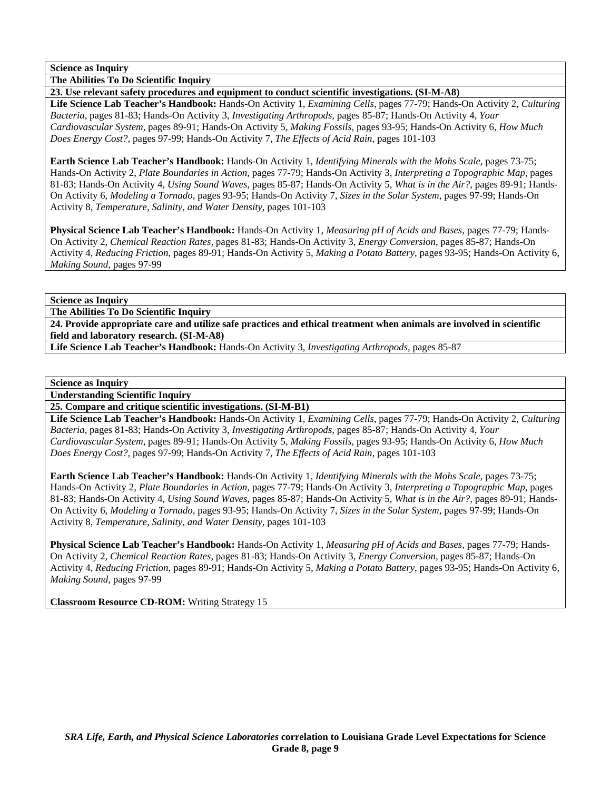**The Abilities To Do Scientific Inquiry** 

**23. Use relevant safety procedures and equipment to conduct scientific investigations. (SI-M-A8)** 

**Life Science Lab Teacher's Handbook:** Hands-On Activity 1, *Examining Cells,* pages 77-79; Hands-On Activity 2, *Culturing Bacteria,* pages 81-83; Hands-On Activity 3, *Investigating Arthropods,* pages 85-87; Hands-On Activity 4, *Your Cardiovascular System,* pages 89-91; Hands-On Activity 5, *Making Fossils,* pages 93-95; Hands-On Activity 6, *How Much Does Energy Cost?,* pages 97-99; Hands-On Activity 7, *The Effects of Acid Rain,* pages 101-103

**Earth Science Lab Teacher's Handbook:** Hands-On Activity 1, *Identifying Minerals with the Mohs Scale,* pages 73-75; Hands-On Activity 2, *Plate Boundaries in Action,* pages 77-79; Hands-On Activity 3, *Interpreting a Topographic Map,* pages 81-83; Hands-On Activity 4, *Using Sound Waves,* pages 85-87; Hands-On Activity 5, *What is in the Air?,* pages 89-91; Hands-On Activity 6, *Modeling a Tornado,* pages 93-95; Hands-On Activity 7, *Sizes in the Solar System,* pages 97-99; Hands-On Activity 8, *Temperature, Salinity, and Water Density,* pages 101-103

**Physical Science Lab Teacher's Handbook:** Hands-On Activity 1, *Measuring pH of Acids and Bases,* pages 77-79; Hands-On Activity 2, *Chemical Reaction Rates,* pages 81-83; Hands-On Activity 3, *Energy Conversion,* pages 85-87; Hands-On Activity 4, *Reducing Friction,* pages 89-91; Hands-On Activity 5, *Making a Potato Battery,* pages 93-95; Hands-On Activity 6, *Making Sound,* pages 97-99

**Science as Inquiry** 

**The Abilities To Do Scientific Inquiry** 

**24. Provide appropriate care and utilize safe practices and ethical treatment when animals are involved in scientific field and laboratory research. (SI-M-A8)** 

**Life Science Lab Teacher's Handbook:** Hands-On Activity 3, *Investigating Arthropods,* pages 85-87

### **Science as Inquiry**

**Understanding Scientific Inquiry** 

**25. Compare and critique scientific investigations. (SI-M-B1)** 

**Life Science Lab Teacher's Handbook:** Hands-On Activity 1, *Examining Cells,* pages 77-79; Hands-On Activity 2, *Culturing Bacteria,* pages 81-83; Hands-On Activity 3, *Investigating Arthropods,* pages 85-87; Hands-On Activity 4, *Your Cardiovascular System,* pages 89-91; Hands-On Activity 5, *Making Fossils,* pages 93-95; Hands-On Activity 6, *How Much Does Energy Cost?,* pages 97-99; Hands-On Activity 7, *The Effects of Acid Rain,* pages 101-103

**Earth Science Lab Teacher's Handbook:** Hands-On Activity 1, *Identifying Minerals with the Mohs Scale,* pages 73-75; Hands-On Activity 2, *Plate Boundaries in Action,* pages 77-79; Hands-On Activity 3, *Interpreting a Topographic Map,* pages 81-83; Hands-On Activity 4, *Using Sound Waves,* pages 85-87; Hands-On Activity 5, *What is in the Air?,* pages 89-91; Hands-On Activity 6, *Modeling a Tornado,* pages 93-95; Hands-On Activity 7, *Sizes in the Solar System,* pages 97-99; Hands-On Activity 8, *Temperature, Salinity, and Water Density,* pages 101-103

**Physical Science Lab Teacher's Handbook:** Hands-On Activity 1, *Measuring pH of Acids and Bases,* pages 77-79; Hands-On Activity 2, *Chemical Reaction Rates,* pages 81-83; Hands-On Activity 3, *Energy Conversion,* pages 85-87; Hands-On Activity 4, *Reducing Friction,* pages 89-91; Hands-On Activity 5, *Making a Potato Battery,* pages 93-95; Hands-On Activity 6, *Making Sound,* pages 97-99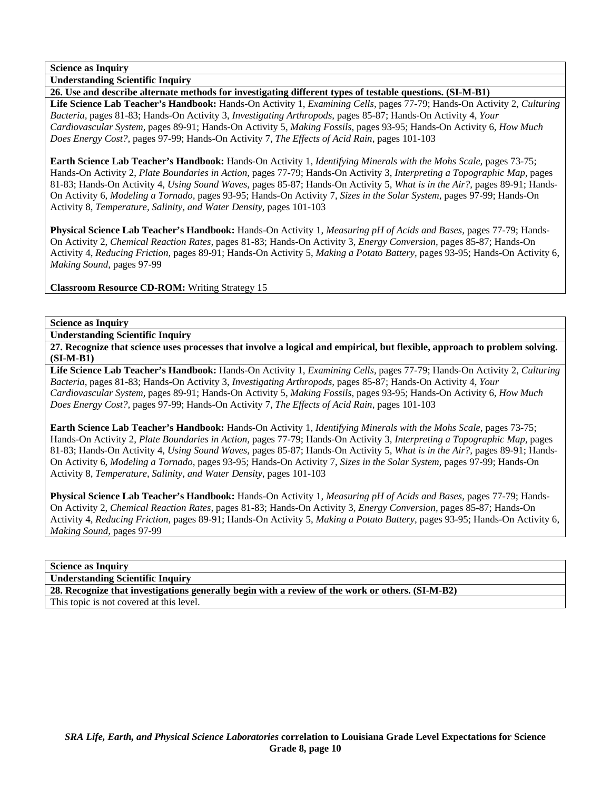**Understanding Scientific Inquiry** 

**26. Use and describe alternate methods for investigating different types of testable questions. (SI-M-B1) Life Science Lab Teacher's Handbook:** Hands-On Activity 1, *Examining Cells,* pages 77-79; Hands-On Activity 2, *Culturing Bacteria,* pages 81-83; Hands-On Activity 3, *Investigating Arthropods,* pages 85-87; Hands-On Activity 4, *Your Cardiovascular System,* pages 89-91; Hands-On Activity 5, *Making Fossils,* pages 93-95; Hands-On Activity 6, *How Much Does Energy Cost?,* pages 97-99; Hands-On Activity 7, *The Effects of Acid Rain,* pages 101-103

**Earth Science Lab Teacher's Handbook:** Hands-On Activity 1, *Identifying Minerals with the Mohs Scale,* pages 73-75; Hands-On Activity 2, *Plate Boundaries in Action,* pages 77-79; Hands-On Activity 3, *Interpreting a Topographic Map,* pages 81-83; Hands-On Activity 4, *Using Sound Waves,* pages 85-87; Hands-On Activity 5, *What is in the Air?,* pages 89-91; Hands-On Activity 6, *Modeling a Tornado,* pages 93-95; Hands-On Activity 7, *Sizes in the Solar System,* pages 97-99; Hands-On Activity 8, *Temperature, Salinity, and Water Density,* pages 101-103

**Physical Science Lab Teacher's Handbook:** Hands-On Activity 1, *Measuring pH of Acids and Bases,* pages 77-79; Hands-On Activity 2, *Chemical Reaction Rates,* pages 81-83; Hands-On Activity 3, *Energy Conversion,* pages 85-87; Hands-On Activity 4, *Reducing Friction,* pages 89-91; Hands-On Activity 5, *Making a Potato Battery,* pages 93-95; Hands-On Activity 6, *Making Sound,* pages 97-99

**Classroom Resource CD-ROM:** Writing Strategy 15

## **Science as Inquiry**

**Understanding Scientific Inquiry** 

**27. Recognize that science uses processes that involve a logical and empirical, but flexible, approach to problem solving. (SI-M-B1)** 

**Life Science Lab Teacher's Handbook:** Hands-On Activity 1, *Examining Cells,* pages 77-79; Hands-On Activity 2, *Culturing Bacteria,* pages 81-83; Hands-On Activity 3, *Investigating Arthropods,* pages 85-87; Hands-On Activity 4, *Your Cardiovascular System,* pages 89-91; Hands-On Activity 5, *Making Fossils,* pages 93-95; Hands-On Activity 6, *How Much Does Energy Cost?,* pages 97-99; Hands-On Activity 7, *The Effects of Acid Rain,* pages 101-103

**Earth Science Lab Teacher's Handbook:** Hands-On Activity 1, *Identifying Minerals with the Mohs Scale,* pages 73-75; Hands-On Activity 2, *Plate Boundaries in Action,* pages 77-79; Hands-On Activity 3, *Interpreting a Topographic Map,* pages 81-83; Hands-On Activity 4, *Using Sound Waves,* pages 85-87; Hands-On Activity 5, *What is in the Air?,* pages 89-91; Hands-On Activity 6, *Modeling a Tornado,* pages 93-95; Hands-On Activity 7, *Sizes in the Solar System,* pages 97-99; Hands-On Activity 8, *Temperature, Salinity, and Water Density,* pages 101-103

**Physical Science Lab Teacher's Handbook:** Hands-On Activity 1, *Measuring pH of Acids and Bases,* pages 77-79; Hands-On Activity 2, *Chemical Reaction Rates,* pages 81-83; Hands-On Activity 3, *Energy Conversion,* pages 85-87; Hands-On Activity 4, *Reducing Friction,* pages 89-91; Hands-On Activity 5, *Making a Potato Battery,* pages 93-95; Hands-On Activity 6, *Making Sound,* pages 97-99

## **Science as Inquiry**

**Understanding Scientific Inquiry** 

**28. Recognize that investigations generally begin with a review of the work or others. (SI-M-B2)**  This topic is not covered at this level.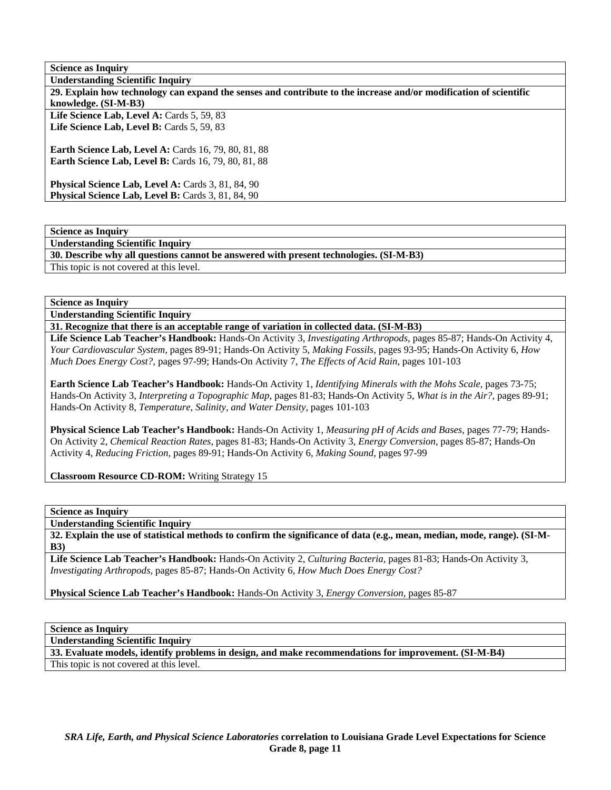**Understanding Scientific Inquiry** 

**30. Describe why all questions cannot be answered with present technologies. (SI-M-B3)** 

This topic is not covered at this level.

**Science as Inquiry** 

**Understanding Scientific Inquiry** 

**31. Recognize that there is an acceptable range of variation in collected data. (SI-M-B3)** 

**Life Science Lab Teacher's Handbook:** Hands-On Activity 3, *Investigating Arthropods,* pages 85-87; Hands-On Activity 4, *Your Cardiovascular System,* pages 89-91; Hands-On Activity 5, *Making Fossils,* pages 93-95; Hands-On Activity 6, *How Much Does Energy Cost?,* pages 97-99; Hands-On Activity 7, *The Effects of Acid Rain,* pages 101-103

**Earth Science Lab Teacher's Handbook:** Hands-On Activity 1, *Identifying Minerals with the Mohs Scale,* pages 73-75; Hands-On Activity 3, *Interpreting a Topographic Map,* pages 81-83; Hands-On Activity 5, *What is in the Air?,* pages 89-91; Hands-On Activity 8, *Temperature, Salinity, and Water Density,* pages 101-103

**Physical Science Lab Teacher's Handbook:** Hands-On Activity 1, *Measuring pH of Acids and Bases,* pages 77-79; Hands-On Activity 2, *Chemical Reaction Rates,* pages 81-83; Hands-On Activity 3, *Energy Conversion,* pages 85-87; Hands-On Activity 4, *Reducing Friction,* pages 89-91; Hands-On Activity 6, *Making Sound,* pages 97-99

**Classroom Resource CD-ROM:** Writing Strategy 15

**Science as Inquiry** 

**Understanding Scientific Inquiry** 

**32. Explain the use of statistical methods to confirm the significance of data (e.g., mean, median, mode, range). (SI-M-B3)** 

**Life Science Lab Teacher's Handbook:** Hands-On Activity 2, *Culturing Bacteria,* pages 81-83; Hands-On Activity 3, *Investigating Arthropods,* pages 85-87; Hands-On Activity 6, *How Much Does Energy Cost?*

**Physical Science Lab Teacher's Handbook:** Hands-On Activity 3, *Energy Conversion,* pages 85-87

**Science as Inquiry** 

**Understanding Scientific Inquiry** 

**33. Evaluate models, identify problems in design, and make recommendations for improvement. (SI-M-B4)** 

This topic is not covered at this level.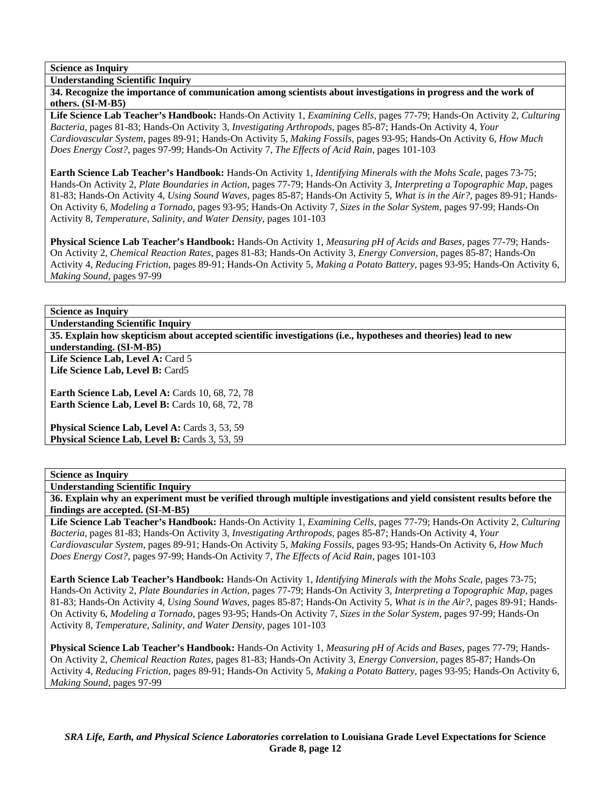**Understanding Scientific Inquiry** 

**34. Recognize the importance of communication among scientists about investigations in progress and the work of others. (SI-M-B5)** 

**Life Science Lab Teacher's Handbook:** Hands-On Activity 1, *Examining Cells,* pages 77-79; Hands-On Activity 2, *Culturing Bacteria,* pages 81-83; Hands-On Activity 3, *Investigating Arthropods,* pages 85-87; Hands-On Activity 4, *Your Cardiovascular System,* pages 89-91; Hands-On Activity 5, *Making Fossils,* pages 93-95; Hands-On Activity 6, *How Much Does Energy Cost?,* pages 97-99; Hands-On Activity 7, *The Effects of Acid Rain,* pages 101-103

**Earth Science Lab Teacher's Handbook:** Hands-On Activity 1, *Identifying Minerals with the Mohs Scale,* pages 73-75; Hands-On Activity 2, *Plate Boundaries in Action,* pages 77-79; Hands-On Activity 3, *Interpreting a Topographic Map,* pages 81-83; Hands-On Activity 4, *Using Sound Waves,* pages 85-87; Hands-On Activity 5, *What is in the Air?,* pages 89-91; Hands-On Activity 6, *Modeling a Tornado,* pages 93-95; Hands-On Activity 7, *Sizes in the Solar System,* pages 97-99; Hands-On Activity 8, *Temperature, Salinity, and Water Density,* pages 101-103

**Physical Science Lab Teacher's Handbook:** Hands-On Activity 1, *Measuring pH of Acids and Bases,* pages 77-79; Hands-On Activity 2, *Chemical Reaction Rates,* pages 81-83; Hands-On Activity 3, *Energy Conversion,* pages 85-87; Hands-On Activity 4, *Reducing Friction,* pages 89-91; Hands-On Activity 5, *Making a Potato Battery,* pages 93-95; Hands-On Activity 6, *Making Sound,* pages 97-99

# **Science as Inquiry**

**Understanding Scientific Inquiry** 

**35. Explain how skepticism about accepted scientific investigations (i.e., hypotheses and theories) lead to new understanding. (SI-M-B5)** 

Life Science Lab, Level A: Card 5 **Life Science Lab, Level B:** Card5

**Earth Science Lab, Level A: Cards 10, 68, 72, 78 Earth Science Lab, Level B: Cards 10, 68, 72, 78** 

Physical Science Lab, Level A: Cards 3, 53, 59 Physical Science Lab, Level B: Cards 3, 53, 59

## **Science as Inquiry**

**Understanding Scientific Inquiry** 

**36. Explain why an experiment must be verified through multiple investigations and yield consistent results before the findings are accepted. (SI-M-B5)** 

**Life Science Lab Teacher's Handbook:** Hands-On Activity 1, *Examining Cells,* pages 77-79; Hands-On Activity 2, *Culturing Bacteria,* pages 81-83; Hands-On Activity 3, *Investigating Arthropods,* pages 85-87; Hands-On Activity 4, *Your Cardiovascular System,* pages 89-91; Hands-On Activity 5, *Making Fossils,* pages 93-95; Hands-On Activity 6, *How Much Does Energy Cost?,* pages 97-99; Hands-On Activity 7, *The Effects of Acid Rain,* pages 101-103

**Earth Science Lab Teacher's Handbook:** Hands-On Activity 1, *Identifying Minerals with the Mohs Scale,* pages 73-75; Hands-On Activity 2, *Plate Boundaries in Action,* pages 77-79; Hands-On Activity 3, *Interpreting a Topographic Map,* pages 81-83; Hands-On Activity 4, *Using Sound Waves,* pages 85-87; Hands-On Activity 5, *What is in the Air?,* pages 89-91; Hands-On Activity 6, *Modeling a Tornado,* pages 93-95; Hands-On Activity 7, *Sizes in the Solar System,* pages 97-99; Hands-On Activity 8, *Temperature, Salinity, and Water Density,* pages 101-103

**Physical Science Lab Teacher's Handbook:** Hands-On Activity 1, *Measuring pH of Acids and Bases,* pages 77-79; Hands-On Activity 2, *Chemical Reaction Rates,* pages 81-83; Hands-On Activity 3, *Energy Conversion,* pages 85-87; Hands-On Activity 4, *Reducing Friction,* pages 89-91; Hands-On Activity 5, *Making a Potato Battery,* pages 93-95; Hands-On Activity 6, *Making Sound,* pages 97-99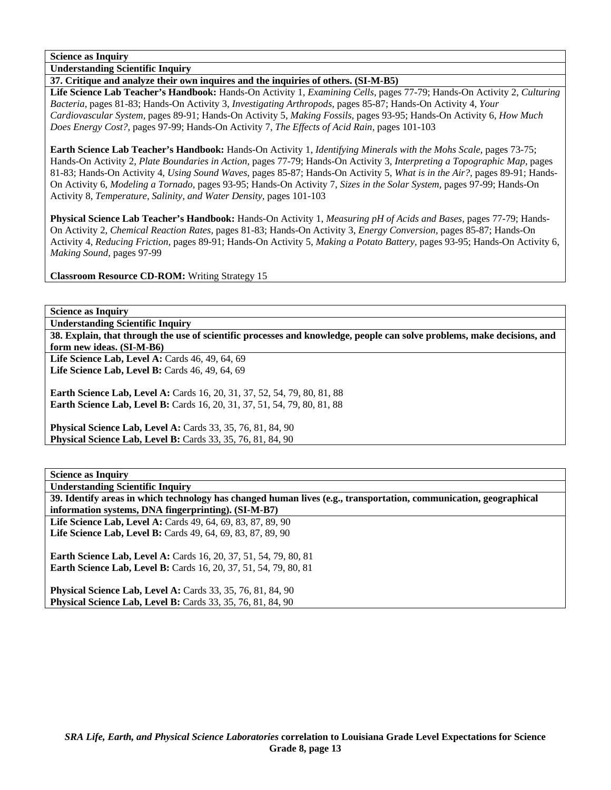**Understanding Scientific Inquiry** 

#### **37. Critique and analyze their own inquires and the inquiries of others. (SI-M-B5)**

**Life Science Lab Teacher's Handbook:** Hands-On Activity 1, *Examining Cells,* pages 77-79; Hands-On Activity 2, *Culturing Bacteria,* pages 81-83; Hands-On Activity 3, *Investigating Arthropods,* pages 85-87; Hands-On Activity 4, *Your Cardiovascular System,* pages 89-91; Hands-On Activity 5, *Making Fossils,* pages 93-95; Hands-On Activity 6, *How Much Does Energy Cost?,* pages 97-99; Hands-On Activity 7, *The Effects of Acid Rain,* pages 101-103

**Earth Science Lab Teacher's Handbook:** Hands-On Activity 1, *Identifying Minerals with the Mohs Scale,* pages 73-75; Hands-On Activity 2, *Plate Boundaries in Action,* pages 77-79; Hands-On Activity 3, *Interpreting a Topographic Map,* pages 81-83; Hands-On Activity 4, *Using Sound Waves,* pages 85-87; Hands-On Activity 5, *What is in the Air?,* pages 89-91; Hands-On Activity 6, *Modeling a Tornado,* pages 93-95; Hands-On Activity 7, *Sizes in the Solar System,* pages 97-99; Hands-On Activity 8, *Temperature, Salinity, and Water Density,* pages 101-103

**Physical Science Lab Teacher's Handbook:** Hands-On Activity 1, *Measuring pH of Acids and Bases,* pages 77-79; Hands-On Activity 2, *Chemical Reaction Rates,* pages 81-83; Hands-On Activity 3, *Energy Conversion,* pages 85-87; Hands-On Activity 4, *Reducing Friction,* pages 89-91; Hands-On Activity 5, *Making a Potato Battery,* pages 93-95; Hands-On Activity 6, *Making Sound,* pages 97-99

**Classroom Resource CD-ROM:** Writing Strategy 15

**Science as Inquiry** 

**Understanding Scientific Inquiry** 

**38. Explain, that through the use of scientific processes and knowledge, people can solve problems, make decisions, and form new ideas. (SI-M-B6)** 

Life Science Lab, Level A: Cards 46, 49, 64, 69 Life Science Lab, Level B: Cards 46, 49, 64, 69

**Earth Science Lab, Level A: Cards 16, 20, 31, 37, 52, 54, 79, 80, 81, 88 Earth Science Lab, Level B:** Cards 16, 20, 31, 37, 51, 54, 79, 80, 81, 88

**Physical Science Lab, Level A: Cards 33, 35, 76, 81, 84, 90 Physical Science Lab, Level B:** Cards 33, 35, 76, 81, 84, 90

**Science as Inquiry** 

**Understanding Scientific Inquiry** 

**39. Identify areas in which technology has changed human lives (e.g., transportation, communication, geographical information systems, DNA fingerprinting). (SI-M-B7)** 

**Life Science Lab, Level A:** Cards 49, 64, 69, 83, 87, 89, 90 **Life Science Lab, Level B:** Cards 49, 64, 69, 83, 87, 89, 90

**Earth Science Lab, Level A: Cards 16, 20, 37, 51, 54, 79, 80, 81 Earth Science Lab, Level B:** Cards 16, 20, 37, 51, 54, 79, 80, 81

**Physical Science Lab, Level A: Cards 33, 35, 76, 81, 84, 90 Physical Science Lab, Level B:** Cards 33, 35, 76, 81, 84, 90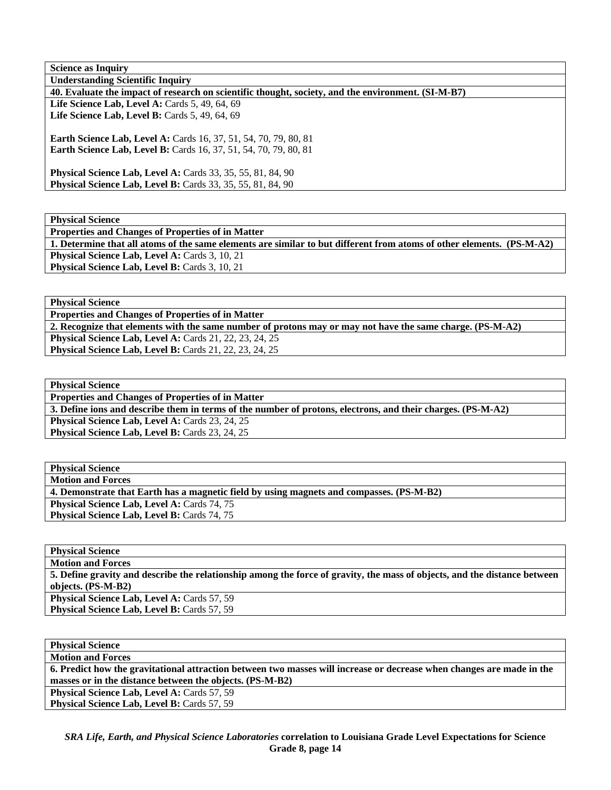| <b>Science as Inquiry</b>                                                                          |
|----------------------------------------------------------------------------------------------------|
| <b>Understanding Scientific Inquiry</b>                                                            |
| 40. Evaluate the impact of research on scientific thought, society, and the environment. (SI-M-B7) |
| Life Science Lab, Level A: Cards 5, 49, 64, 69                                                     |
| Life Science Lab, Level B: Cards 5, 49, 64, 69                                                     |
|                                                                                                    |
| <b>Earth Science Lab, Level A: Cards 16, 37, 51, 54, 70, 79, 80, 81</b>                            |
| <b>Earth Science Lab, Level B:</b> Cards 16, 37, 51, 54, 70, 79, 80, 81                            |
|                                                                                                    |
| <b>Physical Science Lab, Level A:</b> Cards 33, 35, 55, 81, 84, 90                                 |
| <b>Physical Science Lab, Level B:</b> Cards 33, 35, 55, 81, 84, 90                                 |
|                                                                                                    |

| <b>Physical Science</b>                                                                                               |
|-----------------------------------------------------------------------------------------------------------------------|
| <b>Properties and Changes of Properties of in Matter</b>                                                              |
| 1. Determine that all atoms of the same elements are similar to but different from atoms of other elements. (PS-M-A2) |
| <b>Physical Science Lab, Level A: Cards 3, 10, 21</b>                                                                 |
| <b>Physical Science Lab, Level B:</b> Cards 3, 10, 21                                                                 |

**Physical Science Properties and Changes of Properties of in Matter 2. Recognize that elements with the same number of protons may or may not have the same charge. (PS-M-A2) Physical Science Lab, Level A: Cards 21, 22, 23, 24, 25 Physical Science Lab, Level B:** Cards 21, 22, 23, 24, 25

**Physical Science Properties and Changes of Properties of in Matter 3. Define ions and describe them in terms of the number of protons, electrons, and their charges. (PS-M-A2)**  Physical Science Lab, Level A: Cards 23, 24, 25 Physical Science Lab, Level B: Cards 23, 24, 25

| <b>Physical Science</b>                                                                  |
|------------------------------------------------------------------------------------------|
| <b>Motion and Forces</b>                                                                 |
| 4. Demonstrate that Earth has a magnetic field by using magnets and compasses. (PS-M-B2) |
| <b>Physical Science Lab, Level A: Cards 74, 75</b>                                       |
| <b>Physical Science Lab, Level B: Cards 74, 75</b>                                       |

**Physical Science Motion and Forces 5. Define gravity and describe the relationship among the force of gravity, the mass of objects, and the distance between objects. (PS-M-B2)**  Physical Science Lab, Level A: Cards 57, 59 **Physical Science Lab, Level B: Cards 57, 59** 

| <b>Physical Science</b>                                                                                               |
|-----------------------------------------------------------------------------------------------------------------------|
| <b>Motion and Forces</b>                                                                                              |
| 6. Predict how the gravitational attraction between two masses will increase or decrease when changes are made in the |
| masses or in the distance between the objects. (PS-M-B2)                                                              |
| <b>Physical Science Lab, Level A: Cards 57, 59</b>                                                                    |
| <b>Physical Science Lab, Level B: Cards 57, 59</b>                                                                    |
|                                                                                                                       |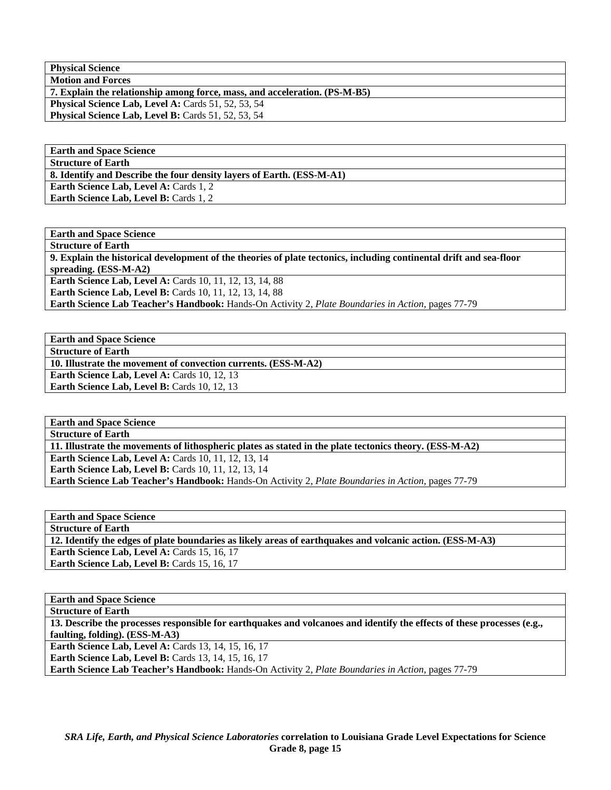**Physical Science Motion and Forces** 

**7. Explain the relationship among force, mass, and acceleration. (PS-M-B5) Physical Science Lab, Level A: Cards 51, 52, 53, 54 Physical Science Lab, Level B:** Cards 51, 52, 53, 54

**Earth and Space Science Structure of Earth 8. Identify and Describe the four density layers of Earth. (ESS-M-A1)**  Earth Science Lab, Level A: Cards 1, 2 **Earth Science Lab, Level B: Cards 1, 2** 

**Earth and Space Science Structure of Earth 9. Explain the historical development of the theories of plate tectonics, including continental drift and sea-floor spreading. (ESS-M-A2)**  Earth Science Lab, Level A: Cards 10, 11, 12, 13, 14, 88 **Earth Science Lab, Level B:** Cards 10, 11, 12, 13, 14, 88 **Earth Science Lab Teacher's Handbook:** Hands-On Activity 2, *Plate Boundaries in Action,* pages 77-79

**Earth and Space Science Structure of Earth 10. Illustrate the movement of convection currents. (ESS-M-A2) Earth Science Lab, Level A: Cards 10, 12, 13 Earth Science Lab, Level B: Cards 10, 12, 13** 

**Earth and Space Science Structure of Earth 11. Illustrate the movements of lithospheric plates as stated in the plate tectonics theory. (ESS-M-A2) Earth Science Lab, Level A: Cards 10, 11, 12, 13, 14 Earth Science Lab, Level B: Cards 10, 11, 12, 13, 14 Earth Science Lab Teacher's Handbook:** Hands-On Activity 2, *Plate Boundaries in Action,* pages 77-79

**Earth and Space Science Structure of Earth 12. Identify the edges of plate boundaries as likely areas of earthquakes and volcanic action. (ESS-M-A3)**  Earth Science Lab, Level A: Cards 15, 16, 17 **Earth Science Lab, Level B: Cards 15, 16, 17** 

**Earth and Space Science Structure of Earth 13. Describe the processes responsible for earthquakes and volcanoes and identify the effects of these processes (e.g., faulting, folding). (ESS-M-A3) Earth Science Lab, Level A: Cards 13, 14, 15, 16, 17 Earth Science Lab, Level B: Cards 13, 14, 15, 16, 17 Earth Science Lab Teacher's Handbook:** Hands-On Activity 2, *Plate Boundaries in Action,* pages 77-79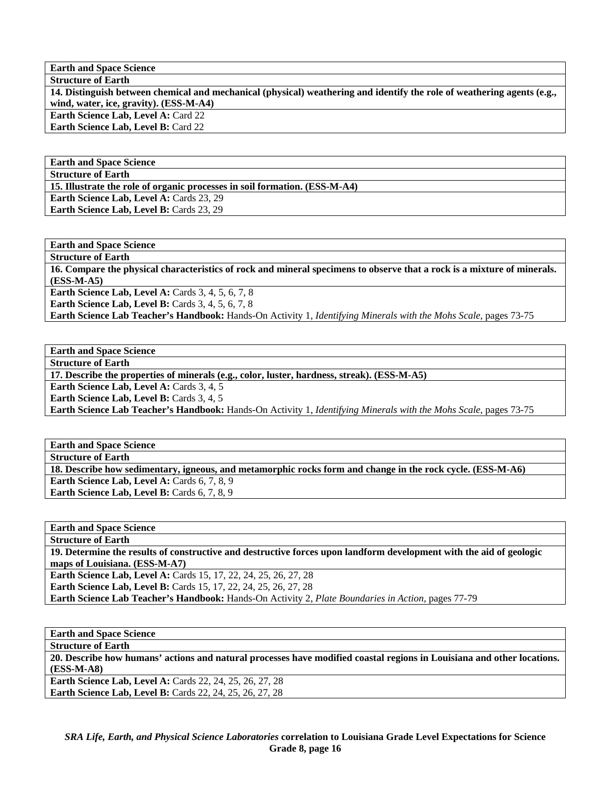**Earth and Space Science** 

**Structure of Earth 14. Distinguish between chemical and mechanical (physical) weathering and identify the role of weathering agents (e.g., wind, water, ice, gravity). (ESS-M-A4)** 

**Earth Science Lab, Level A: Card 22** Earth Science Lab, Level B: Card 22

**Earth and Space Science Structure of Earth** 

**15. Illustrate the role of organic processes in soil formation. (ESS-M-A4)** 

**Earth Science Lab, Level A: Cards 23, 29** Earth Science Lab, Level B: Cards 23, 29

**Earth and Space Science** 

**Structure of Earth** 

**16. Compare the physical characteristics of rock and mineral specimens to observe that a rock is a mixture of minerals. (ESS-M-A5)** 

**Earth Science Lab, Level A: Cards 3, 4, 5, 6, 7, 8** 

**Earth Science Lab, Level B:** Cards 3, 4, 5, 6, 7, 8

**Earth Science Lab Teacher's Handbook:** Hands-On Activity 1, *Identifying Minerals with the Mohs Scale,* pages 73-75

**Earth and Space Science** 

**Structure of Earth** 

**17. Describe the properties of minerals (e.g., color, luster, hardness, streak). (ESS-M-A5)** 

**Earth Science Lab, Level A: Cards 3, 4, 5** 

**Earth Science Lab, Level B:** Cards 3, 4, 5

**Earth Science Lab Teacher's Handbook:** Hands-On Activity 1, *Identifying Minerals with the Mohs Scale,* pages 73-75

| <b>Earth and Space Science</b>                                                                             |
|------------------------------------------------------------------------------------------------------------|
| <b>Structure of Earth</b>                                                                                  |
| 18. Describe how sedimentary, igneous, and metamorphic rocks form and change in the rock cycle. (ESS-M-A6) |
| <b>Earth Science Lab, Level A: Cards 6, 7, 8, 9</b>                                                        |
| <b>Earth Science Lab, Level B:</b> Cards 6, 7, 8, 9                                                        |

**Earth and Space Science Structure of Earth 19. Determine the results of constructive and destructive forces upon landform development with the aid of geologic maps of Louisiana. (ESS-M-A7) Earth Science Lab, Level A:** Cards 15, 17, 22, 24, 25, 26, 27, 28 **Earth Science Lab, Level B:** Cards 15, 17, 22, 24, 25, 26, 27, 28 **Earth Science Lab Teacher's Handbook:** Hands-On Activity 2, *Plate Boundaries in Action,* pages 77-79

**Earth and Space Science** 

**Structure of Earth** 

**20. Describe how humans' actions and natural processes have modified coastal regions in Louisiana and other locations. (ESS-M-A8)** 

**Earth Science Lab, Level A:** Cards 22, 24, 25, 26, 27, 28 **Earth Science Lab, Level B:** Cards 22, 24, 25, 26, 27, 28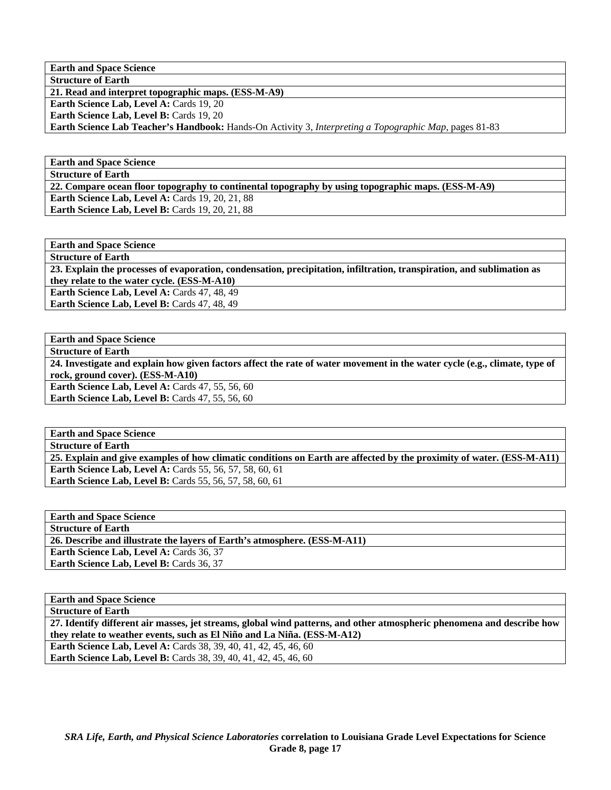**Earth and Space Science Structure of Earth** 

**21. Read and interpret topographic maps. (ESS-M-A9)** 

**Earth Science Lab, Level A: Cards 19, 20** 

Earth Science Lab, Level B: Cards 19, 20

**Earth Science Lab Teacher's Handbook:** Hands-On Activity 3, *Interpreting a Topographic Map,* pages 81-83

**Earth and Space Science Structure of Earth** 

**22. Compare ocean floor topography to continental topography by using topographic maps. (ESS-M-A9)** 

**Earth Science Lab, Level A: Cards 19, 20, 21, 88** 

**Earth Science Lab, Level B: Cards 19, 20, 21, 88** 

**Earth and Space Science Structure of Earth 23. Explain the processes of evaporation, condensation, precipitation, infiltration, transpiration, and sublimation as they relate to the water cycle. (ESS-M-A10) Earth Science Lab, Level A: Cards 47, 48, 49** Earth Science Lab, Level B: Cards 47, 48, 49

**Earth and Space Science** 

**Structure of Earth** 

**24. Investigate and explain how given factors affect the rate of water movement in the water cycle (e.g., climate, type of rock, ground cover). (ESS-M-A10) Earth Science Lab, Level A: Cards 47, 55, 56, 60** 

**Earth Science Lab, Level B: Cards 47, 55, 56, 60** 

**Earth and Space Science Structure of Earth 25. Explain and give examples of how climatic conditions on Earth are affected by the proximity of water. (ESS-M-A11) Earth Science Lab, Level A:** Cards 55, 56, 57, 58, 60, 61 **Earth Science Lab, Level B: Cards 55, 56, 57, 58, 60, 61** 

**Earth and Space Science Structure of Earth 26. Describe and illustrate the layers of Earth's atmosphere. (ESS-M-A11)**  Earth Science Lab, Level A: Cards 36, 37 **Earth Science Lab, Level B: Cards 36, 37** 

| <b>Earth and Space Science</b>                                                                                         |
|------------------------------------------------------------------------------------------------------------------------|
| <b>Structure of Earth</b>                                                                                              |
| 27. Identify different air masses, jet streams, global wind patterns, and other atmospheric phenomena and describe how |
| they relate to weather events, such as El Niño and La Niña. (ESS-M-A12)                                                |
| <b>Earth Science Lab, Level A: Cards 38, 39, 40, 41, 42, 45, 46, 60</b>                                                |
| <b>Earth Science Lab, Level B:</b> Cards 38, 39, 40, 41, 42, 45, 46, 60                                                |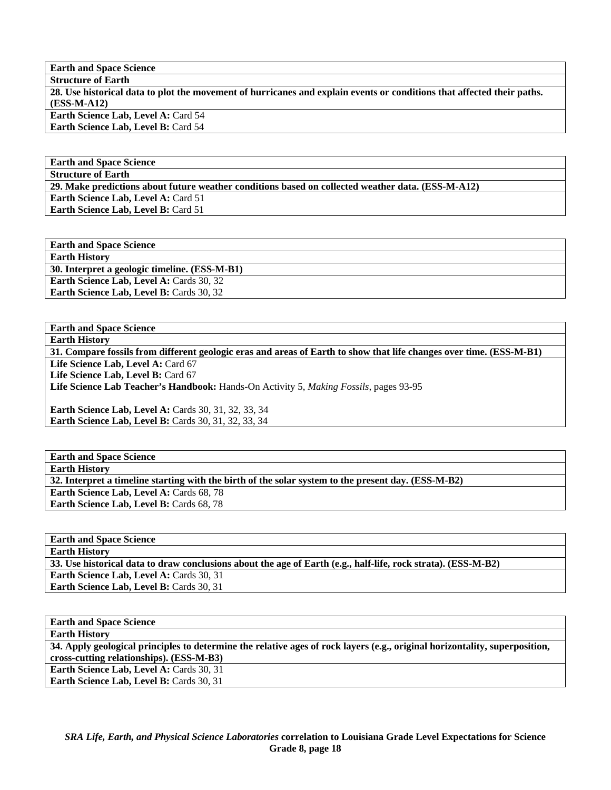**Earth and Space Science** 

**Structure of Earth 28. Use historical data to plot the movement of hurricanes and explain events or conditions that affected their paths. (ESS-M-A12) Earth Science Lab, Level A: Card 54 Earth Science Lab, Level B:** Card 54

**Earth and Space Science** 

**Structure of Earth** 

**29. Make predictions about future weather conditions based on collected weather data. (ESS-M-A12)** 

**Earth Science Lab, Level A: Card 51** Earth Science Lab, Level B: Card 51

**Earth and Space Science Earth History 30. Interpret a geologic timeline. (ESS-M-B1)**  Earth Science Lab, Level A: Cards 30, 32 **Earth Science Lab, Level B: Cards 30, 32** 

**Earth and Space Science Earth History** 

**31. Compare fossils from different geologic eras and areas of Earth to show that life changes over time. (ESS-M-B1)**  Life Science Lab, Level A: Card 67 Life Science Lab, Level B: Card 67 **Life Science Lab Teacher's Handbook:** Hands-On Activity 5, *Making Fossils,* pages 93-95 **Earth Science Lab, Level A: Cards 30, 31, 32, 33, 34 Earth Science Lab, Level B: Cards 30, 31, 32, 33, 34** 

**Earth and Space Science Earth History 32. Interpret a timeline starting with the birth of the solar system to the present day. (ESS-M-B2) Earth Science Lab, Level A: Cards 68, 78** Earth Science Lab, Level B: Cards 68, 78

**Earth and Space Science Earth History 33. Use historical data to draw conclusions about the age of Earth (e.g., half-life, rock strata). (ESS-M-B2)**  Earth Science Lab, Level A: Cards 30, 31 Earth Science Lab, Level B: Cards 30, 31

**Earth and Space Science Earth History 34. Apply geological principles to determine the relative ages of rock layers (e.g., original horizontality, superposition, cross-cutting relationships). (ESS-M-B3) Earth Science Lab, Level A: Cards 30, 31** Earth Science Lab, Level B: Cards 30, 31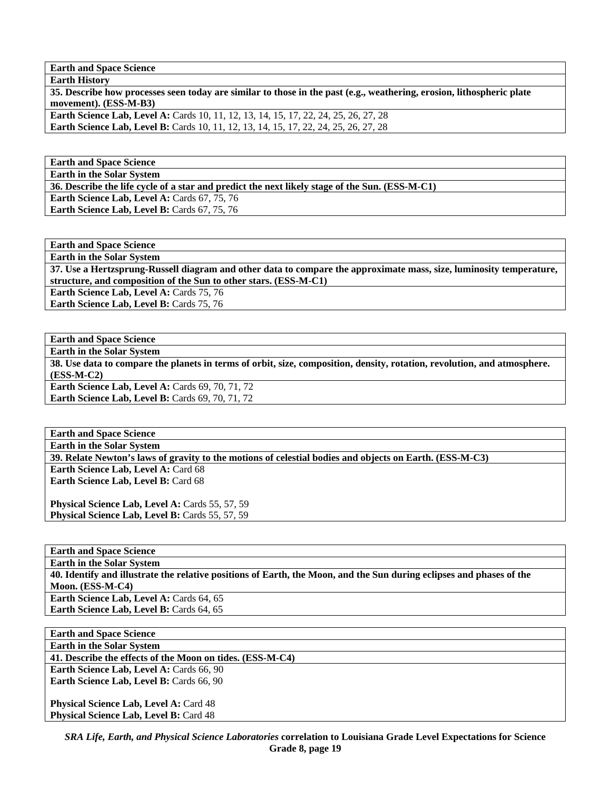**Earth and Space Science** 

| <b>Earth History</b>                                                                                                  |
|-----------------------------------------------------------------------------------------------------------------------|
| 35. Describe how processes seen today are similar to those in the past (e.g., weathering, erosion, lithospheric plate |
| movement). (ESS-M-B3)                                                                                                 |
| <b>Earth Science Lab, Level A:</b> Cards 10, 11, 12, 13, 14, 15, 17, 22, 24, 25, 26, 27, 28                           |
| <b>Earth Science Lab, Level B:</b> Cards 10, 11, 12, 13, 14, 15, 17, 22, 24, 25, 26, 27, 28                           |
|                                                                                                                       |

**Earth and Space Science Earth in the Solar System** 

**36. Describe the life cycle of a star and predict the next likely stage of the Sun. (ESS-M-C1)** 

Earth Science Lab, Level A: Cards 67, 75, 76 Earth Science Lab, Level B: Cards 67, 75, 76

**Earth and Space Science** 

**Earth in the Solar System** 

**37. Use a Hertzsprung-Russell diagram and other data to compare the approximate mass, size, luminosity temperature, structure, and composition of the Sun to other stars. (ESS-M-C1)** 

**Earth Science Lab, Level A: Cards 75, 76** Earth Science Lab, Level B: Cards 75, 76

**Earth and Space Science** 

**Earth in the Solar System** 

**38. Use data to compare the planets in terms of orbit, size, composition, density, rotation, revolution, and atmosphere. (ESS-M-C2) Earth Science Lab, Level A: Cards 69, 70, 71, 72** 

**Earth Science Lab, Level B: Cards 69, 70, 71, 72** 

**Earth and Space Science Earth in the Solar System 39. Relate Newton's laws of gravity to the motions of celestial bodies and objects on Earth. (ESS-M-C3) Earth Science Lab, Level A: Card 68 Earth Science Lab, Level B: Card 68** 

Physical Science Lab, Level A: Cards 55, 57, 59 Physical Science Lab, Level B: Cards 55, 57, 59

**Earth and Space Science Earth in the Solar System 40. Identify and illustrate the relative positions of Earth, the Moon, and the Sun during eclipses and phases of the Moon. (ESS-M-C4)**  Earth Science Lab, Level A: Cards 64, 65 Earth Science Lab, Level B: Cards 64, 65

**Earth and Space Science Earth in the Solar System 41. Describe the effects of the Moon on tides. (ESS-M-C4) Earth Science Lab, Level A: Cards 66, 90** Earth Science Lab, Level B: Cards 66, 90 **Physical Science Lab, Level A: Card 48 Physical Science Lab, Level B: Card 48**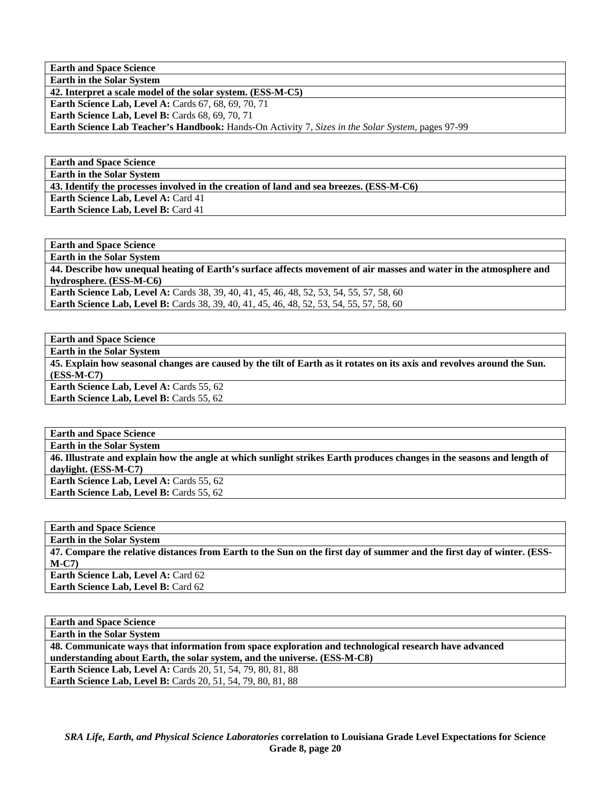**Earth and Space Science Earth in the Solar System** 

**42. Interpret a scale model of the solar system. (ESS-M-C5)** 

**Earth Science Lab, Level A: Cards 67, 68, 69, 70, 71** 

**Earth Science Lab, Level B: Cards 68, 69, 70, 71** 

**Earth Science Lab Teacher's Handbook:** Hands-On Activity 7, *Sizes in the Solar System,* pages 97-99

**Earth and Space Science Earth in the Solar System** 

**43. Identify the processes involved in the creation of land and sea breezes. (ESS-M-C6)** 

**Earth Science Lab, Level A: Card 41** 

Earth Science Lab, Level B: Card 41

**Earth and Space Science Earth in the Solar System 44. Describe how unequal heating of Earth's surface affects movement of air masses and water in the atmosphere and hydrosphere. (ESS-M-C6) Earth Science Lab, Level A:** Cards 38, 39, 40, 41, 45, 46, 48, 52, 53, 54, 55, 57, 58, 60 **Earth Science Lab, Level B:** Cards 38, 39, 40, 41, 45, 46, 48, 52, 53, 54, 55, 57, 58, 60

**Earth and Space Science** 

**Earth in the Solar System** 

**45. Explain how seasonal changes are caused by the tilt of Earth as it rotates on its axis and revolves around the Sun. (ESS-M-C7) Earth Science Lab, Level A: Cards 55, 62** 

**Earth Science Lab, Level B: Cards 55, 62** 

**Earth and Space Science Earth in the Solar System 46. Illustrate and explain how the angle at which sunlight strikes Earth produces changes in the seasons and length of daylight. (ESS-M-C7) Earth Science Lab, Level A: Cards 55, 62** Earth Science Lab, Level B: Cards 55, 62

**Earth and Space Science** 

**Earth in the Solar System** 

**47. Compare the relative distances from Earth to the Sun on the first day of summer and the first day of winter. (ESS-M-C7)** 

**Earth Science Lab, Level A: Card 62 Earth Science Lab, Level B: Card 62** 

**Earth and Space Science Earth in the Solar System 48. Communicate ways that information from space exploration and technological research have advanced understanding about Earth, the solar system, and the universe. (ESS-M-C8) Earth Science Lab, Level A: Cards 20, 51, 54, 79, 80, 81, 88 Earth Science Lab, Level B:** Cards 20, 51, 54, 79, 80, 81, 88